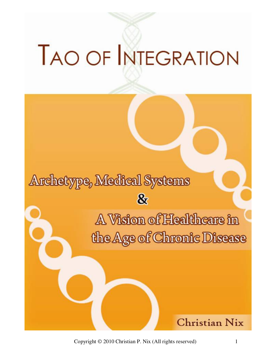# **TAO OF INTEGRATION**

 $\mathbf{g}$ 

# **Archetype, Medical Systems**

A Vision of Healthcare in the Age of Chronic Disease

Christian Nix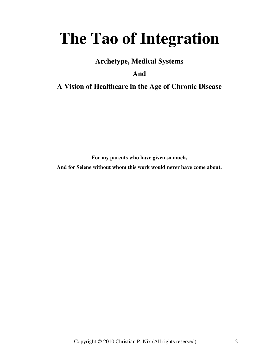# **The Tao of Integration**

**Archetype, Medical Systems** 

**And** 

**A Vision of Healthcare in the Age of Chronic Disease** 

**For my parents who have given so much,** 

**And for Selene without whom this work would never have come about.**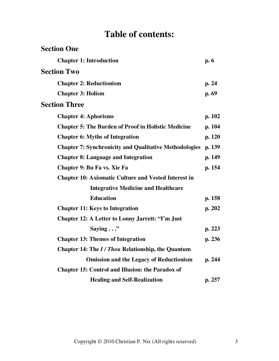### **Table of contents:**

| <b>Section One</b>                                            |        |
|---------------------------------------------------------------|--------|
| <b>Chapter 1: Introduction</b>                                | p.6    |
| <b>Section Two</b>                                            |        |
| <b>Chapter 2: Reductionism</b>                                | p. 24  |
| <b>Chapter 3: Holism</b>                                      | p. 69  |
| <b>Section Three</b>                                          |        |
| <b>Chapter 4: Aphorisms</b>                                   | p. 102 |
| <b>Chapter 5: The Burden of Proof in Holistic Medicine</b>    | p. 104 |
| <b>Chapter 6: Myths of Integration</b>                        | p. 120 |
| <b>Chapter 7: Synchronicity and Qualitative Methodologies</b> | p. 139 |
| <b>Chapter 8: Language and Integration</b>                    | p. 149 |
| Chapter 9: Bu Fa vs. Xie Fa                                   | p. 154 |
| <b>Chapter 10: Axiomatic Culture and Vested Interest in</b>   |        |
| <b>Integrative Medicine and Healthcare</b>                    |        |
| <b>Education</b>                                              | p. 158 |
| <b>Chapter 11: Keys to Integration</b>                        | p. 202 |
| <b>Chapter 12: A Letter to Lonny Jarrett: "I'm Just</b>       |        |
| Saying $\ldots$ "                                             | p. 223 |
| <b>Chapter 13: Themes of Integration</b>                      | p. 236 |
| Chapter 14: The <i>I / Thou</i> Relationship, the Quantum     |        |
| <b>Omission and the Legacy of Reductionism</b>                | p. 244 |
| <b>Chapter 15: Control and Illusion: the Paradox of</b>       |        |
| <b>Healing and Self-Realization</b>                           | p. 257 |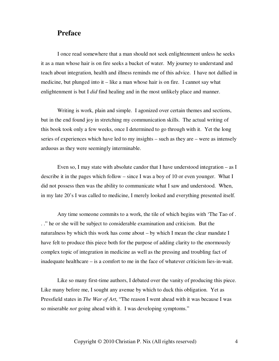#### **Preface**

I once read somewhere that a man should not seek enlightenment unless he seeks it as a man whose hair is on fire seeks a bucket of water. My journey to understand and teach about integration, health and illness reminds me of this advice. I have not dallied in medicine, but plunged into it – like a man whose hair is on fire. I cannot say what enlightenment is but I *did* find healing and in the most unlikely place and manner.

Writing is work, plain and simple. I agonized over certain themes and sections, but in the end found joy in stretching my communication skills. The actual writing of this book took only a few weeks, once I determined to go through with it. Yet the long series of experiences which have led to my insights – such as they are – were as intensely arduous as they were seemingly interminable.

Even so, I may state with absolute candor that I have understood integration – as I describe it in the pages which follow – since I was a boy of 10 or even younger. What I did not possess then was the ability to communicate what I saw and understood. When, in my late 20's I was called to medicine, I merely looked and everything presented itself.

Any time someone commits to a work, the tile of which begins with 'The Tao of . . ." he or she will be subject to considerable examination and criticism. But the naturalness by which this work has come about – by which I mean the clear mandate I have felt to produce this piece both for the purpose of adding clarity to the enormously complex topic of integration in medicine as well as the pressing and troubling fact of inadequate healthcare – is a comfort to me in the face of whatever criticism lies-in-wait.

Like so many first-time authors, I debated over the vanity of producing this piece. Like many before me, I sought any avenue by which to duck this obligation. Yet as Pressfield states in *The War of Art*, "The reason I went ahead with it was because I was so miserable *not* going ahead with it. I was developing symptoms."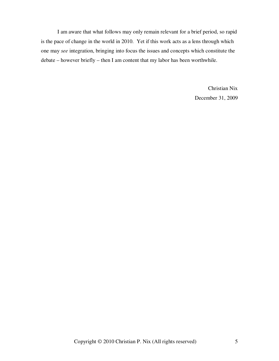I am aware that what follows may only remain relevant for a brief period, so rapid is the pace of change in the world in 2010. Yet if this work acts as a lens through which one may *see* integration, bringing into focus the issues and concepts which constitute the debate – however briefly – then I am content that my labor has been worthwhile.

> Christian Nix December 31, 2009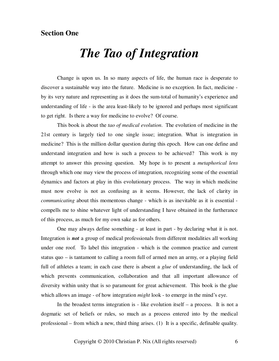#### **Section One**

## *The Tao of Integration*

Change is upon us. In so many aspects of life, the human race is desperate to discover a sustainable way into the future. Medicine is no exception. In fact, medicine by its very nature and representing as it does the sum-total of humanity's experience and understanding of life - is the area least-likely to be ignored and perhaps most significant to get right. Is there a way for medicine to evolve? Of course.

This book is about the *tao of medical evolution*. The evolution of medicine in the 21st century is largely tied to one single issue; integration. What is integration in medicine? This is the million dollar question during this epoch. How can one define and understand integration and how is such a process to be achieved? This work is my attempt to answer this pressing question. My hope is to present a *metaphorical lens* through which one may view the process of integration, recognizing some of the essential dynamics and factors at play in this evolutionary process. The way in which medicine must now evolve is not as confusing as it seems. However, the lack of clarity in *communicating* about this momentous change - which is as inevitable as it is essential compells me to shine whatever light of understanding I have obtained in the furtherance of this process, as much for my own sake as for others.

One may always define something - at least in part - by declaring what it is not. Integration is *not* a group of medical professionals from different modalities all working under one roof. To label this integration - which is the common practice and current status quo – is tantamont to calling a room full of armed men an army, or a playing field full of athletes a team; in each case there is absent a *glue* of understanding, the lack of which prevents communication, collaboration and that all important allowance of diversity within unity that is so paramount for great achievement. This book is the glue which allows an image - of how integration *might* look - to emerge in the mind's eye.

In the broadest terms integration is - like evolution itself – a process. It is not a dogmatic set of beliefs or rules, so much as a process entered into by the medical professional – from which a new, third thing arises. (1) It is a specific, definable quality.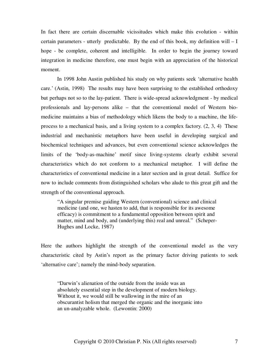In fact there are certain discernable vicissitudes which make this evolution - within certain parameters - utterly predictable. By the end of this book, my definition will – I hope - be complete, coherent and intelligible. In order to begin the journey toward integration in medicine therefore, one must begin with an appreciation of the historical moment.

In 1998 John Austin published his study on why patients seek 'alternative health care.' (Astin, 1998) The results may have been surprising to the established orthodoxy but perhaps not so to the lay-patient. There is wide-spread acknowledgment - by medical professionals and lay-persons alike – that the conventional model of Western biomedicine maintains a bias of methodology which likens the body to a machine, the lifeprocess to a mechanical basis, and a living system to a complex factory.  $(2, 3, 4)$  These industrial and mechanistic metaphors have been useful in developing surgical and biochemical techniques and advances, but even conventional science acknowledges the limits of the 'body-as-machine' motif since living-systems clearly exhibit several characteristics which do not conform to a mechanical metaphor. I will define the characteristics of conventional medicine in a later section and in great detail. Suffice for now to include comments from distinguished scholars who alude to this great gift and the strength of the conventional approach.

"A singular premise guiding Western (conventional) science and clinical medicine (and one, we hasten to add, that is responsible for its awesome efficacy) is commitment to a fundamental opposition between spirit and matter, mind and body, and (underlying this) real and unreal." (Scheper-Hughes and Locke, 1987)

Here the authors highlight the strength of the conventional model as the very characteristic cited by Astin's report as the primary factor driving patients to seek 'alternative care'; namely the mind-body separation.

"Darwin's alienation of the outside from the inside was an absolutely essential step in the development of modern biology. Without it, we would still be wallowing in the mire of an obscurantist holism that merged the organic and the inorganic into an un-analyzable whole. (Lewontin: 2000)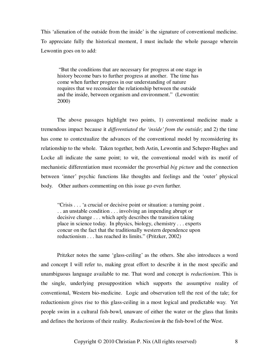This 'alienation of the outside from the inside' is the signature of conventional medicine. To appreciate fully the historical moment, I must include the whole passage wherein Lewontin goes on to add:

 "But the conditions that are necessary for progress at one stage in history become bars to further progress at another. The time has come when further progress in our understanding of nature requires that we reconsider the relationship between the outside and the inside, between organism and environment." (Lewontin: 2000)

The above passages highlight two points, 1) conventional medicine made a tremendous impact because it *differentiated the 'inside' from the outside*; and 2) the time has come to contextualize the advances of the conventional model by reconsidering its relationship to the whole. Taken together, both Astin, Lewontin and Scheper-Hughes and Locke all indicate the same point; to wit, the conventional model with its motif of mechanistic differentiation must reconsider the proverbial *big picture* and the connection between 'inner' psychic functions like thoughts and feelings and the 'outer' physical body. Other authors commenting on this issue go even further.

"Crisis . . . 'a crucial or decisive point or situation: a turning point . . . an unstable condition . . . involving an impending abrupt or decisive change . . . which aptly describes the transition taking place in science today. In physics, biology, chemistry . . . experts concur on the fact that the traditionally western dependence upon reductionism . . . has reached its limits." (Pritzker, 2002)

Pritzker notes the same 'glass-ceiling' as the others. She also introduces a word and concept I will refer to, making great effort to describe it in the most specific and unambiguous language available to me. That word and concept is *reductionism*. This is the single, underlying presuppostition which supports the assumptive reality of conventional, Western bio-medicine. Logic and observation tell the rest of the tale; for reductionism gives rise to this glass-ceiling in a most logical and predictable way. Yet people swim in a cultural fish-bowl, unaware of either the water or the glass that limits and defines the horizons of their reality. *Reductionism is* the fish-bowl of the West.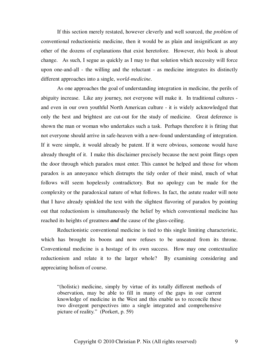If this section merely restated, however cleverly and well sourced, the *problem* of conventional reductionistic medicine, then it would be as plain and insignificant as any other of the dozens of explanations that exist heretofore. However, *this* book is about change. As such, I segue as quickly as I may to that solution which necessity will force upon one-and-all - the willing and the reluctant - as medicine integrates its distinctly different approaches into a single, *world-medicine*.

As one approaches the goal of understanding integration in medicine, the perils of abiguity increase. Like any journey, not everyone will make it. In traditional cultures and even in our own youthful North American culture - it is widely acknowledged that only the best and brightest are cut-out for the study of medicine. Great deference is shown the man or woman who undertakes such a task. Perhaps therefore it is fitting that not everyone should arrive in safe-heaven with a new-found understanding of integration. If it were simple, it would already be patent. If it were obvious, someone would have already thought of it. I make this disclaimer precisely because the next point flings open the door through which paradox must enter. This cannot be helped and those for whom paradox is an annoyance which distrupts the tidy order of their mind, much of what follows will seem hopelessly contradictory. But no apology can be made for the complexity or the paradoxical nature of what follows. In fact, the astute reader will note that I have already spinkled the text with the slightest flavoring of paradox by pointing out that reductionism is simultaneously the belief by which conventional medicine has reached its heights of greatness *and* the cause of the glass-ceiling.

Reductionistic conventional medicine is tied to this single limiting characteristic, which has brought its boons and now refuses to be unseated from its throne. Conventional medicine is a hostage of its own success. How may one contextualize reductionism and relate it to the larger whole? By examining considering and appreciating holism of course.

"(holistic) medicine, simply by virtue of its totally different methods of observation, may be able to fill in many of the gaps in our current knowledge of medicine in the West and this enable us to reconcile these two divergent perspectives into a single integrated and comprehensive picture of reality." (Porkert, p. 59)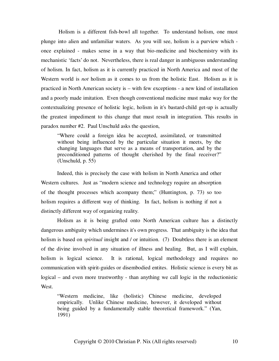Holism is a different fish-bowl all together. To understand holism, one must plunge into alien and unfamiliar waters. As you will see, holism is a purview which once explained - makes sense in a way that bio-medicine and biochemistry with its mechanistic 'facts' do not. Nevertheless, there is real danger in ambiguous understanding of holism. In fact, holism as it is currently practiced in North America and most of the Western world is *not* holism as it comes to us from the holistic East. Holism as it is practiced in North American society is – with few exceptions - a new kind of installation and a poorly made imitation. Even though conventional medicine must make way for the contextualizing presence of holistic logic, holism in it's bastard-child get-up is actually the greatest impediment to this change that must result in integration. This results in paradox number #2. Paul Unschuld asks the question,

"Where could a foreign idea be accepted, assimilated, or transmitted without being influenced by the particular situation it meets, by the changing languages that serve as a means of transportation, and by the preconditioned patterns of thought cherished by the final receiver?" (Unschuld, p. 55)

Indeed, this is precisely the case with holism in North America and other Western cultures. Just as "modern science and technology require an absorption of the thought processes which acompany them;" (Huntington, p. 73) so too holism requires a different way of thinking. In fact, holism is nothing if not a distinctly different way of organizing reality.

Holism as it is being grafted onto North American culture has a distinctly dangerous ambiguity which undermines it's own progress. That ambiguity is the idea that holism is based on *spiritual* insight and / or intuition. (7) Doubtless there is an element of the divine involved in any situation of illness and healing. But, as I will explain, holism is logical science. It is rational, logical methodology and requires no communication with spirit-guides or disembodied entites. Holistic science is every bit as logical – and even more trustworthy - than anything we call logic in the reductionistic West.

"Western medicine, like (holistic) Chinese medicine, developed empirically. Unlike Chinese medicine, however, it developed without being guided by a fundamentally stable theoretical framework." (Yan, 1991)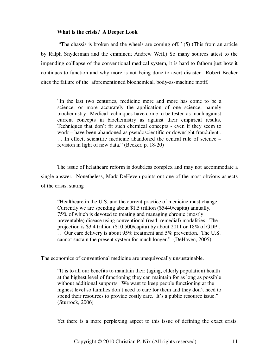#### **What is the crisis? A Deeper Look**

 "The chassis is broken and the wheels are coming off." (5) (This from an article by Ralph Snyderman and the emminent Andrew Weil.) So many sources attest to the impending colllapse of the conventional medical system, it is hard to fathom just how it continues to function and why more is not being done to avert disaster. Robert Becker cites the failure of the aforementioned biochemical, body-as-machine motif.

"In the last two centuries, medicine more and more has come to be a science, or more accurately the application of one science, namely biochemistry. Medical techniques have come to be tested as much against current concepts in biochemistry as against their empirical results. Techniques that don't fit such chemical concepts - even if they seem to work – have been abandoned as pseudoscientific or downright fraudulent . . . In effect, scientific medicine abandoned the central rule of science – revision in light of new data." (Becker, p. 18-20)

The issue of helathcare reform is doubtless complex and may not accommodate a single answer. Nonetheless, Mark DeHeven points out one of the most obvious aspects of the crisis, stating

"Healthcare in the U.S. and the current practice of medicine must change. Currently we are spending about \$1.5 trillion (\$5440/capita) annually, 75% of which is devoted to treating and managing chronic (mostly preventable) disease using conventional (read: remedial) modalities. The projection is \$3.4 trillion (\$10,500/capita) by about 2011 or 18% of GDP . . . Our care delivery is about 95% treatment and 5% prevention. The U.S. cannot sustain the present system for much longer." (DeHaven, 2005)

The economics of conventional medicine are unequivocally unsustainable.

"It is to all our benefits to maintain their (aging, elderly population) health at the highest level of functioning they can maintain for as long as possible without additional supports. We want to keep people functioning at the highest level so families don't need to care for them and they don't need to spend their resources to provide costly care. It's a public resource issue." (Sturrock, 2006)

Yet there is a more perplexing aspect to this issue of defining the exact crisis.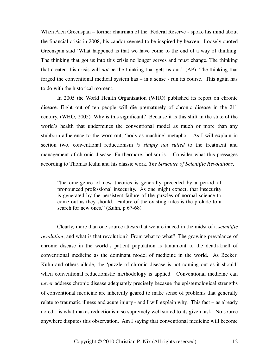When Alen Greenspan – former chairman of the Federal Reserve - spoke his mind about the financial crisis in 2008, his candor seemed to be inspired by heaven. Loosely quoted Greenspan said 'What happened is that we have come to the end of a way of thinking. The thinking that got us into this crisis no longer serves and must change. The thinking that created this crisis will *not* be the thinking that gets us out." (AP) The thinking that forged the conventional medical system has – in a sense - run its course. This again has to do with the historical moment.

In 2005 the World Health Organization (WHO) published its report on chronic disease. Eight out of ten people will die prematurely of chronic disease in the  $21<sup>st</sup>$ century. (WHO, 2005) Why is this significant? Because it is this shift in the state of the world's health that undermines the conventional model as much or more than any stubborn adherence to the worn-out, 'body-as-machine' metaphor. As I will explain in section two, conventional reductionism *is simply not suited* to the treatment and management of chronic disease. Furthermore, holism is. Consider what this pressages according to Thomas Kuhn and his classic work, *The Structure of Scientific Revolutions*,

"the emergence of new theories is generally preceded by a period of pronounced professional insecurity. As one might expect, that insecurity is generated by the persistent failure of the puzzles of normal science to come out as they should. Failure of the existing rules is the prelude to a search for new ones." (Kuhn, p 67-68)

Clearly, more than one source attests that we are indeed in the midst of a *scientific revolution*; and what is that revolution? From what to what? The growing prevalance of chronic disease in the world's patient population is tantamont to the death-knell of conventional medicine as the dominant model of medicine in the world. As Becker, Kuhn and others allude, the 'puzzle of chronic disease is not coming out as it should' when conventional reductionistic methodology is applied. Conventional medicine can *never* address chronic disease adequately precisely becasue the epistemological strengths of conventional medicine are inherenly geared to make sense of problems that generally relate to traumatic illness and acute injury - and I will explain why. This fact – as already noted – is what makes reductionism so supremely well suited to its given task. No source anywhere disputes this observation. Am I saying that conventional medicine will become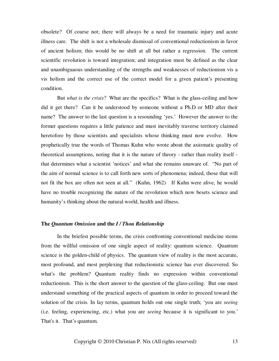obsolete? Of course not; there will always be a need for traumatic injury and acute illness care. The shift is not a wholesale dismissal of conventional reductionism in favor of ancient holism; this would be no shift at all but rather a regression. The current scientific revolution is toward integration; and integration must be defined as the clear and unambiguaous understanding of the strengths and weaknesses of reductionism vis a vis holism and the correct use of the correct model for a given patient's presenting condition.

But *what is the crisis*? What are the specifics? What is the glass-ceiling and how did it get there? Can it be understood by someone without a Ph.D or MD after their name? The answer to the last question is a resounding 'yes.' However the answer to the former questions requires a little patience and must inevitably traverse territory claimed heretofore by those scientists and specialists whose thinking must now evolve. How prophetically true the words of Thomas Kuhn who wrote about the axiomatic quality of theoretical assumptions, noting that it is the nature of theory - rather than reality itself that determines what a scientist 'notices' and what she remains unaware of. "No part of the aim of normal science is to call forth new sorts of phenomena; indeed, those that will not fit the box are often not seen at all." (Kuhn, 1962) If Kuhn were alive, he would have no trouble recognizing the nature of the revolution which now besets science and humanity's thinking about the natural world, health and illness.

#### **The** *Quantum Omission* **and the** *I / Thou Relationship*

In the briefest possible terms, the crisis confronting conventional medicine stems from the willful omission of one single aspect of reality: quantum science. Quantum science is the golden-child of physics. The quantum view of reality is the most accurate, most profound, and most perplexing that reductionistic science has ever discovered. So what's the problem? Quantum reality finds no expression within conventional reductionism. This is the short answer to the question of the glass-ceiling. But one must understand something of the practical aspects of quantum in order to proceed toward the solution of the crisis. In lay terms, quantum holds out one single truth; 'you are *seeing* (i.e. feeling, experiencing, etc.) what you are *seeing* because it is significant to you.' That's it. That's quantum.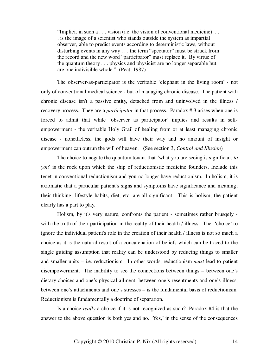"Implicit in such a . . . vision (i.e. the vision of conventional medicine) . . . is the image of a scientist who stands outside the system as impartial observer, able to predict events according to deterministic laws, without disturbing events in any way . . . the term "spectator" must be struck from the record and the new word "participator" must replace it. By virtue of the quantum theory . . . physics and physicist are no longer separable but are one indivisible whole." (Peat, 1987)

The observer-as-participator is the veritable 'elephant in the living room' - not only of conventional medical science - but of managing chronic disease. The patient with chronic disease isn't a passive entity, detached from and uninvolved in the illness / recovery process. They are a *participator* in that process. Paradox # 3 arises when one is forced to admit that while 'observer as participator' implies and results in selfempowerment - the veritable Holy Grail of healing from or at least managing chronic disease - nonetheless, the gods will have their way and no amount of insight or empowerment can outrun the will of heaven. (See section 3, *Control and Illusion*)

The choice to negate the quantum tenant that 'what you are seeing is significant *to you*' is the rock upon which the ship of reductionistic medicine founders. Include this tenet in conventional reductionism and you no longer have reductionism. In holism, it is axiomatic that a particular patient's signs and symptoms have significance and meaning; their thinking, lifestyle habits, diet, etc. are all significant. This is holism; the patient clearly has a part to play.

Holism, by it's very nature, confronts the patient - sometimes rather brusqely with the truth of their participation in the reality of their health / illness. The 'choice' to ignore the individual patient's role in the creation of their health / illness is not so much a choice as it is the natural result of a concatenation of beliefs which can be traced to the single guiding assumption that reality can be understood by reducing things to smaller and smaller units – i.e. reductionism. In other words, reductionism *must* lead to patient disempowerment. The inability to see the connections between things – between one's dietary choices and one's physical ailment, between one's resentments and one's illness, between one's attachments and one's stresses – is the fundamental basis of reductionism. Reductionism is fundamentally a doctrine of separation.

Is a choice *really* a choice if it is not recognized as such? Paradox #4 is that the answer to the above question is both yes and no. 'Yes,' in the sense of the consequences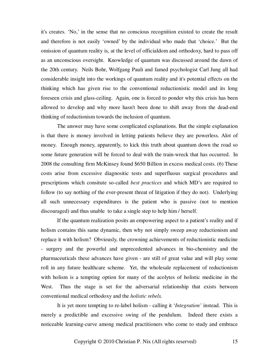it's creates. 'No,' in the sense that no conscious recognition existed to create the result and therefore is not easily 'owned' by the individual who made that 'choice.' But the omission of quantum reality is, at the level of officialdom and orthodoxy, hard to pass off as an unconscious oversight. Knowledge of quantum was discussed around the dawn of the 20th century. Neils Bohr, Wolfgang Pauli and famed psychologist Carl Jung all had considerable insight into the workings of quantum reality and it's potential effects on the thinking which has given rise to the conventional reductionistic model and its long foreseen crisis and glass-ceiling. Again, one is forced to ponder why this crisis has been allowed to develop and why more hasn't been done to shift away from the dead-end thinking of reductionism towards the inclusion of quantum.

The answer may have some complicated explanations. But the simple explanation is that there is money involved in letting patients believe they are powerless. Alot of money. Enough money, apparently, to kick this truth about quantum down the road so some future generation will be forced to deal with the train-wreck that has occurred. In 2008 the consulting firm McKinsey found \$650 Billion in excess medical costs. (6) These costs arise from excessive diagnositic tests and superfluous surgical procedures and prescriptions which consitute so-called *best practices* and which MD's are required to follow (to say nothing of the ever-present threat of litigation if they do not). Underlying all such unnecessary expenditures is the patient who is passive (not to mention discouraged) and thus unable to take a single step to help him / herself.

If the quantum realization posits an empowering aspect to a patient's reality and if holism contains this same dynamic, then why not simply sweep away reductionism and replace it with holism? Obviously, the crowning achievements of reductionistic medicine - surgery and the powerful and unprecedented advances in bio-chemistry and the pharmaceuticals these advances have given - are still of great value and will play some roll in any future healthcare scheme. Yet, the wholesale replacement of reductionism with holism is a tempting option for many of the acolytes of holistic medicine in the West. Thus the stage is set for the adversarial relationship that exists between conventional medical orthodoxy and the *holistic rebels.*

It is yet more tempting to re-label holism - calling it '*Integration'* instead. This is merely a predictible and excessive swing of the pendulum. Indeed there exists a noticeable learning-curve among medical practitioners who come to study and embrace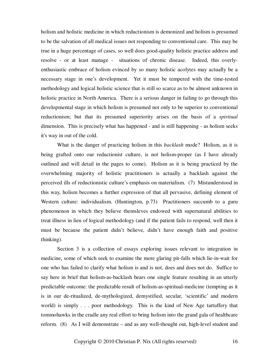holism and holistic medicine in which reductionism is demonized and holism is presumed to be the salvation of all medical issues not responding to conventional care. This may be true in a huge percentage of cases, so well does good-quality holistic practice address and resolve - or at least manage - situations of chronic disease. Indeed, this overlyenthusiastic embrace of holism evinced by so many holistic acolytes may actually be a necessary stage in one's development. Yet it must be tempered with the time-tested methodology and logical holistic science that is still so scarce as to be almost unknown in holistic practice in North America. There is a serious danger in failing to go through this developmental stage in which holism is presumed not only to be superior to conventional reductionism; but that its presumed superiority arises on the basis of a *spiritual*  dimension. This is precisely what has happened - and is still happening - as holism seeks it's way in out of the cold.

What is the danger of practicing holism in this *backlash* mode? Holism, as it is being grafted onto our reductionist culture, is not holism-proper (as I have already outlined and will detail in the pages to come). Holism as it is being practiced by the overwhelming majority of holistic practitioners is actually a backlash against the perceived ills of reductionistic culture's emphasis on materialism. (7) Mistunderstood in this way, holism becomes a further expression of that all pervasive, defining element of Western culture: individualism. (Huntington, p.73) Practitioners succumb to a guru phenomenon in which they believe themsleves endowed with supernatural abilities to treat illness in lieu of logical methodology (and if the patient fails to respond, well then it must be because the patient didn't believe, didn't have enough faith and positive thinking).

Section 3 is a collection of essays exploring issues relevant to integration in medicine, some of which seek to examine the more glaring pit-falls which lie-in-wait for one who has failed to clarify what holism is and is not, does and does not do. Suffice to say here in brief that holism-as-backlash bears one single feature resulting in an utterly predictable outcome: the predictable result of holism-as-spiritual-medicine (tempting as it is in our de-ritualized, de-mythologized, demystified, secular, 'scientific' and modern world) is simply . . . poor methodology. This is the kind of New Age tartuffery that tommohawks in the cradle any real effort to bring holism into the grand gala of healthcare reform. (8) As I will demonstrate – and as any well-thought out, high-level student and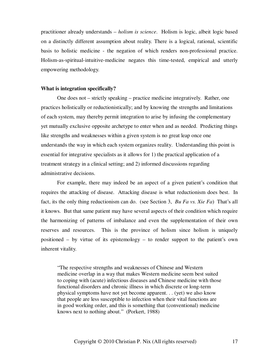practitioner already understands – *holism is science*. Holism is logic, albeit logic based on a distinctly different assumption about reality. There is a logical, rational, scientific basis to holistic medicine - the negation of which renders non-professional practice. Holism-as-spiritual-intuitive-medicine negates this time-tested, empirical and utterly empowering methodology.

#### **What is integration specifically?**

One does not – strictly speaking – practice medicine integratively. Rather, one practices holistically or reductionistically; and by knowing the strengths and limitations of each system, may thereby permit integration to arise by infusing the complementary yet mutually exclusive opposite archetype to enter when and as needed. Predicting things like strengths and weaknesses within a given system is no great leap once one understands the way in which each system organizes reality. Understanding this point is essential for integrative specialists as it allows for 1) the practical application of a treatment strategy in a clinical setting; and 2) informed discussions regarding administrative decisions.

For example, there may indeed be an aspect of a given patient's condition that requires the attacking of disease. Attacking disease is what reductionism does best. In fact, its the only thing reductionism can do. (see Section 3, *Bu Fa vs. Xie Fa*) That's all it knows. But that same patient may have several aspects of their condition which require the harmonizing of patterns of imbalance and even the supplementation of their own reserves and resources. This is the province of holism since holism is uniquely positioned – by virtue of its epistemology – to render support to the patient's own inherent vitality.

"The respective strengths and weaknesses of Chinese and Western medicine overlap in a way that makes Western medicine seem best suited to coping with (acute) infectious diseases and Chinese medicine with those functional disorders and chronic illness in which discrete or long-term physical symptoms have not yet become apparent. . . (yet) we also know that people are less susceptible to infection when their vital functions are in good working order, and this is something that (conventional) medicine knows next to nothing about." (Porkert, 1988)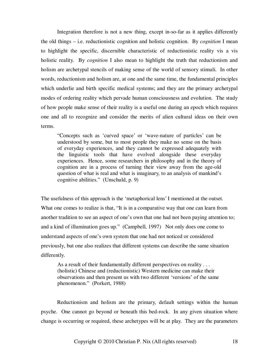Integration therefore is not a new thing, except in-so-far as it applies differently the old things – i.e. reductionistic cognition and holistic cognition. By *cognition* I mean to highlight the specific, discernible characteristic of reductionistic reality vis a vis holistic reality. By *cognition* I also mean to highlight the truth that reductionism and holism are archetypal stencils of making sense of the world of sensory stimuli. In other words, reductionism and holism are, at one and the same time, the fundamental principles which underlie and birth specific medical systems; and they are the primary archetypal modes of ordering reality which pervade human consciousness and evolution. The study of how people make sense of their reality is a useful one during an epoch which requires one and all to recognize and consider the merits of alien cultural ideas on their own terms.

"Concepts such as 'curved space' or 'wave-nature of particles' can be understood by some, but to most people they make no sense on the basis of everyday experiences, and they cannot be expressed adequately with the linguistic tools that have evolved alongside these everyday experiences. Hence, some researchers in philosophy and in the theory of cognition are in a process of turning their view away from the age-old question of what is real and what is imaginary, to an analysis of mankind's cognitive abilities." (Unschuld, p. 9)

The usefulness of this approach is the 'metaphorical lens' I mentioned at the outset. What one comes to realize is that, "It is in a comparative way that one can learn from another tradition to see an aspect of one's own that one had not been paying attention to; and a kind of illumination goes up." (Campbell, 1997) Not only does one come to understand aspects of one's own system that one had not noticed or considered previously, but one also realizes that different systems can describe the same situation differently.

As a result of their fundamentally different perspectives on reality . . . (holistic) Chinese and (reductionistic) Western medicine can make their observations and then present us with two different 'versions' of the same phenomenon." (Porkert, 1988)

Reductionism and holism are the primary, default settings within the human psyche. One cannot go beyond or beneath this bed-rock. In any given situation where change is occurring or required, these archetypes will be at play. They are the parameters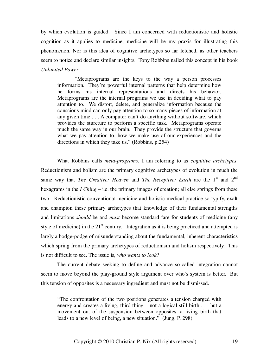by which evolution is guided. Since I am concerned with reductionistic and holistic cognition as it applies to medicine, medicine will be my praxis for illustrating this phenomenon. Nor is this idea of cognitive archetypes so far fetched, as other teachers seem to notice and declare similar insights. Tony Robbins nailed this concept in his book *Unlimited Power* 

"Metaprograms are the keys to the way a person processes information. They're powerful internal patterns that help determine how he forms his internal representations and directs his behavior. Metaprograms are the internal programs we use in deciding what to pay attention to. We distort, delete, and generalize information because the conscious mind can only pay attention to so many pieces of information at any given time . . . A computer can't do anything without software, which provides the sturcture to perform a specific task. Metaprograms operate much the same way in our brain. They provide the structure that governs what we pay attention to, how we make use of our experiences and the directions in which they take us." (Robbins, p.254)

What Robbins calls *meta-programs*, I am referring to as *cognitive archetypes*. Reductionism and holism are the primary cognitive archetypes of evolution in much the same way that *The Creative: Heaven* and *The Receptive: Earth* are the  $1<sup>st</sup>$  and  $2<sup>nd</sup>$ hexagrams in the *I Ching* – i.e. the primary images of creation; all else springs from these two. Reductionistic conventional medicine and holistic medical practice so typify, exalt and champion these primary archetypes that knowledge of their fundamental strengths and limitations *should* be and *must* become standard fare for students of medicine (any style of medicine) in the  $21<sup>st</sup>$  century. Integration as it is being practiced and attempted is largly a hodge-podge of misunderstanding about the fundamental, inherent characteristics which spring from the primary archetypes of reductionism and holism respectively. This is not difficult to see. The issue is, *who wants to look*?

The current debate seeking to define and advance so-called integration cannot seem to move beyond the play-ground style argument over who's system is better. But this tension of opposites is a necessary ingredient and must not be dismissed.

"The confrontation of the two positions generates a tension charged with energy and creates a living, third thing – not a logical still-birth . . . but a movement out of the suspension between opposites, a living birth that leads to a new level of being, a new situation." (Jung, P. 298)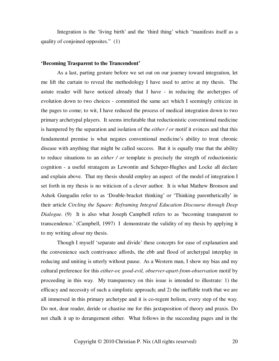Integration is the 'living birth' and the 'third thing' which "manifests itself as a quality of conjoined opposites." (1)

#### **'Becoming Trasparent to the Trancendent'**

As a last, parting gesture before we set out on our journey toward integration, let me lift the curtain to reveal the methodology I have used to arrive at my thesis. The astute reader will have noticed already that I have - in reducing the archetypes of evolution down to two choices - committed the same act which I seemingly criticize in the pages to come; to wit, I have reduced the process of medical integration down to two primary archetypal players. It seems irrefutable that reductionistic conventional medicine is hampered by the separation and isolation of the *either / or* motif it evinces and that this fundamental premise is what negates conventional medicine's ability to treat chronic disease with anything that might be called success. But it is equally true that the ability to reduce situations to an *either / or* template is precisely the stregth of reductionistic cognition - a useful stratagem as Lewontin and Scheper-Hughes and Locke all declare and explain above. That my thesis should employ an aspect of the model of integration I set forth in my thesis is no witicism of a clever author. It is what Mathew Bronson and Ashok Gungadin refer to as 'Double-bracket thinking' or 'Thinking parenthetically' in their article *Circling the Square: Reframing Integral Education Discourse through Deep Dialogue.* (9) It is also what Joseph Campbell refers to as 'becoming transparent to transcendence.' (Campbell, 1997) I demonstrate the validity of my thesis by applying it to my writing *about* my thesis.

Though I myself 'separate and divide' these concepts for ease of explanation and the convenience such contrivance affords, the ebb and flood of archetypal interplay in reducing and uniting is utterly without pause. As a Western man, I show my bias and my cultural preference for this *either-or, good-evil, observer-apart-from-observation* motif by proceeding in this way. My transparency on this issue is intended to illustrate: 1) the efficacy and necessity of such a simplistic approach; and 2) the ineffable truth that we are all immersed in this primary archetype and it is co-regent holism, every step of the way. Do not, dear reader, deride or chastise me for this juxtaposition of theory and praxis. Do not chalk it up to derangement either. What follows in the succeeding pages and in the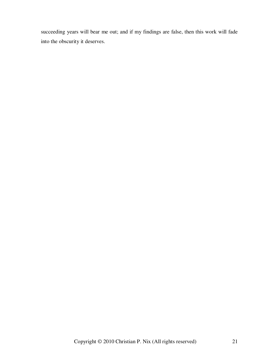succeeding years will bear me out; and if my findings are false, then this work will fade into the obscurity it deserves.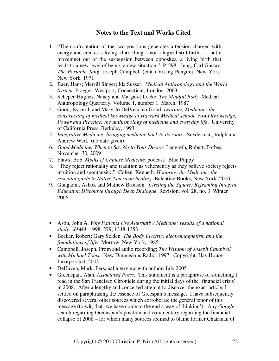#### **Notes to the Text and Works Cited**

- 1. "The confrontation of the two positions generates a tension charged with energy and creates a living, third thing – not a logical still-birth . . . but a movemnet out of the suspension between opposites, a living birth that leads to a new level of being, a new situation." P. 298. Jung, Carl Gustav. *The Portable Jung*. Joseph Campbell (edit.) Viking Penguin, New York, New York. 1971
- 2. Baer, Hans; Merrill Singer; Ida Susser. *Medical Anthropology and the World System.* Praeger. Westport, Connecticut, London. 2003.
- 3. Scheper-Hughes, Nancy and Margaret Locke. *The Mindful Body.* Medical Anthropology Quarterly. Volume 1, number 1. March, 1987
- 4. Good, Byron J. and Mary-Jo DelVecchio Good. *Learning Medicine: the constructing of medical knowledge at Harvard Medical school.* From *Knowledge, Power and Practice; the anthropology of medicine and everyday life*. University of California Press, Berkeley, 1993.
- 5. *Integrative Medicine: bringing medicine back to its roots.* Snyderman, Ralph and Andrew Weil. (no date given)
- 6. *Good Medicine, When to Say No to Your Doctor.* Langreth, Robert. Forbes, November 30, 2009
- 7. Flaws, Bob. *Myths of Chinese Medicine,* podcast. Blue Poppy
- 8. "They reject rationality and tradition as vehemently as they believe society rejects intuition and spontaneity." Cohen, Kenneth. *Honoring the Medicine; the essential guide to Native American healing.* Balentine Books, New York. 2006
- 9. Gungadin, Ashok and Mathew Bronson. *Circling the Square: Reframing Integral Education Discourse through Deep Dialogue.* Revision, vol. 28, no. 3. Winter 2006
- Astin, John A. *Why Patients Use Alternative Medicine: results of a national study. JAMA.* 1998: 279; 1348-1353
- Becker, Robert; Gary Selden. *The Body Electric: electromagnetism and the foundations of life.* Morrow. New York, 1985.
- Campbell, Joseph. From and audio recording; *The Wisdom of Joseph Campbell with Michael Toms.* New Dimensions Radio. 1997. Copyright, Hay House Incorporated, 2004
- DeHaven, Mark. Personal interview with author: July 2005
- Greenspan, Alan. *Associated Press.* This statement is a paraphrase of something I read in the San Francisco Chronicle during the initial days of the 'financial crisis' in 2008. After a lengthy and concerted attempt to discover the exact article, I settled on paraphrasing the essence of Greespan's message. I have subsequently discovered several other sources which corroborate the general tenor of this message (to wit, that 'we have come to the end a way of thinking'). Any *Google* search regarding Greenspan's position and commentary regarding the financial collapse of 2008 – for which many sources seemed to blame former Chairman of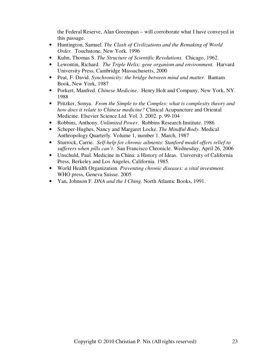the Federal Reserve, Alan Greenspan – will corroborate what I have conveyed in this passage.

- Huntington, Samuel. *The Clash of Civilizations and the Remaking of World Order.* Touchstone, New York. 1996
- Kuhn, Thomas S. *The Structure of Scientific Revolutions.* Chicago, 1962.
- Lewontin, Richard. *The Triple Helix: gene organism and environment.* Harvard University Press, Cambridge Massachusetts, 2000
- Peat, F. David. *Synchronicity: the bridge between mind and matter.* Bantam Book, New York, 1987
- Porkert, Manfred. *Chinese Medicine.* Henry Holt and Company, New York, NY. 1988
- Pritzker, Sonya. *From the Simple to the Complex: what is complexity theory and how does it relate to Chinese medicine?* Clinical Acupuncture and Oriental Medicine. Elsevier Science Ltd. Vol. 3. 2002. p. 99-104
- Robbins, Anthony. *Unlimited Power.* Robbins Research Institute. 1986
- Scheper-Hughes, Nancy and Margaret Locke. *The Mindful Body.* Medical Anthropology Quarterly. Volume 1, number 1. March, 1987
- Sturrock, Carrie. *Self-help for chronic ailments*: *Stanford model offers relief to sufferers when pills can't.* San Francisco Chronicle. Wednesday, April 26, 2006
- Unschuld, Paul. Medicine in China: a History of Ideas. University of California Press, Berkeley and Los Angeles, California. 1985.
- World Health Organization. *Preventing chronic diseases: a vital investment.*  WHO press, Geneva Suisse. 2005
- Yan, Johnson F. *DNA and the I Ching.* North Atlantic Books, 1991.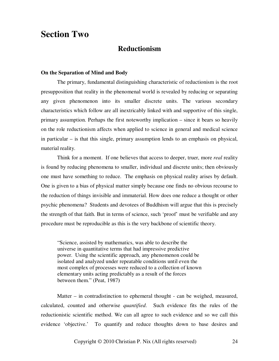### **Section Two**

#### **Reductionism**

#### **On the Separation of Mind and Body**

The primary, fundamental distinguishing characteristic of reductionism is the root presupposition that reality in the phenomenal world is revealed by reducing or separating any given phenomenon into its smaller discrete units. The various secondary characteristics which follow are all inextricably linked with and supportive of this single, primary assumption. Perhaps the first noteworthy implication – since it bears so heavily on the role reductionism affects when applied to science in general and medical science in particular – is that this single, primary assumption lends to an emphasis on physical, material reality.

Think for a moment. If one believes that access to deeper, truer, more *real* reality is found by reducing phenomena to smaller, individual and discrete units; then obviously one must have something to reduce. The emphasis on physical reality arises by default. One is given to a bias of physical matter simply because one finds no obvious recourse to the reduction of things invisible and immaterial. How does one reduce a thought or other psychic phenomena? Students and devotees of Buddhism will argue that this is precisely the strength of that faith. But in terms of science, such 'proof' must be verifiable and any procedure must be reproducible as this is the very backbone of scientific theory.

"Science, assisted by mathematics, was able to describe the universe in quantitative terms that had impressive predictive power. Using the scientific approach, any phenomenon could be isolated and analyzed under repeatable conditions until even the most complex of processes were reduced to a collection of known elementary units acting predictably as a result of the forces between them." (Peat, 1987**)** 

Matter – in contradistinction to ephemeral thought - can be weighed, measured, calculated, counted and otherwise *quantified*. Such evidence fits the rules of the reductionistic scientific method. We can all agree to such evidence and so we call this evidence 'objective.' To quantify and reduce thoughts down to base desires and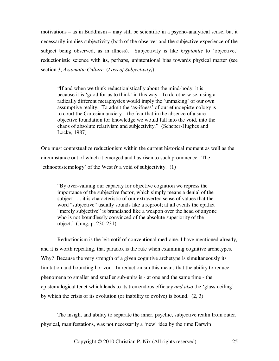motivations – as in Buddhism – may still be scientific in a psycho-analytical sense, but it necessarily implies subjectivity (both of the observer and the subjective experience of the subject being observed, as in illness). Subjectivity is like *kryptonite* to 'objective,' reductionistic science with its, perhaps, unintentional bias towards physical matter (see section 3, *Axiomatic Culture,* (*Loss of Subjectivity)*).

"If and when we think reductionistically about the mind-body, it is because it is 'good for us to think' in this way. To do otherwise, using a radically different metaphysics would imply the 'unmaking' of our own assumptive reality. To admit the 'as-ifness' of our ethnoepistemology is to court the Cartesian anxiety – the fear that in the absence of a sure objective foundation for knowledge we would fall into the void, into the chaos of absolute relativism and subjectivity." (Scheper-Hughes and Locke, 1987)

One must contextualize reductionism within the current historical moment as well as the circumstance out of which it emerged and has risen to such prominence. The 'ethnoepistemology' of the West *is* a void of subjectivity. (1)

"By over-valuing our capacity for objective cognition we repress the importance of the subjective factor, which simply means a denial of the subject . . . it is characteristic of our extraverted sense of values that the word "subjective" usually sounds like a reproof; at all events the epithet "merely subjective" is brandished like a weapon over the head of anyone who is not boundlessly convinced of the absolute superiority of the object." (Jung, p. 230-231)

Reductionism is the leitmotif of conventional medicine. I have mentioned already, and it is worth repeating, that paradox is the rule when examining cognitive archetypes. Why? Because the very strength of a given cognitive archetype is simultaneously its limitation and bounding horizon. In reductionism this means that the ability to reduce phenomena to smaller and smaller sub-units is - at one and the same time - the epistemological tenet which lends to its tremendous efficacy *and also* the 'glass-ceiling' by which the crisis of its evolution (or inability to evolve) is bound. (2, 3)

The insight and ability to separate the inner, psychic, subjective realm from outer, physical, manifestations, was not necessarily a 'new' idea by the time Darwin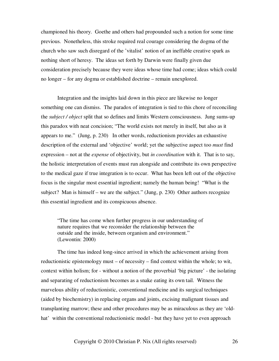championed his theory. Goethe and others had propounded such a notion for some time previous. Nonetheless, this stroke required real courage considering the dogma of the church who saw such disregard of the 'vitalist' notion of an ineffable creative spark as nothing short of heresy. The ideas set forth by Darwin were finally given due consideration precisely because they were ideas whose time had come; ideas which could no longer – for any dogma or established doctrine – remain unexplored.

Integration and the insights laid down in this piece are likewise no longer something one can dismiss. The paradox of integration is tied to this chore of reconciling the *subject / object* split that so defines and limits Western consciousness. Jung sums-up this paradox with neat concision; "The world exists not merely in itself, but also as it appears to me." (Jung, p. 230) In other words, reductionism provides an exhaustive description of the external and 'objective' world; yet the subjective aspect too *must* find expression – not at the *expense* of objectivity, but *in coordination* with it. That is to say, the holistic interpretation of events must run alongside and contribute its own perspective to the medical gaze if true integration is to occur. What has been left out of the objective focus is the singular most essential ingredient; namely the human being! "What is the subject? Man is himself – we are the subject." (Jung, p. 230) Other authors recognize this essential ingredient and its conspicuous absence.

"The time has come when further progress in our understanding of nature requires that we reconsider the relationship between the outside and the inside, between organism and environment." (Lewontin: 2000)

The time has indeed long-since arrived in which the achievement arising from reductionistic epistemology must – of necessity – find context within the whole; to wit, context within holism; for - without a notion of the proverbial 'big picture' - the isolating and separating of reductionism becomes as a snake eating its own tail. Witness the marvelous ability of reductionistic, conventional medicine and its surgical techniques (aided by biochemistry) in replacing organs and joints, excising malignant tissues and transplanting marrow; these and other procedures may be as miraculous as they are 'oldhat' within the conventional reductionistic model - but they have yet to even approach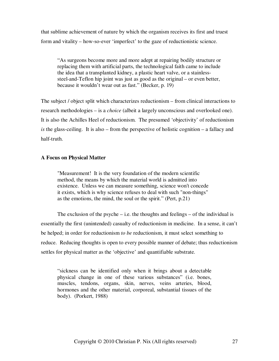that sublime achievement of nature by which the organism receives its first and truest form and vitality – how-so-ever 'imperfect' to the gaze of reductionistic science.

"As surgeons become more and more adept at repairing bodily structure or replacing them with artificial parts, the technological faith came to include the idea that a transplanted kidney, a plastic heart valve, or a stainlesssteel-and-Teflon hip joint was just as good as the original – or even better, because it wouldn't wear out as fast." (Becker, p. 19)

The subject / object split which characterizes reductionism – from clinical interactions to research methodologies – is a *choice* (albeit a largely unconscious and overlooked one). It is also the Achilles Heel of reductionism. The presumed 'objectivity' of reductionism *is* the glass-ceiling. It is also – from the perspective of holistic cognition – a fallacy and half-truth.

#### **A Focus on Physical Matter**

"Measurement! It is the very foundation of the modern scientific method, the means by which the material world is admitted into existence. Unless we can measure something, science won't concede it exists, which is why science refuses to deal with such "non-things" as the emotions, the mind, the soul or the spirit." (Pert, p.21)

The exclusion of the psyche  $-\text{i.e.}$  the thoughts and feelings  $-\text{ of the individual is}$ essentially the first (unintended) casualty of reductionism in medicine. In a sense, it can't be helped; in order for reductionism *to be* reductionism, it must select something to reduce. Reducing thoughts is open to every possible manner of debate; thus reductionism settles for physical matter as the 'objective' and quantifiable substrate.

"sickness can be identified only when it brings about a detectable physical change in one of these various substances" (i.e. bones, muscles, tendons, organs, skin, nerves, veins arteries, blood, hormones and the other material, corporeal, substantial tissues of the body). (Porkert, 1988)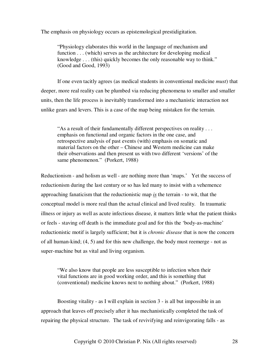The emphasis on physiology occurs as epistemological prestidigitation.

"Physiology elaborates this world in the language of mechanism and function . . . (which) serves as the architecture for developing medical knowledge . . . (this) quickly becomes the only reasonable way to think." (Good and Good, 1993)

If one even tacitly agrees (as medical students in conventional medicine *must*) that deeper, more real reality can be plumbed via reducing phenomena to smaller and smaller units, then the life process is inevitably transformed into a mechanistic interaction not unlike gears and levers. This is a case of the map being mistaken for the terrain.

"As a result of their fundamentally different perspectives on reality . . . emphasis on functional and organic factors in the one case, and retrospective analysis of past events (with) emphasis on somatic and material factors on the other – Chinese and Western medicine can make their observations and then present us with two different 'versions' of the same phenomenon." (Porkert, 1988)

Reductionism - and holism as well - are nothing more than 'maps.' Yet the success of reductionism during the last century or so has led many to insist with a vehemence approaching fanaticism that the reductionistic map *is* the terrain - to wit, that the conceptual model is more real than the actual clinical and lived reality. In traumatic illness or injury as well as acute infectious disease, it matters little what the patient thinks or feels - staving off death is the immediate goal and for this the 'body-as-machine' reductionistic motif is largely sufficient; but it is *chronic disease* that is now the concern of all human-kind; (4, 5) and for this new challenge, the body must reemerge - not as super-machine but as vital and living organism.

"We also know that people are less susceptible to infection when their vital functions are in good working order, and this is something that (conventional) medicine knows next to nothing about." (Porkert, 1988)

Boosting vitality - as I will explain in section 3 - is all but impossible in an approach that leaves off precisely after it has mechanistically completed the task of repairing the physical structure. The task of revivifying and reinvigorating falls - as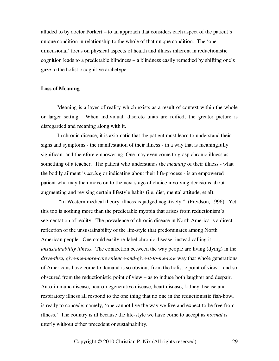alluded to by doctor Porkert – to an approach that considers each aspect of the patient's unique condition in relationship to the whole of that unique condition. The 'onedimensional' focus on physical aspects of health and illness inherent in reductionistic cognition leads to a predictable blindness – a blindness easily remedied by shifting one's gaze to the holistic cognitive archetype.

#### **Loss of Meaning**

Meaning is a layer of reality which exists as a result of context within the whole or larger setting. When individual, discrete units are reified, the greater picture is disregarded and meaning along with it.

In chronic disease, it is axiomatic that the patient must learn to understand their signs and symptoms - the manifestation of their illness - in a way that is meaningfully significant and therefore empowering. One may even come to grasp chronic illness as something of a teacher. The patient who understands the *meaning* of their illness - what the bodily ailment is *saying* or indicating about their life-process - is an empowered patient who may then move on to the next stage of choice involving decisions about augmenting and revising certain lifestyle habits (i.e. diet, mental attitude, et al).

 "In Western medical theory, illness is judged negatively." (Freidson, 1996) Yet this too is nothing more than the predictable myopia that arises from reductionism's segmentation of reality. The prevalence of chronic disease in North America is a direct reflection of the unsustainability of the life-style that predominates among North American people. One could easily re-label chronic disease, instead calling it *unsustainability illness*. The connection between the way people are living (dying) in the *drive-thru, give-me-more-convenience-and-give-it-to-me-now* way that whole generations of Americans have come to demand is so obvious from the holistic point of view – and so obscured from the reductionistic point of view – as to induce both laughter and despair. Auto-immune disease, neuro-degenerative disease, heart disease, kidney disease and respiratory illness all respond to the one thing that no one in the reductionistic fish-bowl is ready to concede; namely, 'one cannot live the way we live and expect to be free from illness.' The country is ill because the life-style we have come to accept as *normal* is utterly without either precedent or sustainability.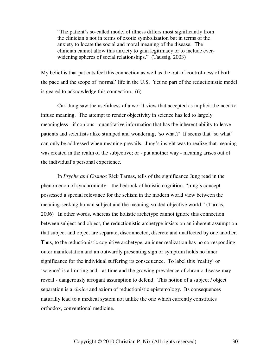"The patient's so-called model of illness differs most significantly from the clinician's not in terms of exotic symbolization but in terms of the anxiety to locate the social and moral meaning of the disease. The clinician cannot allow this anxiety to gain legitimacy or to include everwidening spheres of social relationships." (Taussig, 2003)

My belief is that patients feel this connection as well as the out-of-control-ness of both the pace and the scope of 'normal' life in the U.S. Yet no part of the reductionistic model is geared to acknowledge this connection. (6)

Carl Jung saw the usefulness of a world-view that accepted as implicit the need to infuse meaning. The attempt to render objectivity in science has led to largely meaningless - if copious - quantitative information that has the inherent ability to leave patients and scientists alike stumped and wondering, 'so what?' It seems that 'so what' can only be addressed when meaning prevails. Jung's insight was to realize that meaning was created in the realm of the subjective; or - put another way - meaning arises out of the individual's personal experience.

In *Psyche and Cosmos* Rick Tarnas, tells of the significance Jung read in the phenomenon of synchronicity – the bedrock of holistic cognition. "Jung's concept possessed a special relevance for the schism in the modern world view between the meaning-seeking human subject and the meaning-voided objective world." (Tarnas, 2006) In other words, whereas the holistic archetype cannot ignore this connection between subject and object, the reductionistic archetype insists on an inherent assumption that subject and object are separate, disconnected, discrete and unaffected by one another. Thus, to the reductionistic cognitive archetype, an inner realization has no corresponding outer manifestation and an outwardly presenting sign or symptom holds no inner significance for the individual suffering its consequence. To label this 'reality' or 'science' is a limiting and - as time and the growing prevalence of chronic disease may reveal - dangerously arrogant assumption to defend. This notion of a subject / object separation is a *choice* and axiom of reductionistic epistemology. Its consequences naturally lead to a medical system not unlike the one which currently constitutes orthodox, conventional medicine.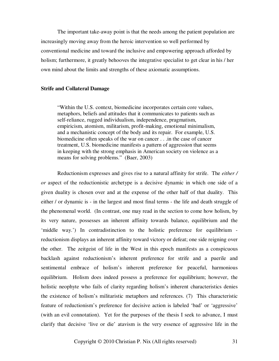The important take-away point is that the needs among the patient population are increasingly moving away from the heroic intervention so well performed by conventional medicine and toward the inclusive and empowering approach afforded by holism; furthermore, it greatly behooves the integrative specialist to get clear in his / her own mind about the limits and strengths of these axiomatic assumptions.

#### **Strife and Collateral Damage**

"Within the U.S. context, biomedicine incorporates certain core values, metaphors, beliefs and attitudes that it communicates to patients such as self-reliance, rugged individualism, independence, pragmatism, empiricism, atomism, militarism, profit-making, emotional minimalism, and a mechanistic concept of the body and its repair. For example, U.S. biomedicine often speaks of the war on cancer . . .in the case of cancer treatment, U.S. biomedicine manifests a pattern of aggression that seems in keeping with the strong emphasis in American society on violence as a means for solving problems." (Baer, 2003)

Reductionism expresses and gives rise to a natural affinity for strife. The *either / or* aspect of the reductionistic archetype is a decisive dynamic in which one side of a given duality is chosen over and at the expense of the other half of that duality. This either / or dynamic is - in the largest and most final terms - the life and death struggle of the phenomenal world. (In contrast, one may read in the section to come how holism, by its very nature, possesses an inherent affinity towards balance, equilibrium and the 'middle way.') In contradistinction to the holistic preference for equilibrium reductionism displays an inherent affinity toward victory or defeat; one side reigning over the other. The zeitgeist of life in the West in this epoch manifests as a conspicuous backlash against reductionism's inherent preference for strife and a puerile and sentimental embrace of holism's inherent preference for peaceful, harmonious equilibrium. Holism does indeed possess a preference for equilibrium; however, the holistic neophyte who fails of clarity regarding holism's inherent characteristics denies the existence of holism's militaristic metaphors and references. (7) This characteristic feature of reductionism's preference for decisive action is labeled 'bad' or 'aggressive' (with an evil connotation). Yet for the purposes of the thesis I seek to advance, I must clarify that decisive 'live or die' atavism is the very essence of aggressive life in the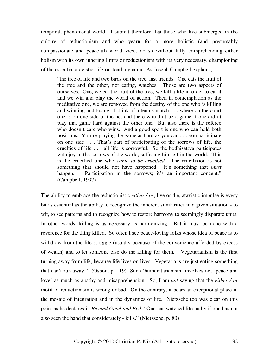temporal, phenomenal world. I submit therefore that those who live submerged in the culture of reductionism and who yearn for a more holistic (and presumably compassionate and peaceful) world view, do so without fully comprehending either holism with its own inhering limits or reductionism with its very necessary, championing of the essential atavistic, life-or-death dynamic. As Joseph Campbell explains,

"the tree of life and two birds on the tree, fast friends. One eats the fruit of the tree and the other, not eating, watches. Those are two aspects of ourselves. One, we eat the fruit of the tree, we kill a life in order to eat it and we win and play the world of action. Then in contemplation as the meditative one, we are removed from the destiny of the one who is killing and winning and losing. I think of a tennis match . . . where on the court one is on one side of the net and there wouldn't be a game if one didn't play that game hard against the other one. But also there is the referee who doesn't care who wins. And a good sport is one who can hold both positions. You're playing the game as hard as you can . . . you participate on one side . . . That's part of participating of the sorrows of life, the cruelties of life . . . all life is sorrowful. So the bodhisattva participates with joy in the sorrows of the world, suffering himself in the world. This is the crucified one who *came to be crucified*. The crucifixion is not something that should not have happened. It's something that *must*  happen. Participation in the sorrows; it's an important concept." (Campbell, 1997)

The ability to embrace the reductionistic *either / or*, live or die, atavistic impulse is every bit as essential as the ability to recognize the inherent similarities in a given situation - to wit, to see patterns and to recognize how to restore harmony to seemingly disparate units. In other words, killing is as necessary as harmonizing. But it must be done with a reverence for the thing killed. So often I see peace-loving folks whose idea of peace is to withdraw from the life-struggle (usually because of the convenience afforded by excess of wealth) and to let someone else do the killing for them. "Vegetarianism is the first turning away from life, because life lives on lives. Vegetarians are just eating something that can't run away." (Osbon, p. 119) Such 'humanitarianism' involves not 'peace and love' as much as apathy and misapprehension. So, I am *not* saying that the *either / or* motif of reductionism is wrong or bad. On the contrary, it bears an exceptional place in the mosaic of integration and in the dynamics of life. Nietzsche too was clear on this point as he declares in *Beyond Good and Evil*, "One has watched life badly if one has not also seen the hand that considerately - kills." (Nietzsche, p. 80)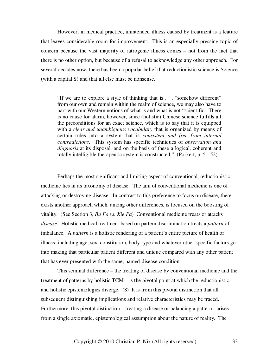However, in medical practice, unintended illness caused by treatment is a feature that leaves considerable room for improvement. This is an especially pressing topic of concern because the vast majority of iatrogenic illness comes – not from the fact that there is no other option, but because of a refusal to acknowledge any other approach. For several decades now, there has been a popular belief that reductionistic science is Science (with a capital S) and that all else must be nonsense.

"If we are to explore a style of thinking that is . . . "somehow different" from our own and remain within the realm of science, we may also have to part with our Western notions of what is and what is not "scientific. There is no cause for alarm, however, since (holistic) Chinese science fulfills all the preconditions for an exact science, which is to say that it is equipped with a *clear and unambiguous vocabulary* that is organized by means of certain rules into a system that is *consistent and free from internal contradictions*. This system has specific techniques of *observation and diagnosis* at its disposal, and on the basis of these a logical, coherent and totally intelligible therapeutic system is constructed." (Porkert, p. 51-52)

Perhaps the most significant and limiting aspect of conventional, reductionistic medicine lies in its taxonomy of disease. The aim of conventional medicine is one of attacking or destroying disease. In contrast to this preference to focus on disease, there exists another approach which, among other differences, is focused on the boosting of vitality. (See Section 3, *Bu Fa vs. Xie Fa*) Conventional medicine treats or attacks *disease*. Holistic medical treatment based on pattern discrimination treats a *pattern* of imbalance. A *pattern* is a holistic rendering of a patient's entire picture of health or illness; including age, sex, constitution, body-type and whatever other specific factors go into making that particular patient different and unique compared with any other patient that has ever presented with the same, named-disease condition.

 This seminal difference – the treating of disease by conventional medicine and the treatment of patterns by holistic TCM – is the pivotal point at which the reductionistic and holistic epistemologies diverge. (8) It is from this pivotal distinction that all subsequent distinguishing implications and relative characteristics may be traced. Furthermore, this pivotal distinction – treating a disease or balancing a pattern - arises from a single axiomatic, epistemological assumption about the nature of reality. The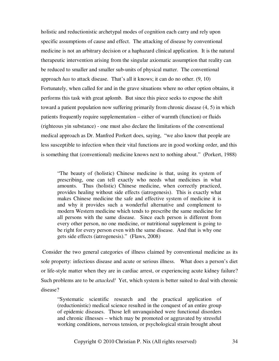holistic and reductionistic archetypal modes of cognition each carry and rely upon specific assumptions of cause and effect. The attacking of disease by conventional medicine is not an arbitrary decision or a haphazard clinical application. It is the natural therapeutic intervention arising from the singular axiomatic assumption that reality can be reduced to smaller and smaller sub-units of physical matter. The conventional approach *has* to attack disease. That's all it knows; it can do no other. (9, 10) Fortunately, when called for and in the grave situations where no other option obtains, it performs this task with great aplomb. But since this piece seeks to expose the shift toward a patient population now suffering primarily from chronic disease (4, 5) in which patients frequently require supplementation – either of warmth (function) or fluids (righteous yin substance) - one must also declare the limitations of the conventional medical approach as Dr. Manfred Porkert does, saying, "we also know that people are less susceptible to infection when their vital functions are in good working order, and this is something that (conventional) medicine knows next to nothing about." (Porkert, 1988)

"The beauty of (holistic) Chinese medicine is that, using its system of prescribing, one can tell exactly who needs what medicines in what amounts. Thus (holistic) Chinese medicine, when correctly practiced, provides healing without side effects (iatrogenesis). This is exactly what makes Chinese medicine the safe and effective system of medicine it is and why it provides such a wonderful alternative and complement to modern Western medicine which tends to prescribe the same medicine for all persons with the same disease. Since each person is different from every other person, no one medicine, or nutritional supplement is going to be right for every person even with the same disease. And that is why one gets side effects (iatrogenesis)." (Flaws, 2008)

 Consider the two general categories of illness claimed by conventional medicine as its sole property: infectious disease and acute or serious illness. What does a person's diet or life-style matter when they are in cardiac arrest, or experiencing acute kidney failure? Such problems are to be *attacked!* Yet, which system is better suited to deal with chronic disease?

"Systematic scientific research and the practical application of (reductionistic) medical science resulted in the conquest of an entire group of epidemic diseases. Those left unvanquished were functional disorders and chronic illnesses – which may be promoted or aggravated by stressful working conditions, nervous tension, or psychological strain brought about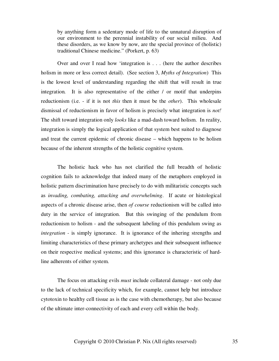by anything form a sedentary mode of life to the unnatural disruption of our environment to the perennial instability of our social milieu. And these disorders, as we know by now, are the special province of (holistic) traditional Chinese medicine." (Porkert, p. 63)

Over and over I read how 'integration is . . . (here the author describes holism in more or less correct detail). (See section 3, *Myths of Integration*) This is the lowest level of understanding regarding the shift that will result in true integration*.* It is also representative of the either / or motif that underpins reductionism (i.e. - if it is not *this* then it must be the *other*). This wholesale dismissal of reductionism in favor of holism is precisely what integration is *not!* The shift toward integration only *looks* like a mad-dash toward holism. In reality, integration is simply the logical application of that system best suited to diagnose and treat the current epidemic of chronic disease – which happens to be holism because of the inherent strengths of the holistic cognitive system.

The holistic hack who has not clarified the full breadth of holistic cognition fails to acknowledge that indeed many of the metaphors employed in holistic pattern discrimination have precisely to do with militaristic concepts such as *invading, combating, attacking and overwhelming*. If acute or histological aspects of a chronic disease arise, then *of course* reductionism will be called into duty in the service of integration. But this swinging of the pendulum from reductionism to holism - and the subsequent labeling of this pendulum swing as *integration* - is simply ignorance. It is ignorance of the inhering strengths and limiting characteristics of these primary archetypes and their subsequent influence on their respective medical systems; and this ignorance is characteristic of hardline adherents of either system.

The focus on attacking evils *must* include collateral damage - not only due to the lack of technical specificity which, for example, cannot help but introduce cytotoxin to healthy cell tissue as is the case with chemotherapy, but also because of the ultimate inter-connectivity of each and every cell within the body.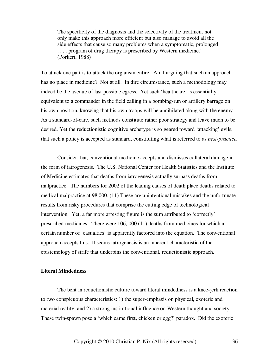The specificity of the diagnosis and the selectivity of the treatment not only make this approach more efficient but also manage to avoid all the side effects that cause so many problems when a symptomatic, prolonged . . . . program of drug therapy is prescribed by Western medicine." (Porkert, 1988)

To attack one part is to attack the organism entire. Am I arguing that such an approach has no place in medicine? Not at all. In dire circumstance, such a methodology may indeed be the avenue of last possible egress. Yet such 'healthcare' is essentially equivalent to a commander in the field calling in a bombing-run or artillery barrage on his own position, knowing that his own troops will be annihilated along with the enemy. As a standard-of-care, such methods constitute rather poor strategy and leave much to be desired. Yet the reductionistic cognitive archetype is so geared toward 'attacking' evils, that such a policy is accepted as standard, constituting what is referred to as *best-practice.*

Consider that, conventional medicine accepts and dismisses collateral damage in the form of iatrogenesis. The U.S. National Center for Health Statistics and the Institute of Medicine estimates that deaths from iatrogenesis actually surpass deaths from malpractice. The numbers for 2002 of the leading causes of death place deaths related to medical malpractice at 98,000. (11) These are unintentional mistakes and the unfortunate results from risky procedures that comprise the cutting edge of technological intervention. Yet, a far more arresting figure is the sum attributed to 'correctly' prescribed medicines. There were 106, 000 (11) deaths from medicines for which a certain number of 'casualties' is apparently factored into the equation. The conventional approach accepts this. It seems iatrogenesis is an inherent characteristic of the epistemology of strife that underpins the conventional, reductionistic approach.

#### **Literal Mindedness**

The bent in reductionistic culture toward literal mindedness is a knee-jerk reaction to two conspicuous characteristics: 1) the super-emphasis on physical, exoteric and material reality; and 2) a strong institutional influence on Western thought and society. These twin-spawn pose a 'which came first, chicken or egg?' paradox. Did the exoteric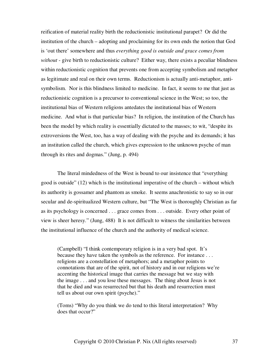reification of material reality birth the reductionistic institutional parapet? Or did the institution of the church – adopting and proclaiming for its own ends the notion that God is 'out there' somewhere and thus *everything good is outside and grace comes from without* - give birth to reductionistic culture? Either way, there exists a peculiar blindness within reductionistic cognition that prevents one from accepting symbolism and metaphor as legitimate and real on their own terms. Reductionism is actually anti-metaphor, antisymbolism. Nor is this blindness limited to medicine. In fact, it seems to me that just as reductionistic cognition is a precursor to conventional science in the West; so too, the institutional bias of Western religions antedates the institutional bias of Western medicine. And what is that particular bias? In religion, the institution of the Church has been the model by which reality is essentially dictated to the masses; to wit, "despite its extroversions the West, too, has a way of dealing with the psyche and its demands; it has an institution called the church, which gives expression to the unknown psyche of man through its rites and dogmas." (Jung, p. 494)

The literal mindedness of the West is bound to our insistence that "everything good is outside" (12) which is the institutional imperative of the church – without which its authority is gossamer and phantom as smoke. It seems anachronistic to say so in our secular and de-spiritualized Western culture, but "The West is thoroughly Christian as far as its psychology is concerned . . . grace comes from . . . outside. Every other point of view is sheer heresy." (Jung, 488) It is not difficult to witness the similarities between the institutional influence of the church and the authority of medical science.

(Campbell) "I think contemporary religion is in a very bad spot. It's because they have taken the symbols as the reference. For instance . . . religions are a constellation of metaphors; and a metaphor points to connotations that are of the spirit, not of history and in our religions we're accenting the historical image that carries the message but we stay with the image . . . and you lose these messages. The thing about Jesus is not that he died and was resurrected but that his death and resurrection must tell us about our own spirit (psyche)."

(Toms) "Why do you think we do tend to this literal interpretation? Why does that occur?"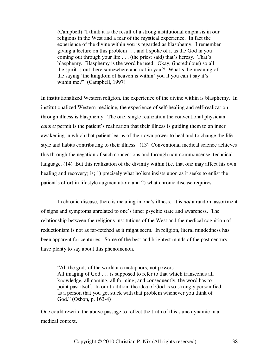(Campbell) "I think it is the result of a strong institutional emphasis in our religions in the West and a fear of the mystical experience. In fact the experience of the divine within you is regarded as blasphemy. I remember giving a lecture on this problem . . . and I spoke of it as the God in you coming out through your life . . . (the priest said) that's heresy. That's blasphemy. Blasphemy is the word he used. Okay, (incredulous) so all the spirit is out there somewhere and not in you?! What's the meaning of the saying 'the kingdom of heaven is within' you if you can't say it's within me?" (Campbell, 1997)

In institutionalized Western religion, the experience of the divine within is blasphemy. In institutionalized Western medicine, the experience of self-healing and self-realization through illness is blasphemy. The one, single realization the conventional physician *cannot* permit is the patient's realization that their illness is guiding them to an inner awakening in which that patient learns of their own power to heal and to change the lifestyle and habits contributing to their illness. (13) Conventional medical science achieves this through the negation of such connections and through non-commonsense, technical language. (14) But this realization of the divinity within (i.e. that one may affect his own healing and recovery) is; 1) precisely what holism insists upon as it seeks to enlist the patient's effort in lifestyle augmentation; and 2) what chronic disease requires.

In chronic disease, there is meaning in one's illness. It is *not* a random assortment of signs and symptoms unrelated to one's inner psychic state and awareness. The relationship between the religious institutions of the West and the medical cognition of reductionism is not as far-fetched as it might seem. In religion, literal mindedness has been apparent for centuries. Some of the best and brightest minds of the past century have plenty to say about this phenomenon.

"All the gods of the world are metaphors, not powers. All imaging of God . . . is supposed to refer to that which transcends all knowledge, all naming, all forming; and consequently, the word has to point past itself. In our tradition, the idea of God is so strongly personified as a person that you get stuck with that problem whenever you think of God." (Osbon, p. 163-4)

One could rewrite the above passage to reflect the truth of this same dynamic in a medical context.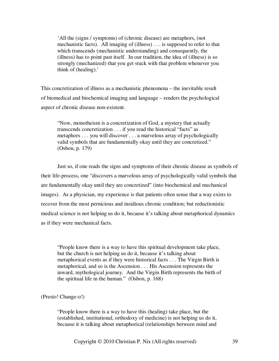'All the (signs / symptoms) of (chronic disease) are metaphors, (not mechanistic facts). All imaging of (illness) . . . is supposed to refer to that which transcends (mechanistic understanding) and consequently, the (illness) has to point past itself. In our tradition, the idea of (illness) is so strongly (mechanized) that you get stuck with that problem whenever you think of (healing).'

This concretization of illness as a mechanistic phenomena – the inevitable result of biomedical and biochemical imaging and language – renders the psychological aspect of chronic disease non-existent.

"Now, monotheism is a concretization of God, a mystery that actually transcends concretization . . . if you read the historical "facts" as metaphors . . . you will discover . . . a marvelous array of psychologically valid symbols that are fundamentally okay until they are concretized." (Osbon, p. 179)

Just so, if one reads the signs and symptoms of their chronic disease as symbols of their life-process, one "discovers a marvelous array of psychologically valid symbols that are fundamentally okay until they are concretized" (into biochemical and mechanical images). As a physician, my experience is that patients often sense that a way exists to recover from the most pernicious and insidious chronic condition; but reductionistic medical science is not helping us do it, because it's talking about metaphorical dynamics as if they were mechanical facts.

"People know there is a way to have this spiritual development take place, but the church is not helping us do it, because it's talking about metaphorical events as if they were historical facts . . . The Virgin Birth is metaphorical, and so is the Ascension . . . His Ascension represents the inward, mythological journey. And the Virgin Birth represents the birth of the spiritual life in the human." (Osbon, p. 168)

## (Presto! Change-o!)

"People know there is a way to have this (healing) take place, but the (established, institutional, orthodoxy of medicine) is not helping us do it, because it is talking about metaphorical (relationships between mind and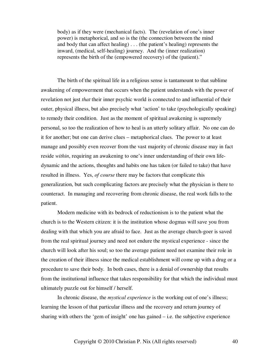body) as if they were (mechanical facts). The (revelation of one's inner power) is metaphorical, and so is the (the connection between the mind and body that can affect healing) . . . (the patient's healing) represents the inward, (medical, self-healing) journey. And the (inner realization) represents the birth of the (empowered recovery) of the (patient)."

The birth of the spiritual life in a religious sense is tantamount to that sublime awakening of empowerment that occurs when the patient understands with the power of revelation not just *that* their inner psychic world is connected to and influential of their outer, physical illness, but also precisely what 'action' to take (psychologically speaking) to remedy their condition. Just as the moment of spiritual awakening is supremely personal, so too the realization of how to heal is an utterly solitary affair. No one can do it for another; but one can derive clues – metaphorical clues. The power to at least manage and possibly even recover from the vast majority of chronic disease may in fact reside *within*, requiring an awakening to one's inner understanding of their own lifedynamic and the actions, thoughts and habits one has taken (or failed to take) that have resulted in illness. Yes, *of course* there may be factors that complicate this generalization, but such complicating factors are precisely what the physician is there to counteract. In managing and recovering from chronic disease, the real work falls to the patient.

Modern medicine with its bedrock of reductionism is to the patient what the church is to the Western citizen: it is the institution whose dogmas will save you from dealing with that which you are afraid to face. Just as the average church-goer is saved from the real spiritual journey and need not endure the mystical experience - since the church will look after his soul; so too the average patient need not examine their role in the creation of their illness since the medical establishment will come up with a drug or a procedure to save their body. In both cases, there is a denial of ownership that results from the institutional influence that takes responsibility for that which the individual must ultimately puzzle out for himself / herself.

In chronic disease, the *mystical experience* is the working out of one's illness; learning the lesson of that particular illness and the recovery and return journey of sharing with others the 'gem of insight' one has gained – i.e. the subjective experience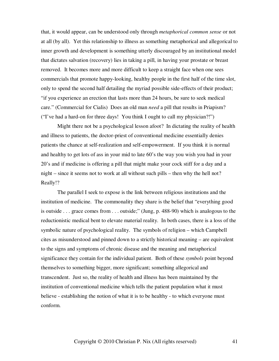that, it would appear, can be understood only through *metaphorical common sense* or not at all (by all). Yet this relationship to illness as something metaphorical and allegorical to inner growth and development is something utterly discouraged by an institutional model that dictates salvation (recovery) lies in taking a pill, in having your prostate or breast removed. It becomes more and more difficult to keep a straight face when one sees commercials that promote happy-looking, healthy people in the first half of the time slot, only to spend the second half detailing the myriad possible side-effects of their product; "if you experience an erection that lasts more than 24 hours, be sure to seek medical care." (Commercial for Cialis) Does an old man *need* a pill that results in Priapism? ("I've had a hard-on for three days! You think I ought to call my physician?!")

Might there not be a psychological lesson afoot? In dictating the reality of health and illness to patients, the doctor-priest of conventional medicine essentially denies patients the chance at self-realization and self-empowerment. If you think it is normal and healthy to get lots of ass in your mid to late 60's the way you wish you had in your 20's and if medicine is offering a pill that might make your cock stiff for a day and a night – since it seems not to work at all without such pills – then why the hell not? Really!?

The parallel I seek to expose is the link between religious institutions and the institution of medicine. The commonality they share is the belief that "everything good is outside . . . grace comes from . . . outside;" (Jung, p. 488-90) which is analogous to the reductionistic medical bent to elevate material reality. In both cases, there is a loss of the symbolic nature of psychological reality. The symbols of religion – which Campbell cites as misunderstood and pinned down to a strictly historical meaning – are equivalent to the signs and symptoms of chronic disease and the meaning and metaphorical significance they contain for the individual patient. Both of these *symbols* point beyond themselves to something bigger, more significant; something allegorical and transcendent. Just so, the reality of health and illness has been maintained by the institution of conventional medicine which tells the patient population what it must believe - establishing the notion of what it is to be healthy - to which everyone must conform.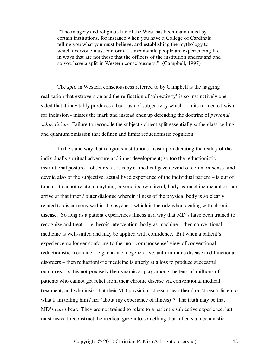"The imagery and religious life of the West has been maintained by certain institutions, for instance when you have a College of Cardinals telling you what you must believe, and establishing the mythology to which everyone must conform . . . meanwhile people are experiencing life in ways that are not those that the officers of the institution understand and so you have a split in Western consciousness." (Campbell, 1997)

The *split* in Western consciousness referred to by Campbell is the nagging realization that extroversion and the reification of 'objectivity' is so instinctively onesided that it inevitably produces a backlash of subjectivity which – in its tormented wish for inclusion - misses the mark and instead ends up defending the doctrine of *personal subjectivism*. Failure to reconcile the subject / object split essentially *is* the glass-ceiling and quantum omission that defines and limits reductionistic cognition.

In the same way that religious institutions insist upon dictating the reality of the individual's spiritual adventure and inner development; so too the reductionistic institutional posture – obscured as it is by a 'medical gaze devoid of common-sense' and devoid also of the subjective, actual lived experience of the individual patient – is out of touch. It cannot relate to anything beyond its own literal, body-as-machine metaphor, nor arrive at that inner / outer dialogue wherein illness of the physical body is so clearly related to disharmony within the psyche – which is the rule when dealing with chronic disease. So long as a patient experiences illness in a way that MD's have been trained to recognize and treat – i.e. heroic intervention, body-as-machine – then conventional medicine is well-suited and may be applied with confidence. But when a patient's experience no longer conforms to the 'non-commonsense' view of conventional reductionistic medicine – e.g. chronic, degenerative, auto-immune disease and functional disorders – then reductionistic medicine is utterly at a loss to produce successful outcomes. Is this not precisely the dynamic at play among the tens-of-millions of patients who cannot get relief from their chronic disease via conventional medical treatment; and who insist that their MD physician 'doesn't hear them' or 'doesn't listen to what I am telling him / her (about my experience of illness)'? The truth may be that MD's *can't* hear. They are not trained to relate to a patient's subjective experience, but must instead reconstruct the medical gaze into something that reflects a mechanistic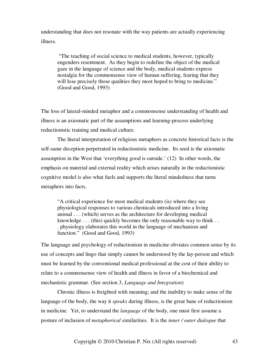understanding that does not resonate with the way patients are actually experiencing illness.

 "The teaching of social science to medical students, however, typically engenders resentment. As they begin to redefine the object of the medical gaze in the language of science and the body, medical students express nostalgia for the commonsense view of human suffering, fearing that they will lose precisely those qualities they most hoped to bring to medicine." (Good and Good, 1993)

The loss of lateral-minded metaphor and a commonsense understanding of health and illness is an axiomatic part of the assumptions and learning-process underlying reductionistic training and medical culture.

The literal interpretation of religious metaphors as concrete historical facts is the self-same deception perpetrated in reductionistic medicine. Its seed is the axiomatic assumption in the West that 'everything good is outside.' (12) In other words, the emphasis on material and external reality which arises naturally in the reductionistic cognitive model is also what fuels and supports the literal mindedness that turns metaphors into facts.

"A critical experience for most medical students (is) where they see physiological responses to various chemicals introduced into a living animal . . . (which) serves as the architecture for developing medical knowledge . . . (this) quickly becomes the only reasonable way to think . . . physiology elaborates this world in the language of mechanism and function." (Good and Good, 1993)

The language and psychology of reductionism in medicine obviates common sense by its use of concepts and lingo that simply cannot be understood by the lay-person and which must be learned by the conventional medical professional at the cost of their ability to relate to a commonsense view of health and illness in favor of a biochemical and mechanistic grammar. (See section 3, *Language and Integration*)

Chronic illness is freighted with meaning; and the inability to make sense of the language of the body, the way it *speaks* during illness, is the great bane of reductionism in medicine. Yet, to understand the *language* of the body, one must first assume a posture of inclusion of *metaphorical* similarities. It is the *inner / outer dialogue* that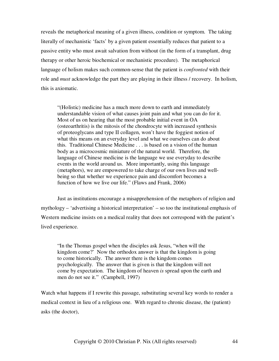reveals the metaphorical meaning of a given illness, condition or symptom. The taking literally of mechanistic 'facts' by a given patient essentially reduces that patient to a passive entity who must await salvation from without (in the form of a transplant, drug therapy or other heroic biochemical or mechanistic procedure). The metaphorical language of holism makes such common-sense that the patient is *confronted* with their role and *must* acknowledge the part they are playing in their illness / recovery. In holism, this is axiomatic.

"(Holistic) medicine has a much more down to earth and immediately understandable vision of what causes joint pain and what you can do for it. Most of us on hearing that the most probable initial event in OA (osteoarthritis) is the mitosis of the chondrocyte with increased synthesis of proteoglycans and type II collagen, won't have the foggiest notion of what this means on an everyday level and what we ourselves can do about this. Traditional Chinese Medicine . . . is based on a vision of the human body as a microcosmic miniature of the natural world. Therefore, the language of Chinese medicine is the language we use everyday to describe events in the world around us. More importantly, using this language (metaphors), we are empowered to take charge of our own lives and wellbeing so that whether we experience pain and discomfort becomes a function of how we live our life." (Flaws and Frank, 2006)

Just as institutions encourage a misapprehension of the metaphors of religion and mythology – 'advertising a historical interpretation' – so too the institutional emphasis of Western medicine insists on a medical reality that does not correspond with the patient's lived experience.

"In the Thomas gospel when the disciples ask Jesus, "when will the kingdom come?' Now the orthodox answer is that the kingdom is going to come historically. The answer there is the kingdom comes psychologically. The answer that is given is that the kingdom will not come by expectation. The kingdom of heaven *is* spread upon the earth and men do not see it." (Campbell, 1997)

Watch what happens if I rewrite this passage, substituting several key words to render a medical context in lieu of a religious one. With regard to chronic disease, the (patient) asks (the doctor),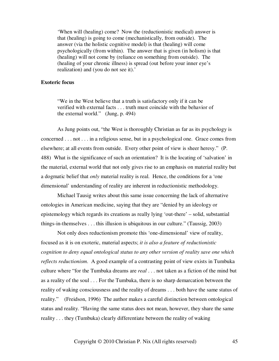'When will (healing) come? Now the (reductionistic medical) answer is that (healing) is going to come (mechanistically, from outside). The answer (via the holistic cognitive model) is that (healing) will come psychologically (from within). The answer that is given (in holism) is that (healing) will not come by (reliance on something from outside). The (healing of your chronic illness) is spread (out before your inner eye's realization) and (you do not see it).'

## **Exoteric focus**

"We in the West believe that a truth is satisfactory only if it can be verified with external facts . . . truth must coincide with the behavior of the external world." (Jung, p. 494)

As Jung points out, "the West is thoroughly Christian as far as its psychology is concerned . . . not . . . in a religious sense, but in a psychological one. Grace comes from elsewhere; at all events from outside. Every other point of view is sheer heresy." (P. 488) What is the significance of such an orientation? It is the locating of 'salvation' in the material, external world that not only gives rise to an emphasis on material reality but a dogmatic belief that *only* material reality is real. Hence, the conditions for a 'one dimensional' understanding of reality are inherent in reductionistic methodology.

Michael Tausig writes about this same issue concerning the lack of alternative ontologies in American medicine, saying that they are "denied by an ideology or epistemology which regards its creations as really lying 'out-there' – solid, substantial things-in-themselves . . . this illusion is ubiquitous in our culture." (Taussig, 2003)

Not only does reductionism promote this 'one-dimensional' view of reality, focused as it is on exoteric, material aspects; *it is also a feature of reductionistic cognition to deny equal ontological status to any other version of reality save one which reflects reductionism*. A good example of a contrasting point of view exists in Tumbuka culture where "for the Tumbuka dreams are *real* . . . not taken as a fiction of the mind but as a reality of the soul . . . For the Tumbuka, there is no sharp demarcation between the reality of waking consciousness and the reality of dreams . . . both have the same status of reality." (Freidson, 1996) The author makes a careful distinction between ontological status and reality. "Having the same status does not mean, however, they share the same reality . . . they (Tumbuka) clearly differentiate between the reality of waking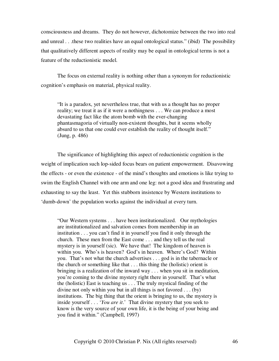consciousness and dreams. They do not however, dichotomize between the two into real and unreal . . .these two realities have an equal ontological status." (ibid) The possibility that qualitatively different aspects of reality may be equal in ontological terms is not a feature of the reductionistic model.

The focus on external reality is nothing other than a synonym for reductionistic cognition's emphasis on material, physical reality.

"It is a paradox, yet nevertheless true, that with us a thought has no proper reality; we treat it as if it were a nothingness . . . We can produce a most devastating fact like the atom bomb with the ever-changing phantasmagoria of virtually non-existent thoughts, but it seems wholly absurd to us that one could ever establish the reality of thought itself." (Jung, p. 486)

The significance of highlighting this aspect of reductionistic cognition is the weight of implication such lop-sided focus bears on patient empowerment. Disavowing the effects - or even the existence - of the mind's thoughts and emotions is like trying to swim the English Channel with one arm and one leg: not a good idea and frustrating and exhausting to say the least. Yet this stubborn insistence by Western institutions to 'dumb-down' the population works against the individual at every turn.

"Our Western systems . . . have been institutionalized. Our mythologies are institutionalized and salvation comes from membership in an institution . . . you can't find it in yourself you find it only through the church. These men from the East come . . . and they tell us the real mystery is in yourself (sic). We have that! The kingdom of heaven is within you. Who's is heaven? God's in heaven. Where's God? Within you. That's not what the church advertises . . . god is in the tabernacle or the church or something like that . . . this thing the (holistic) orient is bringing is a realization of the inward way . . . when you sit in meditation, you're coming to the divine mystery right there in yourself. That's what the (holistic) East is teaching us . . . The truly mystical finding of the divine not only within you but in all things is not favored . . . (by) institutions. The big thing that the orient is bringing to us, the mystery is inside yourself . . . '*You are it*.' That divine mystery that you seek to know is the very source of your own life, it is the being of your being and you find it within." (Campbell, 1997)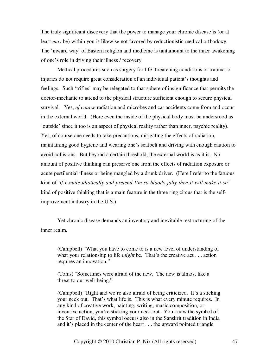The truly significant discovery that the power to manage your chronic disease is (or at least *may* be) within you is likewise not favored by reductionistic medical orthodoxy. The 'inward way' of Eastern religion and medicine is tantamount to the inner awakening of one's role in driving their illness / recovery.

Medical procedures such as surgery for life threatening conditions or traumatic injuries do not require great consideration of an individual patient's thoughts and feelings. Such 'trifles' may be relegated to that sphere of insignificance that permits the doctor-mechanic to attend to the physical structure sufficient enough to secure physical survival. Yes, *of course* radiation and microbes and car accidents come from and occur in the external world. (Here even the inside of the physical body must be understood as 'outside' since it too is an aspect of physical reality rather than inner, psychic reality). Yes, of course one needs to take precautions, mitigating the effects of radiation, maintaining good hygiene and wearing one's seatbelt and driving with enough caution to avoid collisions. But beyond a certain threshold, the external world is as it is. No amount of positive thinking can preserve one from the effects of radiation exposure or acute pestilential illness or being mangled by a drunk driver. (Here I refer to the fatuous kind of *'if-I-smile-idiotically-and-pretend-I'm-so-bloody-jolly-then-it-will-make-it-so'* kind of positive thinking that is a main feature in the three ring circus that is the selfimprovement industry in the U.S.)

Yet chronic disease demands an inventory and inevitable restructuring of the inner realm.

(Campbell) "What you have to come to is a new level of understanding of what your relationship to life *might* be. That's the creative act . . . action requires an innovation."

(Toms) "Sometimes were afraid of the new. The new is almost like a threat to our well-being."

(Campbell) "Right and we're also afraid of being criticized. It's a sticking your neck out. That's what life is. This is what every minute requires. In any kind of creative work, painting, writing, music composition, or inventive action, you're sticking your neck out. You know the symbol of the Star of David, this symbol occurs also in the Sanskrit tradition in India and it's placed in the center of the heart . . . the upward pointed triangle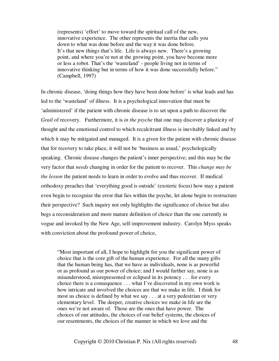(represents) 'effort' to move toward the spiritual call of the new, innovative experience. The other represents the inertia that calls you down to what was done before and the way it was done before. It's that new things that's life. Life is always new. There's a growing point, and where you're not at the growing point, you have become more or less a robot. That's the 'wasteland' - people living not in terms of innovative thinking but in terms of how it was done successfully before." (Campbell, 1997)

In chronic disease, 'doing things how they have been done before' is what leads and has led to the 'wasteland' of illness. It is a psychological innovation that must be 'administered' if the patient with chronic disease is to set upon a path to discover the *Grail* of recovery. Furthermore, it is *in the psyche* that one may discover a plasticity of thought and the emotional control to which recalcitrant illness is inevitably linked and by which it may be mitigated and managed. It is a given for the patient with chronic disease that for recovery to take place, it will not be 'business as usual,' psychologically speaking. Chronic disease changes the patient's inner perspective; and this may be the very factor that *needs* changing in order for the patient to recover. This *change may be the lesson* the patient needs to learn in order to evolve and thus recover. If medical orthodoxy preaches that 'everything good is outside' (exoteric focus) how may a patient even begin to recognize the error that lies within the psyche, let alone begin to restructure their perspective? Such inquiry not only highlights the significance of choice but also begs a reconsideration and more mature definition of choice than the one currently in vogue and invoked by the New Age, self-improvement industry. Carolyn Myss speaks with conviction about the profound power of choice,

"Most important of all, I hope to highlight for you the significant power of choice that is the core gift of the human experience. For all the many gifts that the human being has, that we have as individuals, none is as powerful or as profound as our power of choice; and I would further say, none is as misunderstood, misrepresented or eclipsed in its potency . . . for every choice there is a consequence . . . what I've discovered in my own work is how intricate and involved the choices are that we make in life. I think for most us choice is defined by what we say . . . at a very pedestrian or very elementary level. The deeper, creative choices we make in life are the ones we're not aware of. Those are the ones that have power. The choices of our attitudes, the choices of our belief systems, the choices of our resentments, the choices of the manner in which we love and the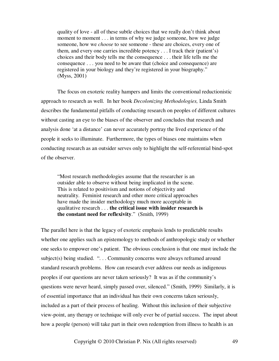quality of love - all of these subtle choices that we really don't think about moment to moment . . . in terms of why we judge someone, how we judge someone, how we *choose* to see someone - these are choices, every one of them, and every one carries incredible potency . . . I track their (patient's) choices and their body tells me the consequence . . . their life tells me the consequence . . . you need to be aware that (choice and consequence) are registered in your biology and they're registered in your biography." (Myss, 2001)

The focus on exoteric reality hampers and limits the conventional reductionistic approach to research as well. In her book *Decolonizing Methodologies,* Linda Smith describes the fundamental pitfalls of conducting research on peoples of different cultures without casting an eye to the biases of the observer and concludes that research and analysis done 'at a distance' can never accurately portray the lived experience of the people it seeks to illuminate. Furthermore, the types of biases one maintains when conducting research as an outsider serves only to highlight the self-referential bind-spot of the observer.

"Most research methodologies assume that the researcher is an outsider able to observe without being implicated in the scene. This is related to positivism and notions of objectivity and neutrality. Feminist research and other more critical approaches have made the insider methodology much more acceptable in qualitative research . . . **the critical issue with insider research is the constant need for reflexivity**." (Smith, 1999)

The parallel here is that the legacy of exoteric emphasis lends to predictable results whether one applies such an epistemology to methods of anthropologic study or whether one seeks to empower one's patient. The obvious conclusion is that one must include the subject(s) being studied. "... Community concerns were always reframed around standard research problems. How can research ever address our needs as indigenous peoples if our questions are never taken seriously? It was as if the community's questions were never heard, simply passed over, silenced." (Smith, 1999) Similarly, it is of essential importance that an individual has their own concerns taken seriously, included as a part of their process of healing. Without this inclusion of their subjective view-point, any therapy or technique will only ever be of partial success.The input about how a people (person) will take part in their own redemption from illness to health is an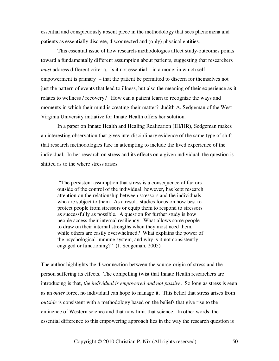essential and conspicuously absent piece in the methodology that sees phenomena and patients as essentially discrete, disconnected and (only) physical entities.

This essential issue of how research-methodologies affect study-outcomes points toward a fundamentally different assumption about patients, suggesting that researchers *must* address different criteria. Is it not essential – in a model in which selfempowerment is primary – that the patient be permitted to discern for themselves not just the pattern of events that lead to illness, but also the meaning of their experience as it relates to wellness / recovery? How can a patient learn to recognize the ways and moments in which their mind is creating their matter? Judith A. Sedgeman of the West Virginia University initiative for Innate Health offers her solution.

In a paper on Innate Health and Healing Realization (IH/HR), Sedgeman makes an interesting observation that gives interdisciplinary evidence of the same type of shift that research methodologies face in attempting to include the lived experience of the individual. In her research on stress and its effects on a given individual, the question is shifted as to the where stress arises.

 "The persistent assumption that stress is a consequence of factors outside of the control of the individual, however, has kept research attention on the relationship between stressors and the individuals who are subject to them. As a result, studies focus on how best to protect people from stressors or equip them to respond to stressors as successfully as possible. A question for further study is how people access their internal resiliency. What allows some people to draw on their internal strengths when they most need them, while others are easily overwhelmed? What explains the power of the psychological immune system, and why is it not consistently engaged or functioning?" (J. Sedgeman, 2005)

The author highlights the disconnection between the source-origin of stress and the person suffering its effects. The compelling twist that Innate Health researchers are introducing is that, *the individual is empowered and not passive*. So long as stress is seen as an *outer* force, no individual can hope to manage it. This belief that stress arises from *outside* is consistent with a methodology based on the beliefs that give rise to the eminence of Western science and that now limit that science. In other words, the essential difference to this empowering approach lies in the way the research question is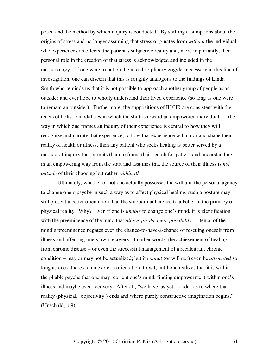posed and the method by which inquiry is conducted. By shifting assumptions about the origins of stress and no longer assuming that stress originates from *without* the individual who experiences its effects, the patient's subjective reality and, more importantly, their personal role in the creation of that stress is acknowledged and included in the methodology. If one were to put on the interdisciplinary goggles necessary in this line of investigation, one can discern that this is roughly analogous to the findings of Linda Smith who reminds us that it is not possible to approach another group of people as an outsider and ever hope to wholly understand their lived experience (so long as one were to remain an outsider). Furthermore, the suppositions of IH/HR are consistent with the tenets of holistic modalities in which the shift is toward an empowered individual. If the way in which one frames an inquiry of their experience is central to how they will recognize and narrate that experience, to how that experience will color and shape their reality of health or illness, then any patient who seeks healing is better served by a method of inquiry that permits them to frame their search for pattern and understanding in an empowering way from the start and assumes that the source of their illness is *not outside* of their choosing but rather *within it!*

 Ultimately, whether or not one actually possesses the will and the personal agency to change one's psyche in such a way as to affect physical healing, such a posture may still present a better orientation than the stubborn adherence to a belief in the primacy of physical reality. Why? Even if one is *unable* to change one's mind, it is identification with the preeminence of the mind that *allows for the mere possibility*. Denial of the mind's preeminence negates even the chance-to-have-a-chance of rescuing oneself from illness and affecting one's own recovery. In other words, the achievement of healing from chronic disease – or even the successful management of a recalcitrant chronic condition – may or may not be actualized; but it *cannot* (or will not) even be *attempted* so long as one adheres to an exoteric orientation; to wit, until one realizes that it is within the pliable psyche that one may reorient one's mind, finding empowerment within one's illness and maybe even recovery. After all, "we have, as yet, no idea as to where that reality (physical, 'objectivity') ends and where purely constructive imagination begins." (Unschuld, p.9)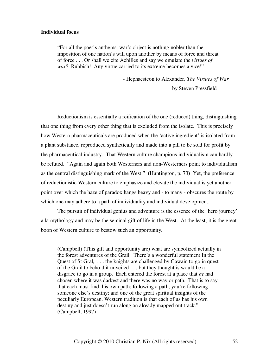## **Individual focus**

"For all the poet's anthems, war's object is nothing nobler than the imposition of one nation's will upon another by means of force and threat of force . . . Or shall we cite Achilles and say we emulate the *virtues of war*? Rubbish! Any virtue carried to its extreme becomes a vice!"

- Hephaesteon to Alexander, *The Virtues of War* 

by Steven Pressfield

Reductionism is essentially a reification of the one (reduced) thing, distinguishing that one thing from every other thing that is excluded from the isolate. This is precisely how Western pharmaceuticals are produced when the 'active ingredient' is isolated from a plant substance, reproduced synthetically and made into a pill to be sold for profit by the pharmaceutical industry. That Western culture champions individualism can hardly be refuted. "Again and again both Westerners and non-Westerners point to individualism as the central distinguishing mark of the West." (Huntington, p. 73) Yet, the preference of reductionistic Western culture to emphasize and elevate the individual is yet another point over which the haze of paradox hangs heavy and - to many - obscures the route by which one may adhere to a path of individuality and individual development.

The pursuit of individual genius and adventure is the essence of the 'hero journey' a la mythology and may be the seminal gift of life in the West. At the least, it is the great boon of Western culture to bestow such an opportunity.

(Campbell) (This gift and opportunity are) what are symbolized actually in the forest adventures of the Grail. There's a wonderful statement In the Quest of St Gral, ... the knights are challenged by Gawain to go in quest of the Grail to behold it unveiled . . . but they thought is would be a disgrace to go in a group. Each entered the forest at a place that *he* had chosen where it was darkest and there was no way or path. That is to say that each must find his own path; following a path, you're following someone else's destiny; and one of the great spiritual insights of the peculiarly European, Western tradition is that each of us has his own destiny and just doesn't run along an already mapped out track." (Campbell, 1997)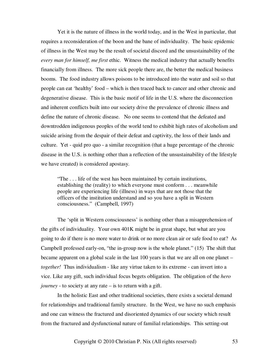Yet it is the nature of illness in the world today, and in the West in particular, that requires a reconsideration of the boon and the bane of individuality. The basic epidemic of illness in the West may be the result of societal discord and the unsustainability of the *every man for himself, me first* ethic. Witness the medical industry that actually benefits financially from illness. The more sick people there are, the better the medical business booms. The food industry allows poisons to be introduced into the water and soil so that people can eat 'healthy' food – which is then traced back to cancer and other chronic and degenerative disease. This is the basic motif of life in the U.S. where the disconnection and inherent conflicts built into our society drive the prevalence of chronic illness and define the nature of chronic disease. No one seems to contend that the defeated and downtrodden indigenous peoples of the world tend to exhibit high rates of alcoholism and suicide arising from the despair of their defeat and captivity, the loss of their lands and culture. Yet - quid pro quo - a similar recognition (that a huge percentage of the chronic disease in the U.S. is nothing other than a reflection of the unsustainability of the lifestyle we have created) is considered apostasy.

"The . . . life of the west has been maintained by certain institutions, establishing the (reality) to which everyone must conform . . . meanwhile people are experiencing life (illness) in ways that are not those that the officers of the institution understand and so you have a split in Western consciousness." (Campbell, 1997)

The 'split in Western consciousness' is nothing other than a misapprehension of the gifts of individuality. Your own 401K might be in great shape, but what are you going to do if there is no more water to drink or no more clean air or safe food to eat? As Campbell professed early-on, "the in-group now is the whole planet." (15) The shift that became apparent on a global scale in the last 100 years is that we are all on one planet – *together!* Thus individualism - like any virtue taken to its extreme - can invert into a vice. Like any gift, such individual focus begets obligation. The obligation of the *hero journey* - to society at any rate – is to return with a gift.

In the holistic East and other traditional societies, there exists a societal demand for relationships and traditional family structure. In the West, we have no such emphasis and one can witness the fractured and disoriented dynamics of our society which result from the fractured and dysfunctional nature of familial relationships. This setting-out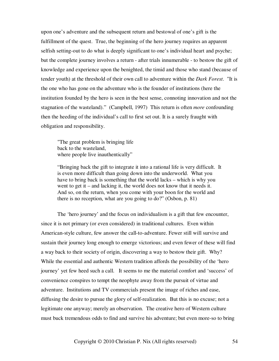upon one's adventure and the subsequent return and bestowal of one's gift is the fulfillment of the quest. True, the beginning of the hero journey requires an apparent selfish setting-out to do what is deeply significant to one's individual heart and psyche; but the complete journey involves a return - after trials innumerable - to bestow the gift of knowledge and experience upon the benighted, the timid and those who stand (because of tender youth) at the threshold of their own call to adventure within the *Dark Forest*. "It is the one who has gone on the adventure who is the founder of institutions (here the institution founded by the hero is seen in the best sense, connoting innovation and not the stagnation of the wasteland)." (Campbell, 1997) This return is often *more* confounding then the heeding of the individual's call to first set out. It is a surely fraught with obligation and responsibility.

"The great problem is bringing life back to the wasteland, where people live inauthentically"

"Bringing back the gift to integrate it into a rational life is very difficult. It is even more difficult than going down into the underworld. What you have to bring back is something that the world lacks – which is why you went to get it – and lacking it, the world does not know that it needs it. And so, on the return, when you come with your boon for the world and there is no reception, what are you going to do?" (Osbon, p. 81)

The 'hero journey' and the focus on individualism is a gift that few encounter, since it is not primary (or even considered) in traditional cultures. Even within American-style culture, few answer the call-to-adventure. Fewer still will survive and sustain their journey long enough to emerge victorious; and even fewer of these will find a way back to their society of origin, discovering a way to bestow their gift. Why? While the essential and authentic Western tradition affords the possibility of the 'hero journey' yet few heed such a call. It seems to me the material comfort and 'success' of convenience conspires to tempt the neophyte away from the pursuit of virtue and adventure. Institutions and TV commercials present the image of riches and ease, diffusing the desire to pursue the glory of self-realization. But this is no excuse; not a legitimate one anyway; merely an observation. The creative hero of Western culture must buck tremendous odds to find and survive his adventure; but even more-so to bring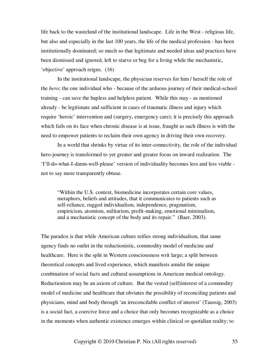life back to the wasteland of the institutional landscape. Life in the West - religious life, but also and especially in the last 100 years, the life of the medical profession - has been institutionally dominated; so much so that legitimate and needed ideas and practices have been dismissed and ignored, left to starve or beg for a living while the mechanistic, 'objective' approach reigns. (16)

In the institutional landscape, the physician reserves for him / herself the role of the *hero*; the one individual who - because of the arduous journey of their medical-school training - can save the hapless and helpless patient. While this may - as mentioned already - be legitimate and sufficient in cases of traumatic illness and injury which require 'heroic' intervention and (surgery, emergency care); it is precisely this approach which fails on its face when chronic disease is at issue, fraught as such illness is with the need to empower patients to reclaim their own agency in driving their own recovery.

In a world that shrinks by virtue of its inter-connectivity, the role of the individual hero-journey is transformed to yet greater and greater focus on inward realization. The 'I'll-do-what-I-damn-well-please' version of individuality becomes less and less viable not to say more transparently obtuse.

"Within the U.S. context, biomedicine incorporates certain core values, metaphors, beliefs and attitudes, that it communicates to patients such as self-reliance, rugged individualism, independence, pragmatism, empiricism, atomism, militarism, profit-making, emotional minimalism, and a mechanistic concept of the body and its repair." (Baer, 2003).

The paradox is that while American culture reifies strong individualism, that same agency finds no outlet in the reductionistic, commodity model of medicine and healthcare. Here is the split in Western consciousness writ large; a split between theoretical concepts and lived experience, which manifests amidst the unique combination of social facts and cultural assumptions in American medical ontology. Reductionism may be an axiom of culture. But the vested (self)interest of a commodity model of medicine and healthcare that obviates the possibility of reconciling patients and physicians, mind and body through 'an irreconcilable conflict of interest' (Taussig, 2003) is a social fact, a coercive force and a choice that only becomes recognizable as a choice in the moments when authentic existence emerges within clinical or quotidian reality; to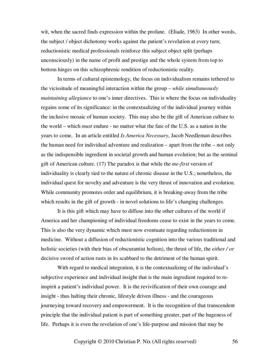wit, when the sacred finds expression within the profane. (Eliade, 1963) In other words, the subject / object dichotomy works against the patient's revelation at every turn; reductionistic medical professionals reinforce this subject object split (perhaps unconsciously) in the name of profit and prestige and the whole system from top to bottom hinges on this schizophrenic rendition of reductionistic reality.

In terms of cultural epistemology, the focus on individualism remains tethered to the vicissitude of meaningful interaction within the group – *while simultaneously maintaining allegiance* to one's inner directives. This is where the focus on individuality regains some of its significance: in the contextualizing of the individual journey within the inclusive mosaic of human society. This may also be the gift of American culture to the world – which *must* endure - no matter what the fate of the U.S. as a nation in the years to come. In an article entitled *Is America Necessary*, Jacob Needleman describes the human need for individual adventure and realization – apart from the tribe – not only as the indispensible ingredient in societal growth and human evolution; but as the seminal gift of American culture. (17) The paradox is that while the *me-first* version of individuality is clearly tied to the nature of chronic disease in the U.S.; nonetheless, the individual quest for novelty and adventure is the very thrust of innovation and evolution. While community promotes order and equilibrium, it is breaking-away from the tribe which results in the gift of growth - in novel solutions to life's changing challenges.

It is this gift which may have to diffuse into the other cultures of the world if America and her championing of individual freedoms cease to exist in the years to come. This is also the very dynamic which must now eventuate regarding reductionism in medicine. Without a diffusion of reductionistic cognition into the various traditional and holistic societies (with their bias of obscurantist holism), the thrust of life, the *either / or* decisive sword of action rusts in its scabbard to the detriment of the human spirit.

With regard to medical integration, it is the contextualizing of the individual's subjective experience and individual insight that is the main ingredient required to reinspirit a patient's individual power. It is the revivification of their own courage and insight - thus halting their chronic, lifestyle driven illness - and the courageous journeying toward recovery and empowerment. It is the recognition of that transcendent principle that the individual patient is part of something greater, part of the hugeness of life. Perhaps it is even the revelation of one's life-purpose and mission that may be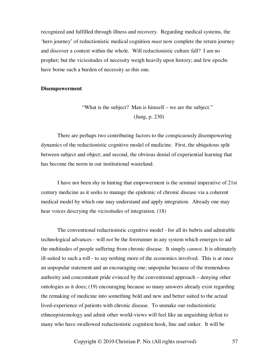recognized and fulfilled through illness and recovery. Regarding medical systems, the 'hero journey' of reductionistic medical cognition *must* now complete the return journey and discover a context within the whole. Will reductionistic culture fall? I am no prophet; but the vicissitudes of necessity weigh heavily upon history; and few epochs have borne such a burden of necessity as this one.

### **Disempowerment**

"What is the subject? Man is himself – we are the subject." (Jung, p. 230)

There are perhaps two contributing factors to the conspicuously disempowering dynamics of the reductionistic cognitive model of medicine. First, the ubiquitous split between subject and object; and second, the obvious denial of experiential learning that has become the norm in our institutional wasteland.

I have not been shy in hinting that empowerment is the seminal imperative of 21st century medicine as it seeks to manage the epidemic of chronic disease via a coherent medical model by which one may understand and apply integration. Already one may hear voices descrying the vicissitudes of integration. (18)

The conventional reductionistic cognitive model - for all its hubris and admirable technological advances - will *not* be the forerunner in any system which emerges to aid the multitudes of people suffering from chronic disease. It simply *cannot*. It is ultimately ill-suited to such a roll - to say nothing more of the economics involved. This is at once an unpopular statement and an encouraging one; unpopular because of the tremendous authority and concomitant pride evinced by the conventional approach – denying other ontologies as it does; (19) encouraging because so many answers already exist regarding the remaking of medicine into something bold and new and better suited to the actual lived-experience of patients with chronic disease. To unmake our reductionistic ethnoepistemology and admit other world-views will feel like an anguishing defeat to many who have swallowed reductionistic cognition hook, line and sinker. It will be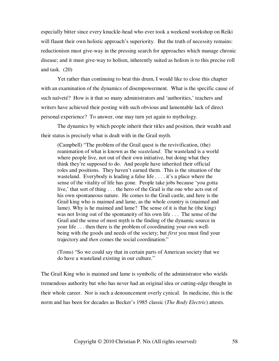especially bitter since every knuckle-head who ever took a weekend workshop on Reiki will flaunt their own holistic approach's superiority. But the truth of necessity remains: reductionism must give-way in the pressing search for approaches which manage chronic disease; and it must give-way to holism, inherently suited as holism is to this precise roll and task. (20)

Yet rather than continuing to beat this drum, I would like to close this chapter with an examination of the dynamics of disempowerment. What is the specific cause of such naïveté? How is it that so many administrators and 'authorities,' teachers and writers have achieved their posting with such obvious and lamentable lack of direct personal experience? To answer, one may turn yet again to mythology.

The dynamics by which people inherit their titles and position, their wealth and their status is precisely what is dealt with in the Grail myth.

(Campbell) "The problem of the Grail quest is the revivification, (the) reanimation of what is known as the *wasteland*. The wasteland is a world where people live, not out of their own initiative, but doing what they think they're supposed to do. And people have inherited their official roles and positions. They haven't earned them. This is the situation of the wasteland. Everybody is leading a false life . . . . it's a place where the sense of the vitality of life has gone. People take jobs because 'you gotta live,' that sort of thing . . . the hero of the Grail is the one who acts out of his own spontaneous nature. He comes to the Grail castle, and here is the Grail king who is maimed and lame, as the whole country is (maimed and lame). Why is he maimed and lame? The sense of it is that he (the king) was not living out of the spontaneity of his own life . . . The sense of the Grail and the sense of most myth is the finding of the dynamic source in your life . . . then there is the problem of coordinating your own wellbeing with the goods and needs of the society; but *first* you must find your trajectory and *then* comes the social coordination."

(Toms) "So we could say that in certain parts of American society that we do have a wasteland existing in our culture."

The Grail King who is maimed and lame is symbolic of the administrator who wields tremendous authority but who has never had an original idea or cutting-edge thought in their whole career. Nor is such a denouncement overly cynical. In medicine, this is the norm and has been for decades as Becker's 1985 classic (*The Body Electric*) attests.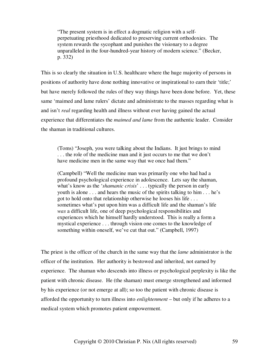"The present system is in effect a dogmatic religion with a selfperpetuating priesthood dedicated to preserving current orthodoxies. The system rewards the sycophant and punishes the visionary to a degree unparalleled in the four-hundred-year history of modern science." (Becker, p. 332)

This is so clearly the situation in U.S. healthcare where the huge majority of persons in positions of authority have done nothing innovative or inspirational to earn their 'title;' but have merely followed the rules of they way things have been done before. Yet, these same 'maimed and lame rulers' dictate and administrate to the masses regarding what is and isn't *real* regarding health and illness without ever having gained the actual experience that differentiates the *maimed and lame* from the authentic leader. Consider the shaman in traditional cultures.

(Toms) "Joseph, you were talking about the Indians. It just brings to mind . . . the role of the medicine man and it just occurs to me that we don't have medicine men in the same way that we once had them."

(Campbell) "Well the medicine man was primarily one who had had a profound psychological experience in adolescence. Lets say the shaman, what's know as the '*shamanic crisis*' . . . typically the person in early youth is alone . . . and hears the music of the spirits talking to him . . . he's got to hold onto that relationship otherwise he looses his life . . . sometimes what's put upon him was a difficult life and the shaman's life *was* a difficult life, one of deep psychological responsibilities and experiences which he himself hardly understood. This is really a form a mystical experience . . . through vision one comes to the knowledge of something within oneself, we've cut that out." (Campbell, 1997)

The priest is the officer of the church in the same way that the *lame* administrator is the officer of the institution. Her authority is bestowed and inherited, not earned by experience. The shaman who descends into illness or psychological perplexity is like the patient with chronic disease. He (the shaman) must emerge strengthened and informed by his experience (or not emerge at all); so too the patient with chronic disease is afforded the opportunity to turn illness into *enlightenment* – but only if he adheres to a medical system which promotes patient empowerment.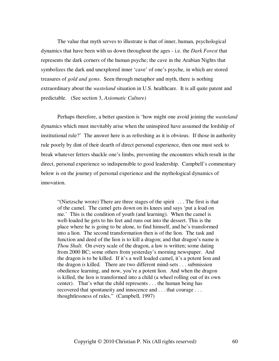The value that myth serves to illustrate is that of inner, human, psychological dynamics that have been with us down throughout the ages - i.e. the *Dark Forest* that represents the dark corners of the human psyche; the cave in the Arabian Nights that symbolizes the dark and unexplored inner 'cave' of one's psyche, in which are stored treasures of *gold and gems*. Seen through metaphor and myth, there is nothing extraordinary about the *wasteland* situation in U.S. healthcare. It is all quite patent and predictable. (See section 3, *Axiomatic Culture)* 

Perhaps therefore, a better question is 'how might one avoid joining the *wasteland* dynamics which must inevitably arise when the uninspired have assumed the lordship of institutional rule?' The answer here is as refreshing as it is obvious. If those in authority rule poorly by dint of their dearth of direct personal experience, then one must seek to break whatever fetters shackle one's limbs, preventing the encounters which result in the direct, personal experience so indispensible to good leadership. Campbell's commentary below is on the journey of personal experience and the mythological dynamics of innovation.

"(Nietzsche wrote) There are three stages of the spirit . . . The first is that of the camel. The camel gets down on its knees and says 'put a load on me.' This is the condition of youth (and learning). When the camel is well-loaded he gets to his feet and runs out into the dessert. This is the place where he is going to be alone, to find himself, and he's transformed into a lion. The second transformation then is of the lion. The task and function and deed of the lion is to kill a dragon; and that dragon's name is *Thou Shalt.* On every scale of the dragon, a law is written; some dating from 2000 BC; some others from yesterday's morning newspaper. And the dragon is to be killed. If it's a well loaded camel, it's a potent lion and the dragon *is* killed. There are two different mind-sets . . . submission obedience learning, and now, you're a potent lion. And when the dragon is killed, the lion is transformed into a child (a wheel rolling out of its own center). That's what the child represents . . . the human being has recovered that spontaneity and innocence and . . . that courage . . . thoughtlessness of rules." (Campbell, 1997)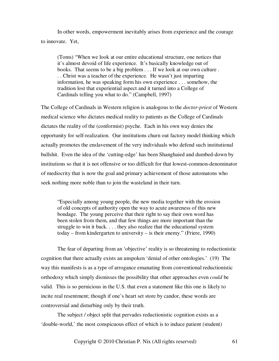In other words, empowerment inevitably arises from experience and the courage to innovate. Yet,

(Toms) "When we look at our entire educational structure, one notices that it's almost devoid of life experience. It's basically knowledge out of books. That seems to be a big problem . . . If we look at our own culture . . . Christ was a teacher of the experience. He wasn't just imparting information, he was speaking form his own experience . . . somehow, the tradition lost that experiential aspect and it turned into a College of Cardinals telling you what to do." (Campbell, 1997)

The College of Cardinals in Western religion is analogous to the *doctor-priest* of Western medical science who dictates medical reality to patients as the College of Cardinals dictates the reality of the (conformist) psyche. Each in his own way denies the opportunity for self-realization. Our institutions churn out factory model thinking which actually promotes the enslavement of the very individuals who defend such institutional bullshit. Even the idea of the 'cutting-edge' has been Shanghaied and dumbed-down by institutions so that it is not offensive or too difficult for that lowest-common-denominator of mediocrity that is now the goal and primary achievement of those automatons who seek nothing more noble than to join the wasteland in their turn.

"Especially among young people, the new media together with the erosion of old concepts of authority open the way to acute awareness of this new bondage. The young perceive that their right to say their own word has been stolen from them, and that few things are more important than the struggle to win it back. . . . they also realize that the educational system today – from kindergarten to university – is their enemy." (Friere, 1990)

The fear of departing from an 'objective' reality is so threatening to reductionistic cognition that there actually exists an unspoken 'denial of other ontologies.' (19) The way this manifests is as a type of arrogance emanating from conventional reductionistic orthodoxy which simply dismisses the possibility that other approaches even *could* be valid. This is so pernicious in the U.S. that even a statement like this one is likely to incite real resentment; though if one's heart set store by candor, these words are controversial and disturbing only by their truth.

The subject / object split that pervades reductionistic cognition exists as a 'double-world,' the most conspicuous effect of which is to induce patient (student)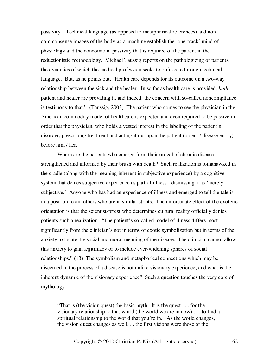passivity. Technical language (as opposed to metaphorical references) and noncommonsense images of the body-as-a-machine establish the 'one-track' mind of physiology and the concomitant passivity that is required of the patient in the reductionistic methodology. Michael Taussig reports on the pathologizing of patients, the dynamics of which the medical profession seeks to obfuscate through technical language. But, as he points out, "Health care depends for its outcome on a two-way relationship between the sick and the healer. In so far as health care is provided, *both* patient and healer are providing it, and indeed, the concern with so-called noncompliance is testimony to that." (Taussig, 2003) The patient who comes to see the physician in the American commodity model of healthcare is expected and even required to be passive in order that the physician, who holds a vested interest in the labeling of the patient's disorder, prescribing treatment and acting it out upon the patient (object / disease entity) before him / her.

Where are the patients who emerge from their ordeal of chronic disease strengthened and informed by their brush with death? Such realization is tomahawked in the cradle (along with the meaning inherent in subjective experience) by a cognitive system that denies subjective experience as part of illness - dismissing it as 'merely subjective.' Anyone who has had an experience of illness and emerged to tell the tale is in a position to aid others who are in similar straits. The unfortunate effect of the exoteric orientation is that the scientist-priest who determines cultural reality officially denies patients such a realization. "The patient's so-called model of illness differs most significantly from the clinician's not in terms of exotic symbolization but in terms of the anxiety to locate the social and moral meaning of the disease. The clinician cannot allow this anxiety to gain legitimacy or to include ever-widening spheres of social relationships." (13) The symbolism and metaphorical connections which may be discerned in the process of a disease is not unlike visionary experience; and what is the inherent dynamic of the visionary experience? Such a question touches the very core of mythology.

"That is (the vision quest) the basic myth. It is the quest . . . for the visionary relationship to that world (the world we are in now) . . . to find a spiritual relationship to the world that you're in. As the world changes, the vision quest changes as well. . . the first visions were those of the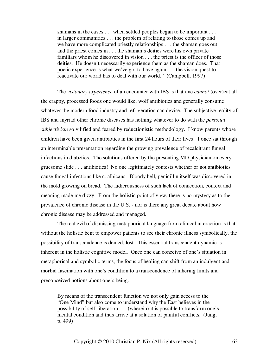shamans in the caves . . . when settled peoples began to be important . . . in larger communities . . . the problem of relating to those comes up and we have more complicated priestly relationships . . . the shaman goes out and the priest comes in . . . the shaman's deities were his own private familiars whom he discovered in vision . . . the priest is the officer of those deities. He doesn't necessarily experience them as the shaman does. That poetic experience is what we've got to have again . . . the vision quest to reactivate our world has to deal with our world." (Campbell, 1997)

The *visionary experience* of an encounter with IBS is that one *cannot* (over)eat all the crappy, processed foods one would like, wolf antibiotics and generally consume whatever the modern food industry and refrigeration can devise. The subjective reality of IBS and myriad other chronic diseases has nothing whatever to do with the *personal subjectivism* so vilified and feared by reductionistic methodology. I know parents whose children have been given antibiotics in the first 24 hours of their lives! I once sat through an interminable presentation regarding the growing prevalence of recalcitrant fungal infections in diabetics. The solutions offered by the presenting MD physician on every gruesome slide . . . antibiotics! No one legitimately contests whether or not antibiotics cause fungal infections like c. albicans. Bloody hell, penicillin itself was discovered in the mold growing on bread. The ludicrousness of such lack of connection, context and meaning made me dizzy. From the holistic point of view, there is no mystery as to the prevalence of chronic disease in the U.S. - nor is there any great debate about how chronic disease may be addressed and managed.

 The real evil of dismissing metaphorical language from clinical interaction is that without the holistic bent to empower patients to see their chronic illness symbolically, the possibility of transcendence is denied, lost. This essential transcendent dynamic is inherent in the holistic cognitive model. Once one can conceive of one's situation in metaphorical and symbolic terms, the focus of healing can shift from an indulgent and morbid fascination with one's condition to a transcendence of inhering limits and preconceived notions about one's being.

By means of the transcendent function we not only gain access to the "One Mind" but also come to understand why the East believes in the possibility of self-liberation . . . (wherein) it is possible to transform one's mental condition and thus arrive at a solution of painful conflicts. (Jung, p. 499)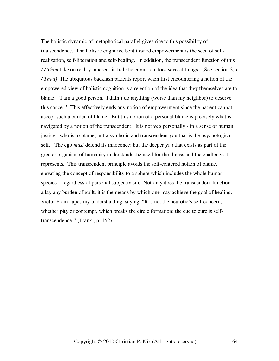The holistic dynamic of metaphorical parallel gives rise to this possibility of transcendence. The holistic cognitive bent toward empowerment is the seed of selfrealization, self-liberation and self-healing. In addition, the transcendent function of this *I / Thou* take on reality inherent in holistic cognition does several things. (See section 3, *I / Thou)* The ubiquitous backlash patients report when first encountering a notion of the empowered view of holistic cognition is a rejection of the idea that they themselves are to blame. 'I am a good person. I didn't do anything (worse than my neighbor) to deserve this cancer.' This effectively ends any notion of empowerment since the patient cannot accept such a burden of blame. But this notion of a personal blame is precisely what is navigated by a notion of the transcendent. It is not *you* personally - in a sense of human justice - who is to blame; but a symbolic and transcendent you that is the psychological self. The ego *must* defend its innocence; but the deeper *you* that exists as part of the greater organism of humanity understands the need for the illness and the challenge it represents. This transcendent principle avoids the self-centered notion of blame, elevating the concept of responsibility to a sphere which includes the whole human species – regardless of personal subjectivism. Not only does the transcendent function allay any burden of guilt, it is the means by which one may achieve the goal of healing. Victor Frankl apes my understanding, saying, "It is not the neurotic's self-concern, whether pity or contempt, which breaks the circle formation; the cue to cure is selftranscendence!" (Frankl, p. 152)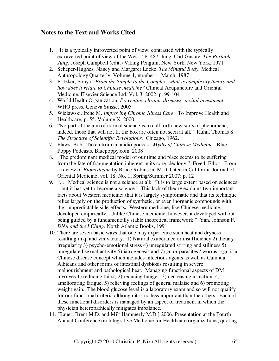## **Notes to the Text and Works Cited**

- 1. "It is a typically introverted point of view, contrasted with the typically extraverted point of view of the West." P. 487. Jung, Carl Gustav. *The Portable Jung*. Joseph Campbell (edit.) Viking Penguin, New York, New York. 1971
- 2. Scheper-Hughes, Nancy and Margaret Locke. *The Mindful Body.* Medical Anthropology Quarterly. Volume 1, number 1. March, 1987
- 3. Pritzker, Sonya. *From the Simple to the Complex: what is complexity theory and how does it relate to Chinese medicine?* Clinical Acupuncture and Oriental Medicine. Elsevier Science Ltd. Vol. 3. 2002. p. 99-104
- 4. World Health Organization. *Preventing chronic diseases: a vital investment.*  WHO press, Geneva Suisse. 2005
- 5. Wielawski, Irene M. *Improving Chronic Illness Care.* To Improve Health and Healthcare, p. 55. Volume X. 2000
- 6. "No part of the aim of normal science is to call forth new sorts of phenomena; indeed, those that will not fit the box are often not seen at all." Kuhn, Thomas S. *The Structure of Scientific Revolutions.* Chicago, 1962.
- 7. Flaws, Bob. Taken from an audio podcast, *Myths of Chinese Medicine.* Blue Poppy Podcasts, Bluepoppy.com. 2008
- 8. "The predominant medical model of our time and place seems to be suffering from the fate of fragmentation inherent in its core ideology." Freed, Elliot. From a review of *Biomedicine* by Bruce Robinson, M.D. Cited in California Journal of Oriental Medicine; vol. 18, No. 1; Spring/Summer 2007; p. 12
- 9. ". . . Medical science is not a science at all: 'It is to large extent based on sciences – but it has yet to become a science.' This lack of theory explains two important facts about Western medicine: that it is largely symptomatic and that its technique relies largely on the production of synthetic, or even inorganic compounds with their unpredictable side-effects**.** Western medicine, like Chinese medicine, developed empirically. Unlike Chinese medicine, however, it developed without being guided by a fundamentally stable theoretical framework." Yan, Johnson F. *DNA and the I Ching.* North Atlantic Books, 1991.
- 10. There are seven basic ways that one may experience such heat and dryness resulting in qi and yin vacuity. 1) Natural exuberance or insufficiency 2) dietary irregularity 3) psycho-emotional stress 4) unregulated stirring and stillness 5) unregulated sexual activity 6) iatrogenesis and 7) gu or parasites / worms. (gu is a Chinese disease concept which includes infections agents as well as Candida Albicans and other forms of intestinal dysbiosis resulting in severe malnourishment and pathological heat. Managing functional aspects of DM involves 1) reducing thirst, 2) reducing hunger, 3) decreasing urination, 4) ameliorating fatigue, 5) relieving feelings of general malaise and 6) promoting weight gain. The blood glucose level is a laboratory exam and so will not qualify for our functional criteria although it is no less important than the others. Each of these functional disorders is managed by an aspect of treatment in which the physician heteropathically mitigates imbalance.
- 11. [Bauer, Brent M.D. and Milt Hammerly M.D.] 2006. Presentation at the Fourth Annual Conference on Integrative Medicine for Healthcare organizations; quoting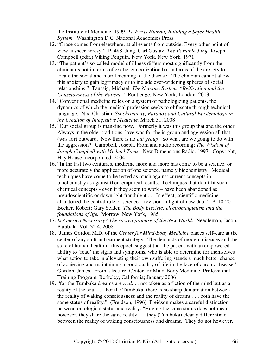the Institute of Medicine. 1999. *To Err is Human; Building a Safer Health System.* Washington D.C. National Academies Press.

- 12. "Grace comes from elsewhere; at all events from outside, Every other point of view is sheer heresy." P. 488. Jung, Carl Gustav. *The Portable Jung*. Joseph Campbell (edit.) Viking Penguin, New York, New York. 1971
- 13. "The patient's so-called model of illness differs most significantly from the clinician's not in terms of exotic symbolization but in terms of the anxiety to locate the social and moral meaning of the disease. The clinician cannot allow this anxiety to gain legitimacy or to include ever-widening spheres of social relationships." Taussig, Michael. *The Nervous System. "Reification and the Consciousness of the Patient."* Routledge. New York, London. 2003.
- 14. "Conventional medicine relies on a system of pathologizing patients, the dynamics of which the medical profession seeks to obfuscate through technical language. Nix, Christian. *Synchronicity, Paradox and Cultural Epistemology in the Creation of Integrative Medicine.* March 31, 2008
- 15. "Our social group is mankind now. Formerly it was this group that and the other. Always in the older traditions, love was for the in group and aggression all that (was for) outward. Now there is no *out group*. So what are we going to do with the aggression?" Campbell, Joseph. From and audio recording; *The Wisdom of Joseph Campbell with Michael Toms.* New Dimensions Radio. 1997. Copyright, Hay House Incorporated, 2004
- 16. "In the last two centuries, medicine more and more has come to be a science, or more accurately the application of one science, namely biochemistry. Medical techniques have come to be tested as much against current concepts in biochemistry as against their empirical results. Techniques that don't fit such chemical concepts - even if they seem to work – have been abandoned as pseudoscientific or downright fraudulent . . . In effect, scientific medicine abandoned the central rule of science – revision in light of new data." P. 18-20. Becker, Robert; Gary Selden. *The Body Electric: electromagnetism and the foundations of life.* Morrow. New York, 1985.
- 17. *Is America Necessary? The sacred promise of the New World*. Needleman, Jacob. Parabola. Vol. 32.4. 2008
- 18. 'James Gordon M.D. of the *Center for Mind-Body Medicine* places self-care at the center of any shift in treatment strategy. The demands of modern diseases and the state of human health in this epoch suggest that the patient with an empowered ability to 'read' the signs and symptoms, who is able to determine for themselves what action to take in alleviating their own suffering stands a much better chance of achieving and maintaining a good quality of life in the face of chronic disease.' Gordon, James. From a lecture: Center for Mind-Body Medicine, Professional Training Program. Berkeley, California; January 2006
- 19. "for the Tumbuka dreams are *real*. . . not taken as a fiction of the mind but as a reality of the soul . . . For the Tumbuka, there is no sharp demarcation between the reality of waking consciousness and the reality of dreams . . . both have the same status of reality." (Freidson, 1996) Freidson makes a careful distinction between ontological status and reality. "Having the same status does not mean, however, they share the same reality . . . they (Tumbuka) clearly differentiate between the reality of waking consciousness and dreams. They do not however,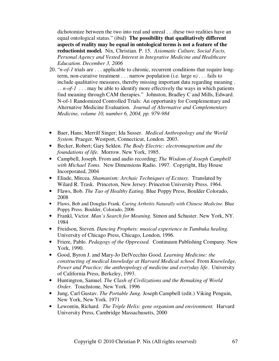dichotomize between the two into real and unreal . . .these two realities have an equal ontological status." (ibid) **The possibility that qualitatively different aspects of reality may be equal in ontological terms is not a feature of the reductionist model.** Nix, Christian. P. 15. *Axiomatic Culture, Social Facts, Personal Agency and Vested Interest in Integrative Medicine and Healthcare Education. December 3, 2006* 

- 20. "*n-of-1* trials are . . . applicable to chronic, recurrent conditions that require longterm, non-curative treatment . . . narrow population (i.e. large *n) . . .* fails to include qualitative measures, thereby missing important data regarding meaning . . *n-of-1* . . . may be able to identify more effectively the ways in which patients find meaning through CAM therapies." Johnston, Bradley C and Mills, Edward. N-of-1 Randomized Controlled Trials: An opportunity for Complementary and Alternative Medicine Evaluation. *Journal of Alternative and Complementary Medicine, volume 10, number 6, 2004, pp. 979-984*
- Baer, Hans; Merrill Singer; Ida Susser. *Medical Anthropology and the World System.* Praeger. Westport, Connecticut, London. 2003.
- Becker, Robert; Gary Selden. *The Body Electric: electromagnetism and the foundations of life.* Morrow. New York, 1985.
- Campbell, Joseph. From and audio recording; *The Wisdom of Joseph Campbell with Michael Toms.* New Dimensions Radio. 1997. Copyright, Hay House Incorporated, 2004
- Eliade, Mircea. *Shamanism: Archaic Techniques of Ecstasy.* Translated by Wilard R. Trask. Princeton, New Jersey: Princeton University Press. 1964.
- Flaws, Bob. *The Tao of Healthy Eating.* Blue Poppy Press, Boulder Colorado, 2008
- Flaws, Bob and Douglas Frank. *Curing Arthritis Naturally with Chinese Medicine.* Blue Poppy Press. Boulder, Colorado, 2006
- Frankl, Victor. *Man's Search for Meaning.* Simon and Schuster. New York, NY. 1984
- Freidson, Steven. *Dancing Prophets: musical experience in Tumbuka healing.* University of Chicago Press, Chicago, London, 1996.
- Friere, Pablo. *Pedagogy of the Oppressed.* Continuum Publishing Company. New York, 1990.
- Good, Byron J. and Mary-Jo DelVecchio Good. *Learning Medicine: the constructing of medical knowledge at Harvard Medical school.* From *Knowledge, Power and Practice; the anthropology of medicine and everyday life*. University of California Press, Berkeley, 1993.
- Huntington, Samuel. *The Clash of Civilizations and the Remaking of World Order.* Touchstone, New York. 1996
- Jung, Carl Gustav. *The Portable Jung*. Joseph Campbell (edit.) Viking Penguin, New York, New York. 1971
- Lewontin, Richard. *The Triple Helix: gene organism and environment.* Harvard University Press, Cambridge Massachusetts, 2000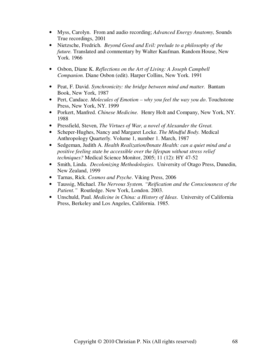- Myss, Carolyn. From and audio recording; *Advanced Energy Anatomy,* Sounds True recordings, 2001
- Nietzsche, Fredrich. *Beyond Good and Evil: prelude to a philosophy of the future.* Translated and commentary by Walter Kaufman. Random House, New York. 1966
- Osbon, Diane K. *Reflections on the Art of Living: A Joseph Campbell Companion.* Diane Osbon (edit). Harper Collins, New York. 1991
- Peat, F. David. *Synchronicity: the bridge between mind and matter.* Bantam Book, New York, 1987
- Pert, Candace. *Molecules of Emotion why you feel the way you do*. Touchstone Press, New York, NY. 1999
- Porkert, Manfred. *Chinese Medicine.* Henry Holt and Company, New York, NY. 1988
- Pressfield, Steven, *The Virtues of War, a novel of Alexander the Great.*
- Scheper-Hughes, Nancy and Margaret Locke. *The Mindful Body.* Medical Anthropology Quarterly. Volume 1, number 1. March, 1987
- Sedgeman, Judith A. *Health Realization/Innate Health: can a quiet mind and a positive feeling state be accessible over the lifespan without stress relief techniques?* Medical Science Monitor, 2005; 11 (12): HY 47-52
- Smith, Linda. *Decolonizing Methodologies.* University of Otago Press, Dunedin, New Zealand, 1999
- Tarnas, Rick. *Cosmos and Psyche*. Viking Press, 2006
- Taussig, Michael. *The Nervous System. "Reification and the Consciousness of the Patient."* Routledge. New York, London. 2003.
- Unschuld, Paul. *Medicine in China: a History of Ideas*. University of California Press, Berkeley and Los Angeles, California. 1985.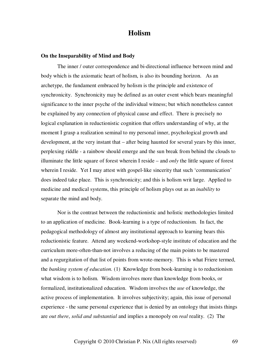# **Holism**

### **On the Inseparability of Mind and Body**

The inner / outer correspondence and bi-directional influence between mind and body which is the axiomatic heart of holism, is also its bounding horizon. As an archetype, the fundament embraced by holism is the principle and existence of synchronicity. Synchronicity may be defined as an outer event which bears meaningful significance to the inner psyche of the individual witness; but which nonetheless cannot be explained by any connection of physical cause and effect. There is precisely no logical explanation in reductionistic cognition that offers understanding of why, at the moment I grasp a realization seminal to my personal inner, psychological growth and development, at the very instant that – after being haunted for several years by this inner, perplexing riddle - a rainbow should emerge and the sun break from behind the clouds to illuminate the little square of forest wherein I reside – and *only* the little square of forest wherein I reside. Yet I may attest with gospel-like sincerity that such 'communication' does indeed take place. This is synchronicity; and this is holism writ large. Applied to medicine and medical systems, this principle of holism plays out as an *inability* to separate the mind and body.

Nor is the contrast between the reductionistic and holistic methodologies limited to an application of medicine. Book-learning is a type of reductionism. In fact, the pedagogical methodology of almost any institutional approach to learning bears this reductionistic feature. Attend any weekend-workshop-style institute of education and the curriculum more-often-than-not involves a reducing of the main points to be mastered and a regurgitation of that list of points from wrote-memory. This is what Friere termed, the *banking system of education.* (1) Knowledge from book-learning is to reductionism what wisdom is to holism. Wisdom involves more than knowledge from books, or formalized, institutionalized education. Wisdom involves the *use* of knowledge, the active process of implementation. It involves subjectivity; again, this issue of personal experience - the same personal experience that is denied by an ontology that insists things are *out there*, *solid and substantial* and implies a monopoly on *real* reality. (2) The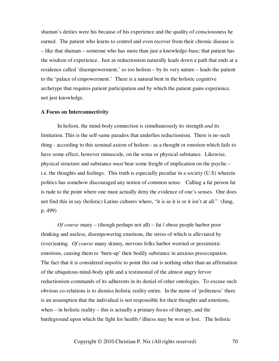shaman's deities were his because of his experience and the quality of consciousness he earned. The patient who learns to control and even recover from their chronic disease is – like that shaman – someone who has more than just a knowledge-base; that patient has the wisdom of experience. Just as reductionism naturally leads down a path that ends at a residence called 'disempowerment,' so too holism – by its very nature – leads the patient to the 'palace of empowerment.' There is a natural bent in the holistic cognitive archetype that requires patient participation and by which the patient gains experience, not just knowledge.

#### **A Focus on Interconnectivity**

In holism, the mind-body connection is simultaneously its strength *and* its limitation. This is the self-same paradox that underlies reductionism. There is no such thing - according to this seminal axiom of holism - as a thought or emotion which fails to have some effect, however minuscule, on the soma or physical substance. Likewise, physical structure and substance *must* bear some freight of implication on the psyche – i.e. the thoughts and feelings. This truth is especially peculiar in a society (U.S) wherein politics has somehow discouraged any notion of common sense. Calling a fat person fat is rude to the point where one must actually deny the evidence of one's senses. One does not find this in say (holistic) Latino cultures where, "it is as it is or it isn't at all." (Jung, p. 499)

*Of course* many – (though perhaps not all) – fat / obese people harbor poor thinking and useless, disempowering emotions, the stress of which is alleviated by (over)eating. *Of course* many skinny, nervous folks harbor worried or pessimistic emotions, causing them to 'burn-up' their bodily substance in anxious preoccupation. The fact that it is considered *impolite* to point this out is nothing other than an affirmation of the ubiquitous mind-body split and a testimonial of the almost angry fervor reductionism commands of its adherents in its denial of other ontologies. To excuse such obvious co-relations is to dismiss holistic reality entire. In the name of 'politeness' there is an assumption that the individual is not responsible for their thoughts and emotions, when – in holistic reality – this is actually a primary focus of therapy, and the battleground upon which the fight for health / illness may be won or lost. The holistic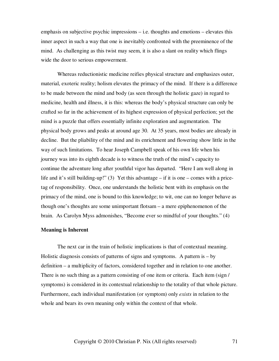emphasis on subjective psychic impressions – i.e. thoughts and emotions – elevates this inner aspect in such a way that one is inevitably confronted with the preeminence of the mind. As challenging as this twist may seem, it is also a slant on reality which flings wide the door to serious empowerment.

Whereas reductionistic medicine reifies physical structure and emphasizes outer, material, exoteric reality; holism elevates the primacy of the mind. If there is a difference to be made between the mind and body (as seen through the holistic gaze) in regard to medicine, health and illness, it is this: whereas the body's physical structure can only be crafted so far in the achievement of its highest expression of physical perfection; yet the mind is a puzzle that offers essentially infinite exploration and augmentation. The physical body grows and peaks at around age 30. At 35 years, most bodies are already in decline. But the pliability of the mind and its enrichment and flowering show little in the way of such limitations. To hear Joseph Campbell speak of his own life when his journey was into its eighth decade is to witness the truth of the mind's capacity to continue the adventure long after youthful vigor has departed. "Here I am well along in life and it's still building-up!" (3) Yet this advantage – if it is one – comes with a pricetag of responsibility. Once, one understands the holistic bent with its emphasis on the primacy of the mind, one is bound to this knowledge; to wit, one can no longer behave as though one's thoughts are some unimportant flotsam – a mere epiphenomenon of the brain. As Carolyn Myss admonishes, "Become ever so mindful of your thoughts." (4)

## **Meaning is Inherent**

The next car in the train of holistic implications is that of contextual meaning. Holistic diagnosis consists of patterns of signs and symptoms. A pattern is  $-$  by definition – a multiplicity of factors, considered together and in relation to one another. There is no such thing as a pattern consisting of one item or criteria. Each item (sign / symptoms) is considered in its contextual relationship to the totality of that whole picture. Furthermore, each individual manifestation (or symptom) only *exists* in relation to the whole and bears its own meaning only within the context of that whole.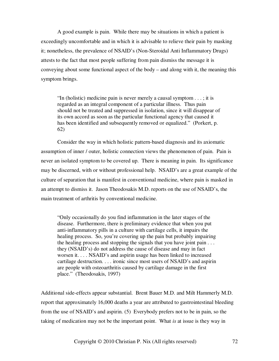A good example is pain. While there may be situations in which a patient is exceedingly uncomfortable and in which it is advisable to relieve their pain by masking it; nonetheless, the prevalence of NSAID's (Non-Steroidal Anti Inflammatory Drugs) attests to the fact that most people suffering from pain dismiss the message it is conveying about some functional aspect of the body – and along with it, the meaning this symptom brings.

"In (holistic) medicine pain is never merely a causal symptom . . . ; it is regarded as an integral component of a particular illness. Thus pain should not be treated and suppressed in isolation, since it will disappear of its own accord as soon as the particular functional agency that caused it has been identified and subsequently removed or equalized." (Porkert, p. 62)

Consider the way in which holistic pattern-based diagnosis and its axiomatic assumption of inner / outer, holistic connection views the phenomenon of pain. Pain is never an isolated symptom to be covered up. There is meaning in pain. Its significance may be discerned, with or without professional help. NSAID's are a great example of the culture of separation that is manifest in conventional medicine, where pain is masked in an attempt to dismiss it. Jason Theodosakis M.D. reports on the use of NSAID's, the main treatment of arthritis by conventional medicine.

"Only occasionally do you find inflammation in the later stages of the disease. Furthermore, there is preliminary evidence that when you put anti-inflammatory pills in a culture with cartilage cells, it impairs the healing process. So, you're covering up the pain but probably impairing the healing process and stopping the signals that you have joint pain . . . they (NSAID's) do not address the cause of disease and may in fact worsen it. . . . NSAID's and aspirin usage has been linked to increased cartilage destruction. . . . ironic since most users of NSAID's and aspirin are people with osteoarthritis caused by cartilage damage in the first place." (Theodosakis, 1997)

Additional side-effects appear substantial. Brent Bauer M.D. and Milt Hammerly M.D. report that approximately 16,000 deaths a year are attributed to gastrointestinal bleeding from the use of NSAID's and aspirin. (5) Everybody prefers not to be in pain, so the taking of medication may not be the important point. What *is* at issue is they way in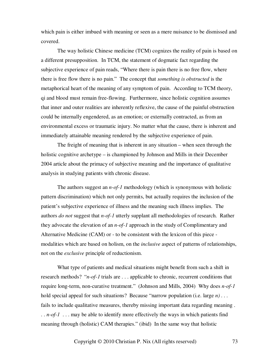which pain is either imbued with meaning or seen as a mere nuisance to be dismissed and covered.

 The way holistic Chinese medicine (TCM) cognizes the reality of pain is based on a different presupposition. In TCM, the statement of dogmatic fact regarding the subjective experience of pain reads, "Where there is pain there is no free flow, where there is free flow there is no pain." The concept that *something is obstructed* is the metaphorical heart of the meaning of any symptom of pain. According to TCM theory, qi and blood must remain free-flowing. Furthermore, since holistic cognition assumes that inner and outer realities are inherently reflexive, the cause of the painful obstruction could be internally engendered, as an emotion; or externally contracted, as from an environmental excess or traumatic injury. No matter what the cause, there is inherent and immediately attainable meaning rendered by the subjective experience of pain.

The freight of meaning that is inherent in any situation – when seen through the holistic cognitive archetype – is championed by Johnson and Mills in their December 2004 article about the primacy of subjective meaning and the importance of qualitative analysis in studying patients with chronic disease.

The authors suggest an *n-of-1* methodology (which is synonymous with holistic pattern discrimination) which not only permits, but actually requires the inclusion of the patient's subjective experience of illness and the meaning such illness implies. The authors *do not* suggest that *n-of-1* utterly supplant all methodologies of research. Rather they advocate the elevation of an *n-of-1* approach in the study of Complimentary and Alternative Medicine (CAM) or - to be consistent with the lexicon of this piece modalities which are based on holism, on the *inclusive* aspect of patterns of relationships, not on the *exclusive* principle of reductionism.

 What type of patients and medical situations might benefit from such a shift in research methods? "*n-of-1* trials are . . . applicable to chronic, recurrent conditions that require long-term, non-curative treatment." (Johnson and Mills, 2004) Why does *n-of-1*  hold special appeal for such situations? Because "narrow population (i.e. large *n*)... fails to include qualitative measures, thereby missing important data regarding meaning . . . *n-of-1* . . . may be able to identify more effectively the ways in which patients find meaning through (holistic) CAM therapies." (ibid) In the same way that holistic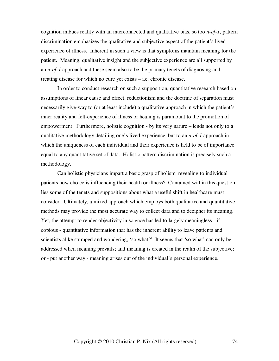cognition imbues reality with an interconnected and qualitative bias, so too *n-of-1,* pattern discrimination emphasizes the qualitative and subjective aspect of the patient's lived experience of illness. Inherent in such a view is that symptoms maintain meaning for the patient. Meaning, qualitative insight and the subjective experience are all supported by an *n-of-1* approach and these seem also to be the primary tenets of diagnosing and treating disease for which no cure yet exists – i.e. chronic disease.

In order to conduct research on such a supposition, quantitative research based on assumptions of linear cause and effect, reductionism and the doctrine of separation must necessarily give-way to (or at least include) a qualitative approach in which the patient's inner reality and felt-experience of illness or healing is paramount to the promotion of empowerment. Furthermore, holistic cognition - by its very nature – lends not only to a qualitative methodology detailing one's lived experience, but to an *n-of-1* approach in which the uniqueness of each individual and their experience is held to be of importance equal to any quantitative set of data. Holistic pattern discrimination is precisely such a methodology.

Can holistic physicians impart a basic grasp of holism, revealing to individual patients how choice is influencing their health or illness? Contained within this question lies some of the tenets and suppositions about what a useful shift in healthcare must consider. Ultimately, a mixed approach which employs both qualitative and quantitative methods may provide the most accurate way to collect data and to decipher its meaning. Yet, the attempt to render objectivity in science has led to largely meaningless - if copious - quantitative information that has the inherent ability to leave patients and scientists alike stumped and wondering, 'so what?' It seems that 'so what' can only be addressed when meaning prevails; and meaning is created in the realm of the subjective; or - put another way - meaning arises out of the individual's personal experience.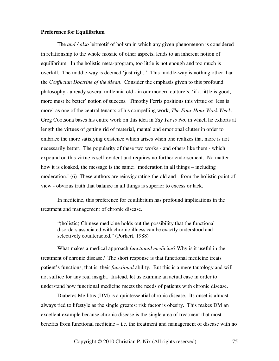## **Preference for Equilibrium**

The *and / also* leitmotif of holism in which any given phenomenon is considered in relationship to the whole mosaic of other aspects, lends to an inherent notion of equilibrium. In the holistic meta-program, too little is not enough and too much is overkill. The middle-way is deemed 'just right.' This middle-way is nothing other than the *Confucian Doctrine of the Mean*. Consider the emphasis given to this profound philosophy - already several millennia old - in our modern culture's, 'if a little is good, more must be better' notion of success. Timothy Ferris positions this virtue of 'less is more' as one of the central tenants of his compelling work, *The Four Hour Work Week*. Greg Cootsona bases his entire work on this idea in *Say Yes to No*, in which he exhorts at length the virtues of getting rid of material, mental and emotional clutter in order to embrace the more satisfying existence which arises when one realizes that more is not necessarily better. The popularity of these two works - and others like them - which expound on this virtue is self-evident and requires no further endorsement. No matter how it is cloaked, the message is the same; 'moderation in all things – including moderation.' (6) These authors are reinvigorating the old and - from the holistic point of view - obvious truth that balance in all things is superior to excess or lack.

In medicine, this preference for equilibrium has profound implications in the treatment and management of chronic disease.

"(holistic) Chinese medicine holds out the possibility that the functional disorders associated with chronic illness can be exactly understood and selectively counteracted." (Porkert, 1988)

What makes a medical approach *functional medicine*? Why is it useful in the treatment of chronic disease? The short response is that functional medicine treats patient's functions, that is, their *functional* ability. But this is a mere tautology and will not suffice for any real insight. Instead, let us examine an actual case in order to understand how functional medicine meets the needs of patients with chronic disease.

 Diabetes Mellitus (DM) is a quintessential chronic disease. Its onset is almost always tied to lifestyle as the single greatest risk factor is obesity. This makes DM an excellent example because chronic disease is the single area of treatment that most benefits from functional medicine – i.e. the treatment and management of disease with no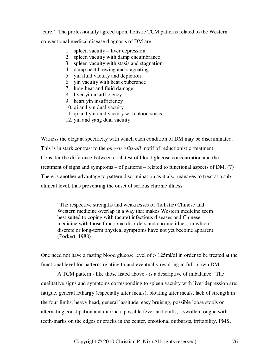'cure.' The professionally agreed upon, holistic TCM patterns related to the Western conventional medical disease diagnosis of DM are:

- 1. spleen vacuity liver depression
- 2. spleen vacuity with damp encumbrance
- 3. spleen vacuity with stasis and stagnation
- 4. damp heat brewing and stagnating
- 5. yin fluid vacuity and depletion
- 6. yin vacuity with heat exuberance
- 7. lung heat and fluid damage
- 8. liver yin insufficiency
- 9. heart yin insufficiency
- 10. qi and yin dual vacuity
- 11. qi and yin dual vacuity with blood stasis
- 12. yin and yang dual vacuity

Witness the elegant specificity with which each condition of DM may be discriminated. This is in stark contrast to the *one-size-fits-all* motif of reductionistic treatment. Consider the difference between a lab test of blood glucose concentration and the treatment of signs and symptoms – of patterns – related to functional aspects of DM. (7) There is another advantage to pattern discrimination as it also manages to treat at a subclinical level, thus preventing the onset of serious chronic illness.

"The respective strengths and weaknesses of (holistic) Chinese and Western medicine overlap in a way that makes Western medicine seem best suited to coping with (acute) infectious diseases and Chinese medicine with those functional disorders and chronic illness in which discrete or long-term physical symptoms have not yet become apparent. (Porkert, 1988)

One need not have a fasting blood glucose level of > 125ml/dl in order to be treated at the functional level for patterns relating to and eventually resulting in full-blown DM.

A TCM pattern - like those listed above - is a descriptive of imbalance. The qualitative signs and symptoms corresponding to spleen vacuity with liver depression are: fatigue, general lethargy (especially after meals), bloating after meals, lack of strength in the four limbs, heavy head, general lassitude, easy bruising, possible loose stools or alternating constipation and diarrhea, possible fever and chills, a swollen tongue with teeth-marks on the edges or cracks in the center, emotional outbursts, irritability, PMS,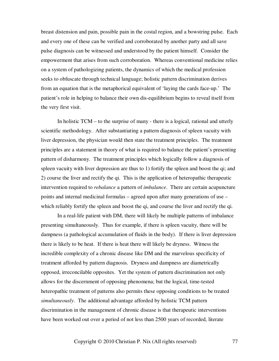breast distension and pain, possible pain in the costal region, and a bowstring pulse. Each and every one of these can be verified and corroborated by another party and all save pulse diagnosis can be witnessed and understood by the patient himself. Consider the empowerment that arises from such corroboration. Whereas conventional medicine relies on a system of pathologizing patients, the dynamics of which the medical profession seeks to obfuscate through technical language; holistic pattern discrimination derives from an equation that is the metaphorical equivalent of 'laying the cards face-up.' The patient's role in helping to balance their own dis-equilibrium begins to reveal itself from the very first visit.

In holistic TCM – to the surprise of many - there is a logical, rational and utterly scientific methodology. After substantiating a pattern diagnosis of spleen vacuity with liver depression, the physician would then state the treatment principles. The treatment principles are a statement in theory of what is required to balance the patient's presenting pattern of disharmony. The treatment principles which logically follow a diagnosis of spleen vacuity with liver depression are thus to 1) fortify the spleen and boost the qi; and 2) course the liver and rectify the qi. This is the application of heteropathic therapeutic intervention required to *rebalance* a pattern of *imbalance*. There are certain acupuncture points and internal medicinal formulas – agreed upon after many generations of use – which reliably fortify the spleen and boost the qi, and course the liver and rectify the qi.

In a real-life patient with DM, there will likely be multiple patterns of imbalance presenting simultaneously. Thus for example, if there is spleen vacuity, there will be dampness (a pathological accumulation of fluids in the body). If there is liver depression there is likely to be heat. If there is heat there will likely be dryness. Witness the incredible complexity of a chronic disease like DM and the marvelous specificity of treatment afforded by pattern diagnosis. Dryness and dampness are diametrically opposed, irreconcilable opposites. Yet the system of pattern discrimination not only allows for the discernment of opposing phenomena; but the logical, time-tested heteropathic treatment of patterns also permits these opposing conditions to be treated *simultaneously*. The additional advantage afforded by holistic TCM pattern discrimination in the management of chronic disease is that therapeutic interventions have been worked out over a period of not less than 2500 years of recorded, literate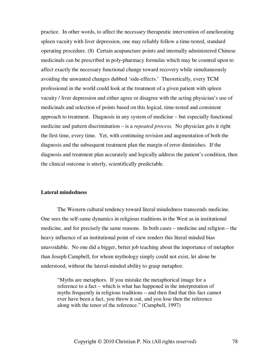practice. In other words, to affect the necessary therapeutic intervention of ameliorating spleen vacuity with liver depression, one may reliably follow a time-tested, standard operating procedure. (8) Certain acupuncture points and internally administered Chinese medicinals can be prescribed in poly-pharmacy formulas which may be counted upon to affect exactly the necessary functional change toward recovery while simultaneously avoiding the unwanted changes dubbed 'side-effects.' Theoretically, every TCM professional in the world could look at the treatment of a given patient with spleen vacuity / liver depression and either agree or disagree with the acting physician's use of medicinals and selection of points based on this logical, time-tested and consistent approach to treatment. Diagnosis in any system of medicine – but especially functional medicine and pattern discrimination – is a *repeated process.* No physician gets it right the first time, every time. Yet, with continuing revision and augmentation of both the diagnosis and the subsequent treatment plan the margin of error diminishes. If the diagnosis and treatment plan accurately and logically address the patient's condition, then the clinical outcome is utterly, scientifically predictable.

### **Lateral mindedness**

The Western cultural tendency toward literal mindedness transcends medicine. One sees the self-same dynamics in religious traditions in the West as in institutional medicine, and for precisely the same reasons. In both cases – medicine and religion – the heavy influence of an institutional point of view renders this literal minded bias unavoidable. No one did a bigger, better job teaching about the importance of metaphor than Joseph Campbell, for whom mythology simply could not exist, let alone be understood, without the lateral-minded ability to grasp metaphor.

"Myths are metaphors. If you mistake the metaphorical image for a reference to a fact – which is what has happened in the interpretation of myths frequently in religious traditions – and then find that this fact cannot ever have been a fact, you throw it out, and you lose then the reference along with the tenor of the reference." (Campbell, 1997)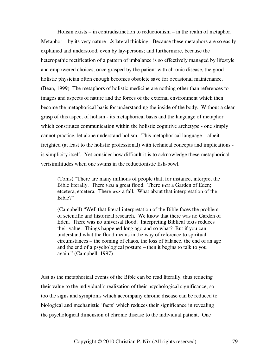Holism exists – in contradistinction to reductionism – in the realm of metaphor. Metaphor – by its very nature - *is* lateral thinking. Because these metaphors are so easily explained and understood, even by lay-persons; and furthermore, because the heteropathic rectification of a pattern of imbalance is so effectively managed by lifestyle and empowered choices, once grasped by the patient with chronic disease, the good holistic physician often enough becomes obsolete save for occasional maintenance. (Bean, 1999) The metaphors of holistic medicine are nothing other than references to images and aspects of nature and the forces of the external environment which then become the metaphorical basis for understanding the inside of the body. Without a clear grasp of this aspect of holism - its metaphorical basis and the language of metaphor which constitutes communication within the holistic cognitive archetype - one simply cannot practice, let alone understand holism. This metaphorical language – albeit freighted (at least to the holistic professional) with technical concepts and implications is simplicity itself. Yet consider how difficult it is to acknowledge these metaphorical verisimilitudes when one swims in the reductionistic fish-bowl.

(Toms) "There are many millions of people that, for instance, interpret the Bible literally. There *was* a great flood. There *was* a Garden of Eden; etcetera, etcetera. There *was* a fall. What about that interpretation of the Bible?"

(Campbell) "Well that literal interpretation of the Bible faces the problem of scientific and historical research. We know that there was no Garden of Eden. There was no universal flood. Interpreting Biblical texts reduces their value. Things happened long ago and so what? But if you can understand what the flood means in the way of reference to spiritual circumstances – the coming of chaos, the loss of balance, the end of an age and the end of a psychological posture – then it begins to talk to you again." (Campbell, 1997)

Just as the metaphorical events of the Bible can be read literally, thus reducing their value to the individual's realization of their psychological significance, so too the signs and symptoms which accompany chronic disease can be reduced to biological and mechanistic 'facts' which reduces their significance in revealing the psychological dimension of chronic disease to the individual patient. One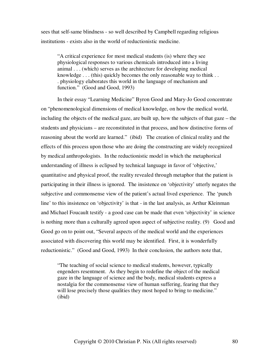sees that self-same blindness - so well described by Campbell regarding religious institutions - exists also in the world of reductionistic medicine.

"A critical experience for most medical students (is) where they see physiological responses to various chemicals introduced into a living animal . . . (which) serves as the architecture for developing medical knowledge . . . (this) quickly becomes the only reasonable way to think . . . physiology elaborates this world in the language of mechanism and function." (Good and Good, 1993)

In their essay "Learning Medicine" Byron Good and Mary-Jo Good concentrate on "phenomenological dimensions of medical knowledge, on how the medical world, including the objects of the medical gaze, are built up, how the subjects of that gaze – the students and physicians – are reconstituted in that process, and how distinctive forms of reasoning about the world are learned." (ibid) The creation of clinical reality and the effects of this process upon those who are doing the constructing are widely recognized by medical anthropologists. In the reductionistic model in which the metaphorical understanding of illness is eclipsed by technical language in favor of 'objective,' quantitative and physical proof, the reality revealed through metaphor that the patient is participating in their illness is ignored. The insistence on 'objectivity' utterly negates the subjective and commonsense view of the patient's actual lived experience. The 'punch line' to this insistence on 'objectivity' is that - in the last analysis, as Arthur Kleinman and Michael Foucault testify - a good case can be made that even 'objectivity' in science is nothing more than a culturally agreed upon aspect of subjective reality. (9) Good and Good go on to point out, "Several aspects of the medical world and the experiences associated with discovering this world may be identified. First, it is wonderfully reductionistic." (Good and Good, 1993) In their conclusion, the authors note that,

"The teaching of social science to medical students, however, typically engenders resentment. As they begin to redefine the object of the medical gaze in the language of science and the body, medical students express a nostalgia for the commonsense view of human suffering, fearing that they will lose precisely those qualities they most hoped to bring to medicine." (ibid)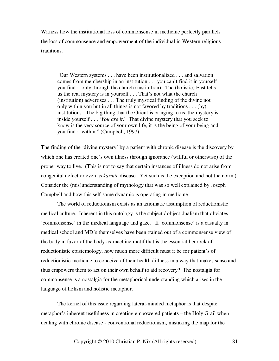Witness how the institutional loss of commonsense in medicine perfectly parallels the loss of commonsense and empowerment of the individual in Western religious traditions.

"Our Western systems . . . have been institutionalized . . . and salvation comes from membership in an institution . . . you can't find it in yourself you find it only through the church (institution). The (holistic) East tells us the real mystery is in yourself . . . That's not what the church (institution) advertises . . . The truly mystical finding of the divine not only within you but in all things is not favored by traditions . . . (by) institutions. The big thing that the Orient is bringing to us, the mystery is inside yourself . . . '*You are it*.' That divine mystery that you seek to know is the very source of your own life, it is the being of your being and you find it within." (Campbell, 1997)

The finding of the 'divine mystery' by a patient with chronic disease is the discovery by which one has created one's own illness through ignorance (willful or otherwise) of the proper way to live. (This is not to say that certain instances of illness do not arise from congenital defect or even as *karmic* disease. Yet such is the exception and not the norm.) Consider the (mis)understanding of mythology that was so well explained by Joseph Campbell and how this self-same dynamic is operating in medicine.

The world of reductionism exists as an axiomatic assumption of reductionistic medical culture. Inherent in this ontology is the subject / object dualism that obviates 'commonsense' in the medical language and gaze. If 'commonsense' is a casualty in medical school and MD's themselves have been trained out of a commonsense view of the body in favor of the body-as-machine motif that is the essential bedrock of reductionistic epistemology, how much more difficult must it be for patient's of reductionistic medicine to conceive of their health / illness in a way that makes sense and thus empowers them to act on their own behalf to aid recovery? The nostalgia for commonsense is a nostalgia for the metaphorical understanding which arises in the language of holism and holistic metaphor.

The kernel of this issue regarding lateral-minded metaphor is that despite metaphor's inherent usefulness in creating empowered patients – the Holy Grail when dealing with chronic disease - conventional reductionism, mistaking the map for the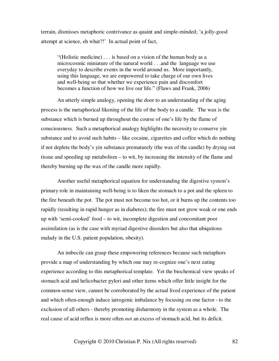terrain, dismisses metaphoric contrivance as quaint and simple-minded; 'a jolly-good attempt at science, eh what?!' In actual point of fact,

"(Holistic medicine) . . . is based on a vision of the human body as a microcosmic miniature of the natural world . . .and the language we use everyday to describe events in the world around us. More importantly, using this language, we are empowered to take charge of our own lives and well-being so that whether we experience pain and discomfort becomes a function of how we live our life." (Flaws and Frank, 2006)

 An utterly simple analogy, opening the door to an understanding of the aging process is the metaphorical likening of the life of the body to a candle. The wax is the substance which is burned up throughout the course of one's life by the flame of consciousness. Such a metaphorical analogy highlights the necessity to conserve yin substance and to avoid such habits – like cocaine, cigarettes and coffee which do nothing if not deplete the body's yin substance prematurely (the wax of the candle) by drying out tissue and speeding up metabolism – to wit, by increasing the intensity of the flame and thereby burning up the wax of the candle more rapidly.

Another useful metaphorical equation for understanding the digestive system's primary role in maintaining well-being is to liken the stomach to a pot and the spleen to the fire beneath the pot. The pot must not become too hot, or it burns up the contents too rapidly (resulting in rapid hunger as in diabetes); the fire must not grow weak or one ends up with 'semi-cooked' food – to wit, incomplete digestion and concomitant poor assimilation (as is the case with myriad digestive disorders but also that ubiquitous malady in the U.S. patient population, obesity).

An imbecile can grasp these empowering references because such metaphors provide a map of understanding by which one may re-cognize one's next eating experience according to this metaphorical template. Yet the biochemical view speaks of stomach acid and helicobacter pylori and other items which offer little insight for the common-sense view, cannot be corroborated by the actual lived experience of the patient and which often-enough induce iatrogenic imbalance by focusing on one factor - to the exclusion of all others - thereby promoting disharmony in the system as a whole. The real cause of acid reflux is more often *not* an excess of stomach acid, but its deficit.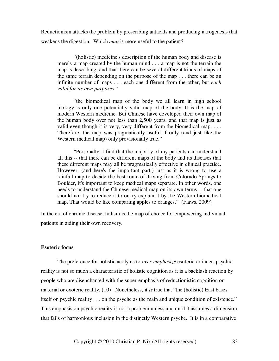Reductionism attacks the problem by prescribing antacids and producing iatrogenesis that weakens the digestion. Which *map* is more useful to the patient?

"(holistic) medicine's description of the human body and disease is merely a map created by the human mind . . . a map is not the terrain the map is describing, and that there can be several different kinds of maps of the same terrain depending on the purpose of the map . . . there can be an infinite number of maps . . . each one different from the other, but *each valid for its own purposes*."

"the biomedical map of the body we all learn in high school biology is only one potentially valid map of the body. It is the map of modern Western medicine. But Chinese have developed their own map of the human body over not less than 2,500 years, and that map is just as valid even though it is very, very different from the biomedical map. . . . Therefore, the map was pragmatically useful if only (and just like the Western medical map) only provisionally true."

"Personally, I find that the majority of my patients can understand all this -- that there can be different maps of the body and its diseases that these different maps may all be pragmatically effective in clinical practice. However, (and here's the important part,) just as it is wrong to use a rainfall map to decide the best route of driving from Colorado Springs to Boulder, it's important to keep medical maps separate. In other words, one needs to understand the Chinese medical map on its own terms -- that one should not try to reduce it to or try explain it by the Western biomedical map. That would be like comparing apples to oranges." (Flaws, 2009)

In the era of chronic disease, holism is the map of choice for empowering individual patients in aiding their own recovery.

### **Esoteric focus**

The preference for holistic acolytes to *over-emphasize* esoteric or inner, psychic reality is not so much a characteristic of holistic cognition as it is a backlash reaction by people who are disenchanted with the super-emphasis of reductionistic cognition on material or exoteric reality. (10) Nonetheless, it *is* true that "the (holistic) East bases itself on psychic reality . . . on the psyche as the main and unique condition of existence." This emphasis on psychic reality is not a problem unless and until it assumes a dimension that fails of harmonious inclusion in the distinctly Western psyche. It is in a comparative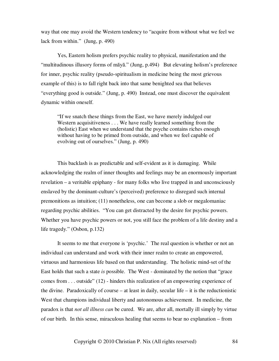way that one may avoid the Western tendency to "acquire from without what we feel we lack from within." (Jung, p. 490)

Yes, Eastern holism prefers psychic reality to physical, manifestation and the "multitudinous illusory forms of māyā." (Jung, p.494) But elevating holism's preference for inner, psychic reality (pseudo-spiritualism in medicine being the most grievous example of this) is to fall right back into that same benighted sea that believes "everything good is outside." (Jung, p. 490) Instead, one must discover the equivalent dynamic within oneself.

"If we snatch these things from the East, we have merely indulged our Western acquisitiveness . . . We have really learned something from the (holistic) East when we understand that the psyche contains riches enough without having to be primed from outside, and when we feel capable of evolving out of ourselves." (Jung, p. 490)

This backlash is as predictable and self-evident as it is damaging. While acknowledging the realm of inner thoughts and feelings may be an enormously important revelation – a veritable epiphany - for many folks who live trapped in and unconsciously enslaved by the dominant-culture's (perceived) preference to disregard such internal premonitions as intuition; (11) nonetheless, one can become a slob or megalomaniac regarding psychic abilities. "You can get distracted by the desire for psychic powers. Whether you have psychic powers or not, you still face the problem of a life destiny and a life tragedy." (Osbon, p.132)

It seems to me that everyone is 'psychic.' The real question is whether or not an individual can understand and work with their inner realm to create an empowered, virtuous and harmonious life based on that understanding. The holistic mind-set of the East holds that such a state *is* possible. The West - dominated by the notion that "grace comes from . . . outside" (12) - hinders this realization of an empowering experience of the divine. Paradoxically of course – at least in daily, secular life – it is the reductionistic West that champions individual liberty and autonomous achievement. In medicine, the paradox is that *not all illness can* be cured. We are, after all, mortally ill simply by virtue of our birth. In this sense, miraculous healing that seems to bear no explanation – from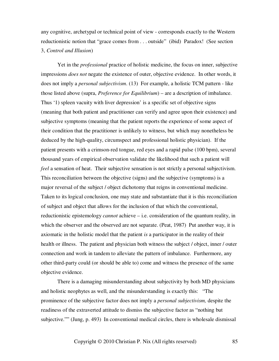any cognitive, archetypal or technical point of view - corresponds exactly to the Western reductionistic notion that "grace comes from . . . outside" (ibid) Paradox! (See section 3, *Control and Illusion*)

Yet in the *professional* practice of holistic medicine, the focus on inner, subjective impressions *does not* negate the existence of outer, objective evidence. In other words, it does not imply a *personal subjectivism*. (13) For example, a holistic TCM pattern - like those listed above (supra, *Preference for Equilibrium*) – are a description of imbalance. Thus '1) spleen vacuity with liver depression' is a specific set of objective signs (meaning that both patient and practitioner can verify and agree upon their existence) and subjective symptoms (meaning that the patient reports the experience of some aspect of their condition that the practitioner is unlikely to witness, but which may nonetheless be deduced by the high-quality, circumspect and professional holistic physician). If the patient presents with a crimson-red tongue, red eyes and a rapid pulse (100 bpm), several thousand years of empirical observation validate the likelihood that such a patient will *feel* a sensation of heat. Their subjective sensation is not strictly a personal subjectivism. This reconciliation between the objective (signs) and the subjective (symptoms) is a major reversal of the subject / object dichotomy that reigns in conventional medicine. Taken to its logical conclusion, one may state and substantiate that it is this reconciliation of subject and object that allows for the inclusion of that which the conventional, reductionistic epistemology *cannot* achieve – i.e. consideration of the quantum reality, in which the observer and the observed are not separate. (Peat, 1987) Put another way, it is axiomatic in the holistic model that the patient *is* a participator in the reality of their health or illness. The patient and physician both witness the subject / object, inner / outer connection and work in tandem to alleviate the pattern of imbalance. Furthermore, any other third-party could (or should be able to) come and witness the presence of the same objective evidence.

There is a damaging misunderstanding about subjectivity by both MD physicians and holistic neophytes as well, and the misunderstanding is exactly this: "The prominence of the subjective factor does not imply a *personal subjectivism,* despite the readiness of the extraverted attitude to dismiss the subjective factor as "nothing but subjective."" (Jung, p. 493) In conventional medical circles, there is wholesale dismissal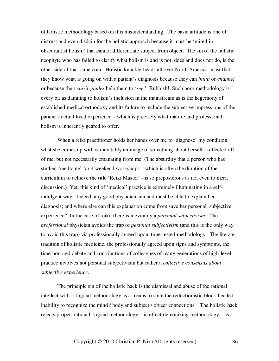of holistic methodology based on this misunderstanding. The basic attitude is one of distrust and even disdain for the holistic approach because it must be 'mired in obscurantist holism' that cannot differentiate subject from object. The sin of the holistic neophyte who has failed to clarify what holism is and is not, does and does not do, is the other side of that same coin. Holistic knuckle-heads all over North America insist that they know what is going on with a patient's diagnosis because they can *intuit* or *channel* or because their *spirit-guides* help them to '*see*.' Rubbish! Such poor methodology is every bit as damning to holism's inclusion in the mainstream as is the hegemony of established medical orthodoxy and its failure to include the subjective impressions of the patient's actual lived experience – which is precisely what mature and professional holism is inherently geared to offer.

When a reiki practitioner holds her hands over me to 'diagnose' my condition, what she comes up with is inevitably an image of something about herself - reflected off of me, but not necessarily emanating from me. (The absurdity that a person who has studied 'medicine' for 4 weekend workshops – which is often the duration of the curriculum to achieve the title 'Reiki Master' - is so preposterous as not even to merit discussion.) Yet, this kind of 'medical' practice is extremely illuminating in a selfindulgent way. Indeed, any good physician can and must be able to explain her diagnosis; and where else can this explanation come from save her personal, subjective experience? In the case of reiki, there is inevitably a *personal subjectivism*. The *professional* physician avoids the trap of *personal subjectivism* (and this is the only way to avoid this trap) via professionally agreed upon, time-tested methodology. The literate tradition of holistic medicine, the professionally agreed upon signs and symptoms, the time-honored debate and contributions of colleagues of many generations of high-level practice involves not personal subjectivism but rather a *collective consensus about subjective experience.*

The principle sin of the holistic hack is the dismissal and abuse of the rational intellect with is logical methodology as a means to spite the reductionistic block-headed inability to recognize the mind / body and subject / object connections. The holistic hack rejects proper, rational, logical methodology – in effect demonizing methodology – as a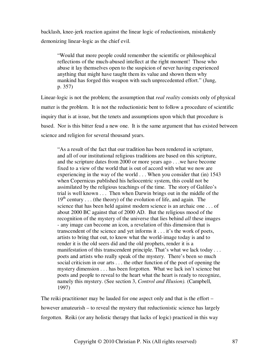backlash, knee-jerk reaction against the linear logic of reductionism, mistakenly demonizing linear-logic as the chief evil.

"Would that more people could remember the scientific or philosophical reflections of the much-abused intellect at the right moment! Those who abuse it lay themselves open to the suspicion of never having experienced anything that might have taught them its value and shown them why mankind has forged this weapon with such unprecedented effort." (Jung, p. 357)

Linear-logic is not the problem; the assumption that *real reality* consists only of physical matter is the problem. It is not the reductionistic bent to follow a procedure of scientific inquiry that is at issue, but the tenets and assumptions upon which that procedure is based. Nor is this bitter feud a new one. It is the same argument that has existed between science and religion for several thousand years.

"As a result of the fact that our tradition has been rendered in scripture, and all of our institutional religious traditions are based on this scripture, and the scripture dates from 2000 or more years ago . . .we have become fixed to a view of the world that is out of accord with what we now are experiencing in the way of the world . . . When you consider that (in) 1543 when Copernicus published his heliocentric system, this could not be assimilated by the religious teachings of the time. The story of Galileo's trial is well known . . . Then when Darwin brings out in the middle of the  $19<sup>th</sup>$  century . . . (the theory) of the evolution of life, and again. The science that has been held against modern science is an archaic one . . . of about 2000 BC against that of 2000 AD. But the religious mood of the recognition of the mystery of the universe that lies behind *all* these images - any image can become an icon, a revelation of this dimension that is transcendent of the science and yet informs it . . . it's the work of poets, artists to bring that out, to know what the world-image today is and to render it is the old seers did and the old prophets, render it is a manifestation of this transcendent principle. That's what we lack today . . . poets and artists who really speak of the mystery. There's been so much social criticism in our arts . . . the other function of the poet of opening the mystery dimension . . . has been forgotten. What we lack isn't science but poets and people to reveal to the heart what the heart is ready to recognize, namely this mystery. (See section 3, *Control and Illusion).* (Campbell, 1997)

The reiki practitioner may be lauded for one aspect only and that is the effort – however amateurish – to reveal the mystery that reductionistic science has largely forgotten. Reiki (or any holistic therapy that lacks of logic) practiced in this way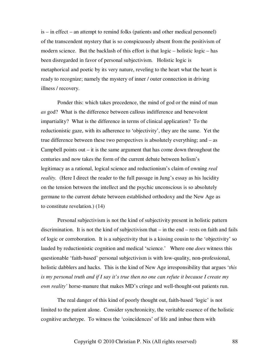is – in effect – an attempt to remind folks (patients and other medical personnel) of the transcendent mystery that is so conspicuously absent from the positivism of modern science. But the backlash of this effort is that logic – holistic logic – has been disregarded in favor of personal subjectivism. Holistic logic is metaphorical and poetic by its very nature, reveling to the heart what the heart is ready to recognize; namely the mystery of inner / outer connection in driving illness / recovery.

Ponder this: which takes precedence, the mind of god or the mind of man *as* god? What is the difference between callous indifference and benevolent impartiality? What is the difference in terms of clinical application? To the reductionistic gaze, with its adherence to 'objectivity', they are the same. Yet the true difference between these two perspectives is absolutely everything; and – as Campbell points out  $-\mathbf{i}$  is the same argument that has come down throughout the centuries and now takes the form of the current debate between holism's legitimacy as a rational, logical science and reductionism's claim of owning *real reality.* (Here I direct the reader to the full passage in Jung's essay as his lucidity on the tension between the intellect and the psychic unconscious is so absolutely germane to the current debate between established orthodoxy and the New Age as to constitute revelation.) (14)

 Personal subjectivism is not the kind of subjectivity present in holistic pattern discrimination. It is not the kind of subjectivism that – in the end – rests on faith and fails of logic or corroboration. It is a subjectivity that is a kissing cousin to the 'objectivity' so lauded by reductionistic cognition and medical 'science.' Where one *does* witness this questionable 'faith-based' personal subjectivism is with low-quality, non-professional, holistic dabblers and hacks. This is the kind of New Age irresponsibility that argues '*this is my personal truth and if I say it's true then no one can refute it because I create my own reality'* horse-manure that makes MD's cringe and well-thought-out patients run.

The real danger of this kind of poorly thought out, faith-based 'logic' is not limited to the patient alone. Consider synchronicity, the veritable essence of the holistic cognitive archetype. To witness the 'coincidences' of life and imbue them with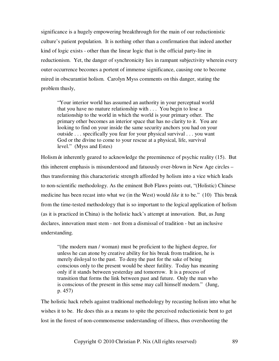significance is a hugely empowering breakthrough for the main of our reductionistic culture's patient population. It is nothing other than a confirmation that indeed another kind of logic exists - other than the linear logic that is the official party-line in reductionism. Yet, the danger of synchronicity lies in rampant subjectivity wherein every outer occurrence becomes a portent of immense significance, causing one to become mired in obscurantist holism. Carolyn Myss comments on this danger, stating the problem thusly,

"Your interior world has assumed an authority in your perceptual world that you have no mature relationship with . . . You begin to lose a relationship to the world in which the world is your primary other. The primary other becomes an interior space that has no clarity to it. You are looking to find on your inside the same security anchors you had on your outside . . . specifically you fear for your physical survival . . . you want God or the divine to come to your rescue at a physical, life, survival level." (Myss and Estes)

Holism *is* inherently geared to acknowledge the preeminence of psychic reality (15). But this inherent emphasis is misunderstood and fatuously over-blown in New Age circles – thus transforming this characteristic strength afforded by holism into a vice which leads to non-scientific methodology. As the eminent Bob Flaws points out, "(Holistic) Chinese medicine has been recast into what we (in the West) would *like* it to be." (10) This break from the time-tested methodology that is so important to the logical application of holism (as it is practiced in China) is the holistic hack's attempt at innovation. But, as Jung declares, innovation must stem - not from a dismissal of tradition - but an inclusive understanding.

"(the modern man / woman) must be proficient to the highest degree, for unless he can atone by creative ability for his break from tradition, he is merely disloyal to the past. To deny the past for the sake of being conscious only to the present would be sheer futility. Today has meaning only if it stands between yesterday and tomorrow. It is a process of transition that forms the link between past and future. Only the man who is conscious of the present in this sense may call himself modern." (Jung, p. 457)

The holistic hack rebels against traditional methodology by recasting holism into what he wishes it to be. He does this as a means to spite the perceived reductionistic bent to get lost in the forest of non-commonsense understanding of illness, thus overshooting the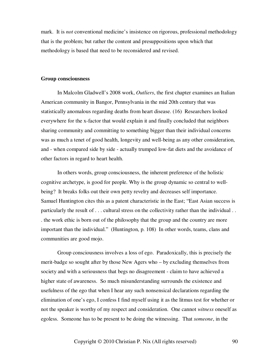mark. It is *not* conventional medicine's insistence on rigorous, professional methodology that is the problem; but rather the content and presuppositions upon which that methodology is based that need to be reconsidered and revised.

## **Group consciousness**

In Malcolm Gladwell's 2008 work, *Outliers*, the first chapter examines an Italian American community in Bangor, Pennsylvania in the mid 20th century that was statistically anomalous regarding deaths from heart disease. (16) Researchers looked everywhere for the x-factor that would explain it and finally concluded that neighbors sharing community and committing to something bigger than their individual concerns was as much a tenet of good health, longevity and well-being as any other consideration, and - when compared side by side - actually trumped low-fat diets and the avoidance of other factors in regard to heart health.

In others words, group consciousness, the inherent preference of the holistic cognitive archetype, is good for people. Why is the group dynamic so central to wellbeing? It breaks folks out their own petty revelry and decreases self importance. Samuel Huntington cites this as a patent characteristic in the East; "East Asian success is particularly the result of . . . cultural stress on the collectivity rather than the individual . . . the work ethic is born out of the philosophy that the group and the country are more important than the individual." (Huntington, p. 108) In other words, teams, clans and communities are good mojo.

Group consciousness involves a loss of ego. Paradoxically, this is precisely the merit-badge so sought after by those New Agers who – by excluding themselves from society and with a seriousness that begs no disagreement - claim to have achieved a higher state of awareness. So much misunderstanding surrounds the existence and usefulness of the ego that when I hear any such nonsensical declarations regarding the elimination of one's ego, I confess I find myself using it as the litmus test for whether or not the speaker is worthy of my respect and consideration. One cannot *witness* oneself as egoless. Someone has to be present to be doing the witnessing. That *someone*, in the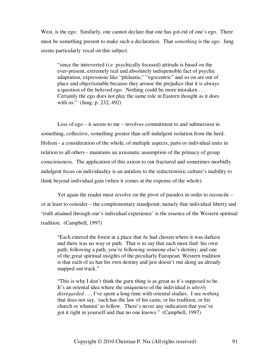West, is the ego. Similarly, one cannot declare that one has got-rid of one's ego. There must be something present to make such a declaration. That *something* is the ego. Jung seems particularly vocal on this subject.

"since the introverted (i.e. psychically focused) attitude is based on the ever-present, extremely real and absolutely indispensible fact of psychic adaptation, expressions like "philautic," "egocentric" and so on are out of place and objectionable because they arouse the prejudice that it is always a question of the beloved ego. Nothing could be more mistaken . . . Certainly the ego does not play the same role in Eastern thought as it does with us." (Jung, p. 232, 492)

Loss of ego – it seems to me – involves commitment to and submersion in something, collective, something greater than self-indulgent isolation from the herd. Holism - a consideration of the whole, of multiple aspects, parts or individual units in relation to all others - maintains an axiomatic assumption of the primacy of group consciousness. The application of this axiom to our fractured and sometimes morbidly indulgent focus on individuality is an antidote to the reductionistic culture's inability to think beyond individual gain (when it comes at the expense of the whole).

Yet again the reader must revolve on the pivot of paradox in order to reconcile – or at least to consider – the complementary standpoint; namely that individual liberty and 'truth attained through one's individual experience' is the essence of the Western spiritual tradition. (Campbell, 1997)

"Each entered the forest at a place that *he* had chosen where it was darkest and there was no way or path. That is to say that each must find his own path; following a path, you're following someone else's destiny; and one of the great spiritual insights of the peculiarly European, Western tradition is that each of us has his own destiny and just doesn't run along an already mapped out track."

"This is why I don't think the guru thing is as great as it's supposed to be. It's an oriental idea where the uniqueness of the individual is *utterly disregarded* . . . I've spent a long time with oriental studies. I see *nothing* that does not say, 'each has the law of his caste, or his tradition, or his church or whatnot' to follow. There's never any indication that you've got it right in yourself and that no one knows." (Campbell, 1997)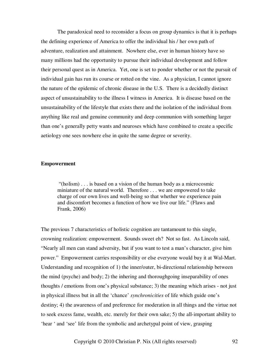The paradoxical need to reconsider a focus on group dynamics is that it is perhaps the defining experience of America to offer the individual his / her own path of adventure, realization and attainment. Nowhere else, ever in human history have so many millions had the opportunity to pursue their individual development and follow their personal quest as in America. Yet, one is set to ponder whether or not the pursuit of individual gain has run its course or rotted on the vine. As a physician, I cannot ignore the nature of the epidemic of chronic disease in the U.S. There is a decidedly distinct aspect of unsustainability to the illness I witness in America. It is disease based on the unsustainability of the lifestyle that exists there and the isolation of the individual from anything like real and genuine community and deep communion with something larger than one's generally petty wants and neuroses which have combined to create a specific aetiology one sees nowhere else in quite the same degree or severity.

#### **Empowerment**

 "(holism) . . . is based on a vision of the human body as a microcosmic miniature of the natural world. Therefore . . . we are empowered to take charge of our own lives and well-being so that whether we experience pain and discomfort becomes a function of how we live our life." (Flaws and Frank, 2006)

The previous 7 characteristics of holistic cognition are tantamount to this single, crowning realization: empowerment. Sounds sweet eh? Not so fast. As Lincoln said, "Nearly all men can stand adversity, but if you want to test a man's character, give him power." Empowerment carries responsibility or else everyone would buy it at Wal-Mart. Understanding and recognition of 1) the inner/outer, bi-directional relationship between the mind (psyche) and body; 2) the inhering and thoroughgoing inseparability of ones thoughts / emotions from one's physical substance; 3) the meaning which arises - not just in physical illness but in all the 'chance' *synchronicities* of life which guide one's destiny; 4) the awareness of and preference for moderation in all things and the virtue not to seek excess fame, wealth, etc. merely for their own sake; 5) the all-important ability to 'hear ' and 'see' life from the symbolic and archetypal point of view, grasping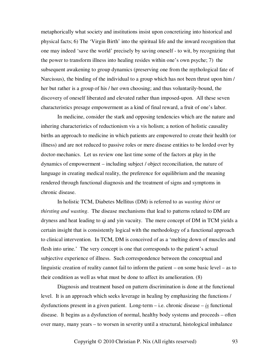metaphorically what society and institutions insist upon concretizing into historical and physical facts; 6) The 'Virgin Birth' into the spiritual life and the inward recognition that one may indeed 'save the world' precisely by saving oneself - to wit, by recognizing that the power to transform illness into healing resides within one's own psyche; 7) the subsequent awakening to group dynamics (preserving one from the mythological fate of Narcissus), the binding of the individual to a group which has not been thrust upon him / her but rather is a group of his / her own choosing; and thus voluntarily-bound, the discovery of oneself liberated and elevated rather than imposed-upon. All these seven characteristics presage empowerment as a kind of final reward, a fruit of one's labor.

In medicine, consider the stark and opposing tendencies which are the nature and inhering characteristics of reductionism vis a vis holism; a notion of holistic causality births an approach to medicine in which patients are empowered to create their health (or illness) and are not reduced to passive roles or mere disease entities to be lorded over by doctor-mechanics. Let us review one last time some of the factors at play in the dynamics of empowerment – including subject / object reconciliation, the nature of language in creating medical reality, the preference for equilibrium and the meaning rendered through functional diagnosis and the treatment of signs and symptoms in chronic disease.

In holistic TCM, Diabetes Mellitus (DM) is referred to as *wasting thirst* or *thirsting and wasting*. The disease mechanisms that lead to patterns related to DM are dryness and heat leading to qi and yin vacuity. The mere concept of DM in TCM yields a certain insight that is consistently logical with the methodology of a functional approach to clinical intervention. In TCM, DM is conceived of as a 'melting down of muscles and flesh into urine.' The very concept is one that corresponds to the patient's actual subjective experience of illness. Such correspondence between the conceptual and linguistic creation of reality cannot fail to inform the patient – on some basic level – as to their condition as well as what must be done to affect its amelioration. (8)

Diagnosis and treatment based on pattern discrimination is done at the functional level. It is an approach which seeks leverage in healing by emphasizing the functions / dysfunctions present in a given patient. Long-term – i.e. chronic disease – *is* functional disease. It begins as a dysfunction of normal, healthy body systems and proceeds – often over many, many years – to worsen in severity until a structural, histological imbalance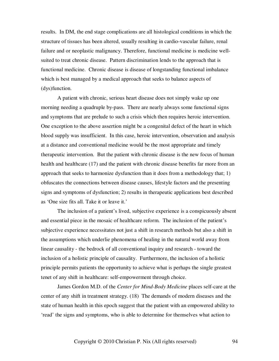results. In DM, the end stage complications are all histological conditions in which the structure of tissues has been altered, usually resulting in cardio-vascular failure, renal failure and or neoplastic malignancy. Therefore, functional medicine is medicine wellsuited to treat chronic disease. Pattern discrimination lends to the approach that is functional medicine. Chronic disease is disease of longstanding functional imbalance which is best managed by a medical approach that seeks to balance aspects of (dys)function.

A patient with chronic, serious heart disease does not simply wake up one morning needing a quadruple by-pass. There are nearly always some functional signs and symptoms that are prelude to such a crisis which then requires heroic intervention. One exception to the above assertion might be a congenital defect of the heart in which blood supply was insufficient. In this case, heroic intervention, observation and analysis at a distance and conventional medicine would be the most appropriate and timely therapeutic intervention. But the patient with chronic disease is the new focus of human health and healthcare (17) and the patient with chronic disease benefits far more from an approach that seeks to harmonize dysfunction than it does from a methodology that; 1) obfuscates the connections between disease causes, lifestyle factors and the presenting signs and symptoms of dysfunction; 2) results in therapeutic applications best described as 'One size fits all. Take it or leave it.'

The inclusion of a patient's lived, subjective experience is a conspicuously absent and essential piece in the mosaic of healthcare reform. The inclusion of the patient's subjective experience necessitates not just a shift in research methods but also a shift in the assumptions which underlie phenomena of healing in the natural world away from linear causality - the bedrock of all conventional inquiry and research - toward the inclusion of a holistic principle of causality. Furthermore, the inclusion of a holistic principle permits patients the opportunity to achieve what is perhaps the single greatest tenet of any shift in healthcare: self-empowerment through choice.

 James Gordon M.D. of the *Center for Mind-Body Medicine* places self-care at the center of any shift in treatment strategy. (18) The demands of modern diseases and the state of human health in this epoch suggest that the patient with an empowered ability to 'read' the signs and symptoms, who is able to determine for themselves what action to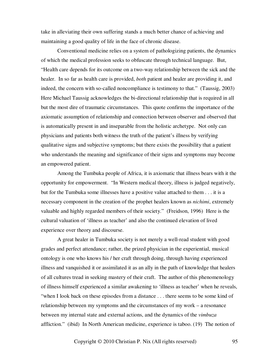take in alleviating their own suffering stands a much better chance of achieving and maintaining a good quality of life in the face of chronic disease.

Conventional medicine relies on a system of pathologizing patients, the dynamics of which the medical profession seeks to obfuscate through technical language. But, "Health care depends for its outcome on a two-way relationship between the sick and the healer. In so far as health care is provided, *both* patient and healer are providing it, and indeed, the concern with so-called noncompliance is testimony to that." (Taussig, 2003) Here Michael Taussig acknowledges the bi-directional relationship that is required in all but the most dire of traumatic circumstances. This quote confirms the importance of the axiomatic assumption of relationship and connection between observer and observed that is automatically present in and inseparable from the holistic archetype. Not only can physicians and patients both witness the truth of the patient's illness by verifying qualitative signs and subjective symptoms; but there exists the possibility that a patient who understands the meaning and significance of their signs and symptoms may become an empowered patient.

Among the Tumbuka people of Africa, it is axiomatic that illness bears with it the opportunity for empowerment. "In Western medical theory, illness is judged negatively, but for the Tumbuka some illnesses have a positive value attached to them . . . it is a necessary component in the creation of the prophet healers known as *nichimi*, extremely valuable and highly regarded members of their society." (Freidson, 1996) Here is the cultural valuation of 'illness as teacher' and also the continued elevation of lived experience over theory and discourse.

 A great healer in Tumbuka society is not merely a well-read student with good grades and perfect attendance; rather, the prized physician in the experiential, musical ontology is one who knows his / her craft through doing, through having experienced illness and vanquished it or assimilated it as an ally in the path of knowledge that healers of all cultures tread in seeking mastery of their craft. The author of this phenomenology of illness himself experienced a similar awakening to 'illness as teacher' when he reveals, "when I look back on these episodes from a distance . . . there seems to be some kind of relationship between my symptoms and the circumstances of my work – a resonance between my internal state and external actions, and the dynamics of the *vimbuza* affliction." (ibid) In North American medicine, experience is taboo. (19) The notion of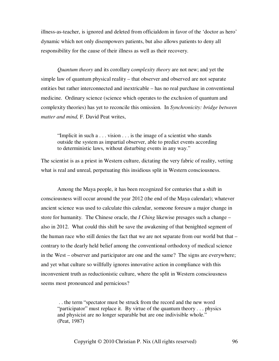illness-as-teacher, is ignored and deleted from officialdom in favor of the 'doctor as hero' dynamic which not only disempowers patients, but also allows patients to deny all responsibility for the cause of their illness as well as their recovery.

*Quantum theory* and its corollary c*omplexity theory* are not new; and yet the simple law of quantum physical reality – that observer and observed are not separate entities but rather interconnected and inextricable – has no real purchase in conventional medicine. Ordinary science (science which operates to the exclusion of quantum and complexity theories) has yet to reconcile this omission. In *Synchronicity: bridge between matter and mind,* F. David Peat writes,

"Implicit in such a . . . vision . . . is the image of a scientist who stands outside the system as impartial observer, able to predict events according to deterministic laws, without disturbing events in any way."

The scientist is as a priest in Western culture, dictating the very fabric of reality, vetting what is real and unreal, perpetuating this insidious split in Western consciousness.

Among the Maya people, it has been recognized for centuries that a shift in consciousness will occur around the year 2012 (the end of the Maya calendar); whatever ancient science was used to calculate this calendar, someone foresaw a major change in store for humanity. The Chinese oracle, the *I Ching* likewise presages such a change – also in 2012. What could this shift be save the awakening of that benighted segment of the human race who still denies the fact that we are not separate from our world but that – contrary to the dearly held belief among the conventional orthodoxy of medical science in the West – observer and participator are one and the same? The signs are everywhere; and yet what culture so willfully ignores innovative action in compliance with this inconvenient truth as reductionistic culture, where the split in Western consciousness seems most pronounced and pernicious?

 . . the term "spectator must be struck from the record and the new word "participator" must replace it. By virtue of the quantum theory . . . physics and physicist are no longer separable but are one indivisible whole." (Peat, 1987)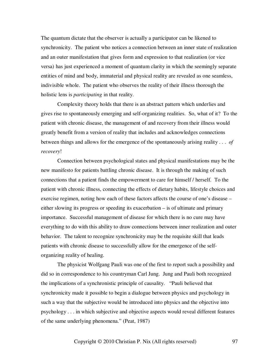The quantum dictate that the observer is actually a participator can be likened to synchronicity. The patient who notices a connection between an inner state of realization and an outer manifestation that gives form and expression to that realization (or vice versa) has just experienced a moment of quantum clarity in which the seemingly separate entities of mind and body, immaterial and physical reality are revealed as one seamless, indivisible whole. The patient who observes the reality of their illness thorough the holistic lens is *participating* in that reality.

Complexity theory holds that there is an abstract pattern which underlies and gives rise to spontaneously emerging and self-organizing realities. So, what of it? To the patient with chronic disease, the management of and recovery from their illness would greatly benefit from a version of reality that includes and acknowledges connections between things and allows for the emergence of the spontaneously arising reality . . . *of recovery*!

Connection between psychological states and physical manifestations may be the new manifesto for patients battling chronic disease. It is through the making of such connections that a patient finds the empowerment to care for himself / herself. To the patient with chronic illness, connecting the effects of dietary habits, lifestyle choices and exercise regimen, noting how each of these factors affects the course of one's disease – either slowing its progress or speeding its exacerbation – is of ultimate and primary importance. Successful management of disease for which there is no cure may have everything to do with this ability to draw connections between inner realization and outer behavior. The talent to recognize synchronicity may be the requisite skill that leads patients with chronic disease to successfully allow for the emergence of the selforganizing reality of healing.

The physicist Wolfgang Pauli was one of the first to report such a possibility and did so in correspondence to his countryman Carl Jung. Jung and Pauli both recognized the implications of a synchronistic principle of causality. "Pauli believed that synchronicity made it possible to begin a dialogue between physics and psychology in such a way that the subjective would be introduced into physics and the objective into psychology . . . in which subjective and objective aspects would reveal different features of the same underlying phenomena." (Peat, 1987)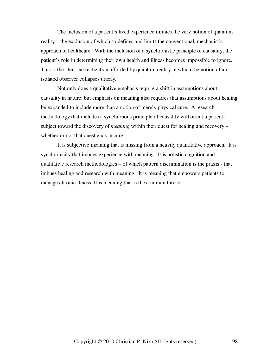The inclusion of a patient's lived experience mimics the very notion of quantum reality – the exclusion of which so defines and limits the conventional, mechanistic approach to healthcare. With the inclusion of a synchronistic principle of causality, the patient's role in determining their own health and illness becomes impossible to ignore. This is the identical realization afforded by quantum reality in which the notion of an isolated observer collapses utterly.

Not only does a qualitative emphasis require a shift in assumptions about causality in nature; but emphasis on meaning also requires that assumptions about healing be expanded to include more than a notion of merely physical cure. A research methodology that includes a synchronous principle of causality will orient a patientsubject toward the discovery of *meaning* within their quest for healing and recovery – whether or not that quest ends in cure.

It is subjective meaning that is missing from a heavily quantitative approach. It is synchronicity that imbues experience with meaning. It is holistic cognition and qualitative research methodologies – of which pattern discrimination is the praxis - that imbues healing and research with meaning. It is meaning that empowers patients to manage chronic illness. It is meaning that is the common thread.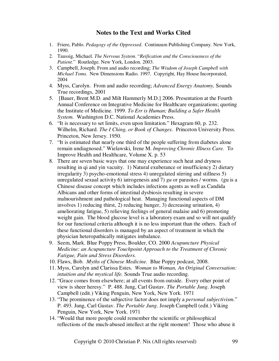# **Notes to the Text and Works Cited**

- 1. Friere, Pablo. *Pedagogy of the Oppressed*. Continuum Publishing Company. New York, 1990.
- 2. Taussig, Michael. *The Nervous System*. "*Reification and the Consciousness of the Patient.*" Routledge. New York, London. 2003.
- 3. Campbell, Joseph. From and audio recording; *The Wisdom of Joseph Campbell with Michael Toms.* New Dimensions Radio. 1997. Copyright, Hay House Incorporated, 2004
- 4. Myss, Carolyn. From and audio recording; *Advanced Energy Anatomy,* Sounds True recordings, 2001
- 5. [Bauer, Brent M.D. and Milt Hammerly M.D.] 2006. Presentation at the Fourth Annual Conference on Integrative Medicine for Healthcare organizations; quoting the Institute of Medicine. 1999. *To Err is Human; Building a Safer Health System.* Washington D.C. National Academies Press.
- 6. "It is necessary to set limits, even upon limitation." Hexagram 60, p. 232. Wilhelm, Richard. *The I Ching, or Book of Changes*. Princeton University Press. Princeton, New Jersey. 1950.
- 7. "It is estimated that nearly one third of the people suffering from diabetes alone remain undiagnosed." Wielawski, Irene M. *Improving Chronic Illness Care.* To Improve Health and Healthcare, Volume X. p. 53
- 8. There are seven basic ways that one may experience such heat and dryness resulting in qi and yin vacuity. 1) Natural exuberance or insufficiency 2) dietary irregularity 3) psycho-emotional stress 4) unregulated stirring and stillness 5) unregulated sexual activity 6) iatrogenesis and 7) *gu* or parasites / worms. (gu is a Chinese disease concept which includes infections agents as well as Candida Albicans and other forms of intestinal dysbiosis resulting in severe malnourishment and pathological heat. Managing functional aspects of DM involves 1) reducing thirst, 2) reducing hunger, 3) decreasing urination, 4) ameliorating fatigue, 5) relieving feelings of general malaise and 6) promoting weight gain. The blood glucose level is a laboratory exam and so will not qualify for our functional criteria although it is no less important than the others. Each of these functional disorders is managed by an aspect of treatment in which the physician heteropathically mitigates imbalance.
- 9. Seem, Mark. Blue Poppy Press, Boulder, CO. 2000 *Acupuncture Physical Medicine: an Acupuncture Touchpoint Approach to the Treatment of Chronic Fatigue, Pain and Stress Disorders.*
- 10. Flaws, Bob. *Myths of Chinese Medicine.* Blue Poppy podcast, 2008.
- 11. Myss, Carolyn and Clarissa Estes. *Woman to Woman, An Original Conversation: intuition and the mystical life.* Sounds True audio recording.
- 12. "Grace comes from elsewhere; at all events from outside. Every other point of view is sheer heresy." P. 488. Jung, Carl Gustav. *The Portable Jung*. Joseph Campbell (edit.) Viking Penguin, New York, New York. 1971
- 13. "The prominence of the subjective factor does not imply a *personal subjectivism*." P. 493. Jung, Carl Gustav. *The Portable Jung*. Joseph Campbell (edit.) Viking Penguin, New York, New York. 1971
- 14. "Would that more people could remember the scientific or philosophical reflections of the much-abused intellect at the right moment! Those who abuse it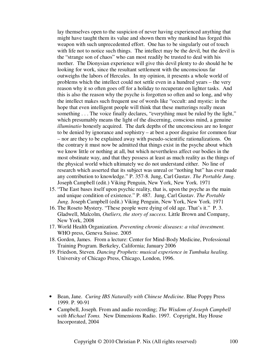lay themselves open to the suspicion of never having experienced anything that might have taught them its value and shown them why mankind has forged this weapon with such unprecedented effort. One has to be singularly out of touch with life not to notice such things. The intellect may be the devil, but the devil is the "strange son of chaos" who can most readily be trusted to deal with his mother. The Dionysian experience will give this devil plenty to do should he be looking for work, since the resultant settlement with the unconscious far outweighs the labors of Hercules. In my opinion, it presents a whole world of problems which the intellect could not settle even in a hundred years – the very reason why it so often goes off for a holiday to recuperate on lighter tasks. And this is also the reason why the psyche is forgotten so often and so long, and why the intellect makes such frequent use of words like "occult: and mystic: in the hope that even intelligent people will think that these mutterings really mean something . . . The voice finally declares, "everything must be ruled by the light," which presumably means the light of the discerning, conscious mind, a genuine *illuminatio* honestly acquired. The dark depths of the unconscious are no longer to be denied by ignorance and sophistry – at best a poor disguise for common fear – nor are they to be explained away with pseudo-scientific rationalizations. On the contrary it must now be admitted that things exist in the psyche about which we know little or nothing at all, but which nevertheless affect our bodies in the most obstinate way, and that they possess at least as much reality as the things of the physical world which ultimately we do not understand either. No line of research which asserted that its subject was unreal or "nothing but" has ever made any contribution to knowledge." P. 357-8. Jung, Carl Gustav. *The Portable Jung*. Joseph Campbell (edit.) Viking Penguin, New York, New York. 1971

- 15. "The East bases itself upon psychic reality, that is, upon the psyche as the main and unique condition of existence." P. 487. Jung, Carl Gustav. *The Portable Jung*. Joseph Campbell (edit.) Viking Penguin, New York, New York. 1971
- 16. The Roseto Mystery. "These people were dying of old age. That's it." P. 3. Gladwell, Malcolm, *Outliers, the story of success.* Little Brown and Company, New York, 2008
- 17. World Health Organization. *Preventing chronic diseases: a vital investment.*  WHO press, Geneva Suisse. 2005
- 18. Gordon, James. From a lecture: Center for Mind-Body Medicine, Professional Training Program. Berkeley, California; January 2006
- 19. Friedson, Steven. *Dancing Prophets: musical experience in Tumbuka healing.* University of Chicago Press, Chicago, London, 1996.
- Bean, Jane. *Curing IBS Naturally with Chinese Medicine*. Blue Poppy Press 1999. P. 90-91
- Campbell, Joseph. From and audio recording; *The Wisdom of Joseph Campbell with Michael Toms.* New Dimensions Radio. 1997. Copyright, Hay House Incorporated, 2004